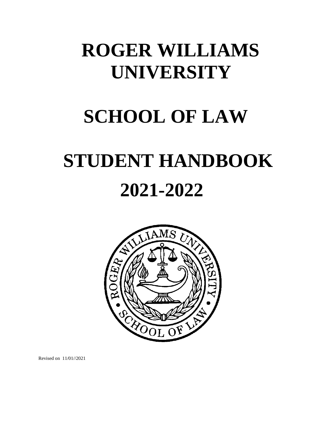# **ROGER WILLIAMS UNIVERSITY**

# **SCHOOL OF LAW**

# **STUDENT HANDBOOK 2021-2022**



Revised on 11/01//2021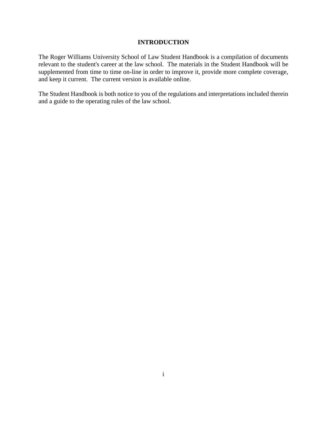#### **INTRODUCTION**

The Roger Williams University School of Law Student Handbook is a compilation of documents relevant to the student's career at the law school. The materials in the Student Handbook will be supplemented from time to time on-line in order to improve it, provide more complete coverage, and keep it current. The current version is available online.

The Student Handbook is both notice to you of the regulations and interpretations included therein and a guide to the operating rules of the law school.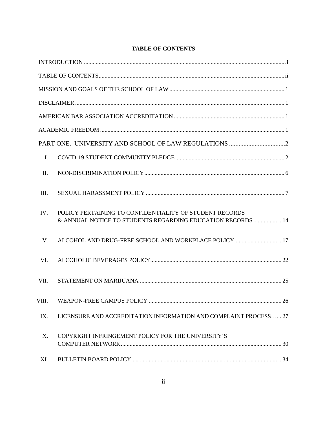| I.          |                                                                                                                        |  |  |  |
|-------------|------------------------------------------------------------------------------------------------------------------------|--|--|--|
| II.         |                                                                                                                        |  |  |  |
| Ш.          |                                                                                                                        |  |  |  |
| IV.         | POLICY PERTAINING TO CONFIDENTIALITY OF STUDENT RECORDS<br>& ANNUAL NOTICE TO STUDENTS REGARDING EDUCATION RECORDS  14 |  |  |  |
| $V_{\cdot}$ | ALCOHOL AND DRUG-FREE SCHOOL AND WORKPLACE POLICY 17                                                                   |  |  |  |
| VI.         |                                                                                                                        |  |  |  |
| VII.        |                                                                                                                        |  |  |  |
| VIII.       |                                                                                                                        |  |  |  |
| IX.         | LICENSURE AND ACCREDITATION INFORMATION AND COMPLAINT PROCESS 27                                                       |  |  |  |
| X.          | COPYRIGHT INFRINGEMENT POLICY FOR THE UNIVERSITY'S                                                                     |  |  |  |
| XI.         |                                                                                                                        |  |  |  |

# **TABLE OF CONTENTS**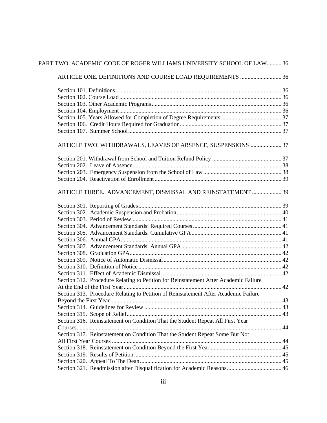| ARTICLE ONE. DEFINITIONS AND COURSE LOAD REQUIREMENTS  36                            |  |
|--------------------------------------------------------------------------------------|--|
|                                                                                      |  |
|                                                                                      |  |
|                                                                                      |  |
|                                                                                      |  |
|                                                                                      |  |
|                                                                                      |  |
|                                                                                      |  |
|                                                                                      |  |
| ARTICLE TWO. WITHDRAWALS, LEAVES OF ABSENCE, SUSPENSIONS  37                         |  |
|                                                                                      |  |
|                                                                                      |  |
|                                                                                      |  |
|                                                                                      |  |
| ARTICLE THREE. ADVANCEMENT, DISMISSAL AND REINSTATEMENT  39                          |  |
|                                                                                      |  |
|                                                                                      |  |
|                                                                                      |  |
|                                                                                      |  |
|                                                                                      |  |
|                                                                                      |  |
|                                                                                      |  |
|                                                                                      |  |
|                                                                                      |  |
|                                                                                      |  |
|                                                                                      |  |
| Section 312. Procedure Relating to Petition for Reinstatement After Academic Failure |  |
|                                                                                      |  |
| Section 313. Procedure Relating to Petition of Reinstatement After Academic Failure  |  |
|                                                                                      |  |
|                                                                                      |  |
|                                                                                      |  |
| Section 316. Reinstatement on Condition That the Student Repeat All First Year       |  |
|                                                                                      |  |
| Section 317. Reinstatement on Condition That the Student Repeat Some But Not         |  |
|                                                                                      |  |
|                                                                                      |  |
|                                                                                      |  |
|                                                                                      |  |
| Section 321. Readmission after Disqualification for Academic Reasons 46              |  |

# iii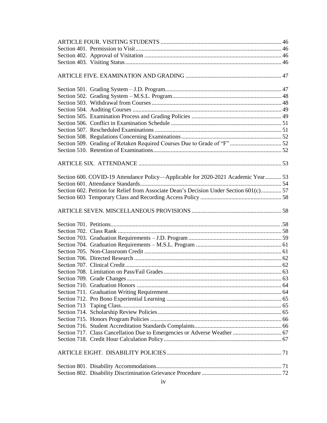| Section 600. COVID-19 Attendance Policy—Applicable for 2020-2021 Academic Year  53     |  |
|----------------------------------------------------------------------------------------|--|
|                                                                                        |  |
| Section 602. Petition for Relief from Associate Dean's Decision Under Section 601(c)57 |  |
|                                                                                        |  |
|                                                                                        |  |
|                                                                                        |  |
|                                                                                        |  |
|                                                                                        |  |
|                                                                                        |  |
|                                                                                        |  |
|                                                                                        |  |
|                                                                                        |  |
|                                                                                        |  |
|                                                                                        |  |
|                                                                                        |  |
|                                                                                        |  |
|                                                                                        |  |
|                                                                                        |  |
|                                                                                        |  |
|                                                                                        |  |
|                                                                                        |  |
|                                                                                        |  |
|                                                                                        |  |
|                                                                                        |  |
|                                                                                        |  |
|                                                                                        |  |
|                                                                                        |  |
|                                                                                        |  |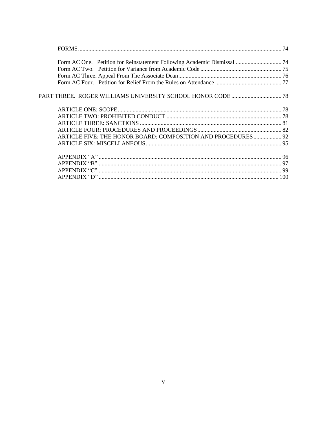| ARTICLE FIVE: THE HONOR BOARD: COMPOSITION AND PROCEDURES 92 |  |
|--------------------------------------------------------------|--|
|                                                              |  |
|                                                              |  |
|                                                              |  |
|                                                              |  |
|                                                              |  |
|                                                              |  |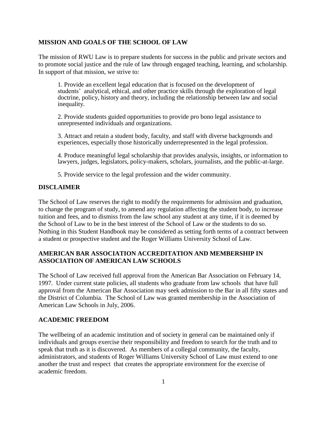#### **MISSION AND GOALS OF THE SCHOOL OF LAW**

The mission of RWU Law is to prepare students for success in the public and private sectors and to promote social justice and the rule of law through engaged teaching, learning, and scholarship. In support of that mission, we strive to:

1. Provide an excellent legal education that is focused on the development of students' analytical, ethical, and other practice skills through the exploration of legal doctrine, policy, history and theory, including the relationship between law and social inequality.

2. Provide students guided opportunities to provide pro bono legal assistance to unrepresented individuals and organizations.

3. Attract and retain a student body, faculty, and staff with diverse backgrounds and experiences, especially those historically underrepresented in the legal profession.

4. Produce meaningful legal scholarship that provides analysis, insights, or information to lawyers, judges, legislators, policy-makers, scholars, journalists, and the public-at-large.

5. Provide service to the legal profession and the wider community.

#### **DISCLAIMER**

The School of Law reserves the right to modify the requirements for admission and graduation, to change the program of study, to amend any regulation affecting the student body, to increase tuition and fees, and to dismiss from the law school any student at any time, if it is deemed by the School of Law to be in the best interest of the School of Law or the students to do so. Nothing in this Student Handbook may be considered as setting forth terms of a contract between a student or prospective student and the Roger Williams University School of Law.

# **AMERICAN BAR ASSOCIATION ACCREDITATION AND MEMBERSHIP IN ASSOCIATION OF AMERICAN LAW SCHOOLS**

The School of Law received full approval from the American Bar Association on February 14, 1997. Under current state policies, all students who graduate from law schools that have full approval from the American Bar Association may seek admission to the Bar in all fifty states and the District of Columbia. The School of Law was granted membership in the Association of American Law Schools in July, 2006.

#### **ACADEMIC FREEDOM**

The wellbeing of an academic institution and of society in general can be maintained only if individuals and groups exercise their responsibility and freedom to search for the truth and to speak that truth as it is discovered. As members of a collegial community, the faculty, administrators, and students of Roger Williams University School of Law must extend to one another the trust and respect that creates the appropriate environment for the exercise of academic freedom.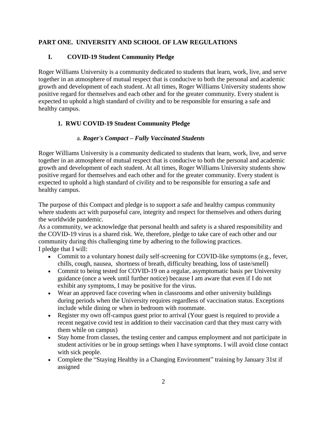# **PART ONE. UNIVERSITY AND SCHOOL OF LAW REGULATIONS**

# **I. COVID-19 Student Community Pledge**

Roger Williams University is a community dedicated to students that learn, work, live, and serve together in an atmosphere of mutual respect that is conducive to both the personal and academic growth and development of each student. At all times, Roger Williams University students show positive regard for themselves and each other and for the greater community. Every student is expected to uphold a high standard of civility and to be responsible for ensuring a safe and healthy campus.

# **1. RWU COVID-19 Student Community Pledge**

# a. *Roger's Compact – Fully Vaccinated Students*

Roger Williams University is a community dedicated to students that learn, work, live, and serve together in an atmosphere of mutual respect that is conducive to both the personal and academic growth and development of each student. At all times, Roger Williams University students show positive regard for themselves and each other and for the greater community. Every student is expected to uphold a high standard of civility and to be responsible for ensuring a safe and healthy campus.

The purpose of this Compact and pledge is to support a safe and healthy campus community where students act with purposeful care, integrity and respect for themselves and others during the worldwide pandemic.

As a community, we acknowledge that personal health and safety is a shared responsibility and the COVID-19 virus is a shared risk. We, therefore, pledge to take care of each other and our community during this challenging time by adhering to the following practices.

I pledge that I will:

- Commit to a voluntary honest daily self-screening for COVID-like symptoms (e.g., fever, chills, cough, nausea, shortness of breath, difficulty breathing, loss of taste/smell)
- Commit to being tested for COVID-19 on a regular, asymptomatic basis per University guidance (once a week until further notice) because I am aware that even if I do not exhibit any symptoms, I may be positive for the virus.
- Wear an approved face covering when in classrooms and other university buildings during periods when the University requires regardless of vaccination status. Exceptions include while dining or when in bedroom with roommate.
- Register my own off-campus guest prior to arrival (Your guest is required to provide a recent negative covid test in addition to their vaccination card that they must carry with them while on campus)
- Stay home from classes, the testing center and campus employment and not participate in student activities or be in group settings when I have symptoms. I will avoid close contact with sick people.
- Complete the "Staying Healthy in a Changing Environment" training by January 31st if assigned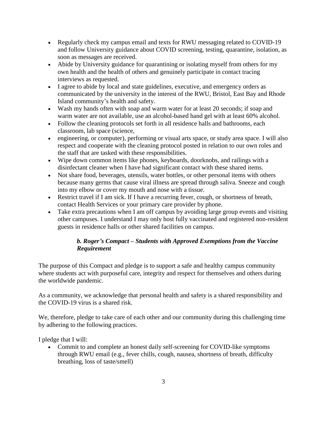- Regularly check my campus email and texts for RWU messaging related to COVID-19 and follow University guidance about COVID screening, testing, quarantine, isolation, as soon as messages are received.
- Abide by University guidance for quarantining or isolating myself from others for my own health and the health of others and genuinely participate in contact tracing interviews as requested.
- I agree to abide by local and state guidelines, executive, and emergency orders as communicated by the university in the interest of the RWU, Bristol, East Bay and Rhode Island community's health and safety.
- Wash my hands often with soap and warm water for at least 20 seconds; if soap and warm water are not available, use an alcohol-based hand gel with at least 60% alcohol.
- Follow the cleaning protocols set forth in all residence halls and bathrooms, each classroom, lab space (science,
- engineering, or computer), performing or visual arts space, or study area space. I will also respect and cooperate with the cleaning protocol posted in relation to our own roles and the staff that are tasked with these responsibilities.
- Wipe down common items like phones, keyboards, doorknobs, and railings with a disinfectant cleaner when I have had significant contact with these shared items.
- Not share food, beverages, utensils, water bottles, or other personal items with others because many germs that cause viral illness are spread through saliva. Sneeze and cough into my elbow or cover my mouth and nose with a tissue.
- Restrict travel if I am sick. If I have a recurring fever, cough, or shortness of breath, contact Health Services or your primary care provider by phone.
- Take extra precautions when I am off campus by avoiding large group events and visiting other campuses. I understand I may only host fully vaccinated and registered non-resident guests in residence halls or other shared facilities on campus.

# *b. Roger's Compact – Students with Approved Exemptions from the Vaccine Requirement*

The purpose of this Compact and pledge is to support a safe and healthy campus community where students act with purposeful care, integrity and respect for themselves and others during the worldwide pandemic.

As a community, we acknowledge that personal health and safety is a shared responsibility and the COVID-19 virus is a shared risk.

We, therefore, pledge to take care of each other and our community during this challenging time by adhering to the following practices.

I pledge that I will:

• Commit to and complete an honest daily self-screening for COVID-like symptoms through RWU email (e.g., fever chills, cough, nausea, shortness of breath, difficulty breathing, loss of taste/smell)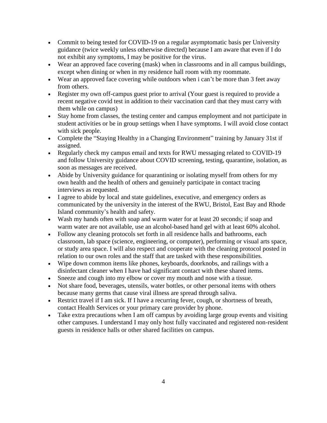- Commit to being tested for COVID-19 on a regular asymptomatic basis per University guidance (twice weekly unless otherwise directed) because I am aware that even if I do not exhibit any symptoms, I may be positive for the virus.
- Wear an approved face covering (mask) when in classrooms and in all campus buildings, except when dining or when in my residence hall room with my roommate.
- Wear an approved face covering while outdoors when i can't be more than 3 feet away from others.
- Register my own off-campus guest prior to arrival (Your guest is required to provide a recent negative covid test in addition to their vaccination card that they must carry with them while on campus)
- Stay home from classes, the testing center and campus employment and not participate in student activities or be in group settings when I have symptoms. I will avoid close contact with sick people.
- Complete the "Staying Healthy in a Changing Environment" training by January 31st if assigned.
- Regularly check my campus email and texts for RWU messaging related to COVID-19 and follow University guidance about COVID screening, testing, quarantine, isolation, as soon as messages are received.
- Abide by University guidance for quarantining or isolating myself from others for my own health and the health of others and genuinely participate in contact tracing interviews as requested.
- I agree to abide by local and state guidelines, executive, and emergency orders as communicated by the university in the interest of the RWU, Bristol, East Bay and Rhode Island community's health and safety.
- Wash my hands often with soap and warm water for at least 20 seconds; if soap and warm water are not available, use an alcohol-based hand gel with at least 60% alcohol.
- Follow any cleaning protocols set forth in all residence halls and bathrooms, each classroom, lab space (science, engineering, or computer), performing or visual arts space, or study area space. I will also respect and cooperate with the cleaning protocol posted in relation to our own roles and the staff that are tasked with these responsibilities.
- Wipe down common items like phones, keyboards, doorknobs, and railings with a disinfectant cleaner when I have had significant contact with these shared items.
- Sneeze and cough into my elbow or cover my mouth and nose with a tissue.
- Not share food, beverages, utensils, water bottles, or other personal items with others because many germs that cause viral illness are spread through saliva.
- Restrict travel if I am sick. If I have a recurring fever, cough, or shortness of breath, contact Health Services or your primary care provider by phone.
- Take extra precautions when I am off campus by avoiding large group events and visiting other campuses. I understand I may only host fully vaccinated and registered non-resident guests in residence halls or other shared facilities on campus.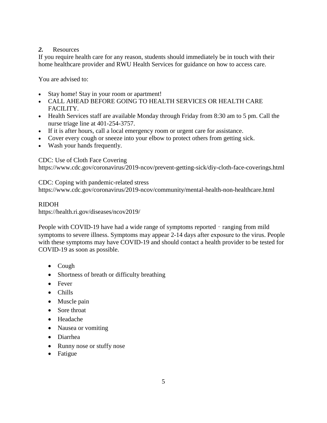# *2.*Resources

If you require health care for any reason, students should immediately be in touch with their home healthcare provider and RWU Health Services for guidance on how to access care.

You are advised to:

- Stay home! Stay in your room or apartment!
- CALL AHEAD BEFORE GOING TO HEALTH SERVICES OR HEALTH CARE FACILITY.
- Health Services staff are available Monday through Friday from 8:30 am to 5 pm. Call the nurse triage line at 401-254-3757.
- If it is after hours, call a local emergency room or urgent care for assistance.
- Cover every cough or sneeze into your elbow to protect others from getting sick.
- Wash your hands frequently.

# CDC: Use of Cloth Face Covering

https://www.cdc.gov/coronavirus/2019-ncov/prevent-getting-sick/diy-cloth-face-coverings.html

CDC: Coping with pandemic-related stress

https://www.cdc.gov/coronavirus/2019-ncov/community/mental-health-non-healthcare.html

# RIDOH

https://health.ri.gov/diseases/ncov2019/

People with COVID-19 have had a wide range of symptoms reported – ranging from mild symptoms to severe illness. Symptoms may appear 2-14 days after exposure to the virus. People with these symptoms may have COVID-19 and should contact a health provider to be tested for COVID-19 as soon as possible.

- Cough
- Shortness of breath or difficulty breathing
- Fever
- Chills
- Muscle pain
- Sore throat
- Headache
- Nausea or vomiting
- Diarrhea
- Runny nose or stuffy nose
- Fatigue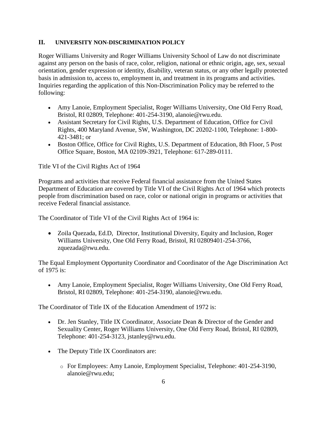# **II. UNIVERSITY NON-DISCRIMINATION POLICY**

Roger Williams University and Roger Williams University School of Law do not discriminate against any person on the basis of race, color, religion, national or ethnic origin, age, sex, sexual orientation, gender expression or identity, disability, veteran status, or any other legally protected basis in admission to, access to, employment in, and treatment in its programs and activities. Inquiries regarding the application of this Non-Discrimination Policy may be referred to the following:

- Amy Lanoie, Employment Specialist, Roger Williams University, One Old Ferry Road, Bristol, RI 02809, Telephone: 401-254-3190, alanoie@rwu.edu.
- Assistant Secretary for Civil Rights, U.S. Department of Education, Office for Civil Rights, 400 Maryland Avenue, SW, Washington, DC 20202-1100, Telephone: 1-800- 421-3481; or
- Boston Office, Office for Civil Rights, U.S. Department of Education, 8th Floor, 5 Post Office Square, Boston, MA 02109-3921, Telephone: 617-289-0111.

Title VI of the Civil Rights Act of 1964

Programs and activities that receive Federal financial assistance from the United States Department of Education are covered by Title VI of the Civil Rights Act of 1964 which protects people from discrimination based on race, color or national origin in programs or activities that receive Federal financial assistance.

The Coordinator of Title VI of the Civil Rights Act of 1964 is:

• Zoila Quezada, Ed.D, Director, Institutional Diversity, Equity and Inclusion, Roger Williams University, One Old Ferry Road, Bristol, RI 02809401-254-3766, zquezada@rwu.edu.

The Equal Employment Opportunity Coordinator and Coordinator of the Age Discrimination Act of 1975 is:

• Amy Lanoie, Employment Specialist, Roger Williams University, One Old Ferry Road, Bristol, RI 02809, Telephone: 401-254-3190, alanoie@rwu.edu.

The Coordinator of Title IX of the Education Amendment of 1972 is:

- Dr. Jen Stanley, Title IX Coordinator, Associate Dean & Director of the Gender and Sexuality Center, Roger Williams University, One Old Ferry Road, Bristol, RI 02809, Telephone: 401-254-3123, jstanley@rwu.edu.
- The Deputy Title IX Coordinators are:
	- o For Employees: Amy Lanoie, Employment Specialist, Telephone: 401-254-3190, alanoie@rwu.edu;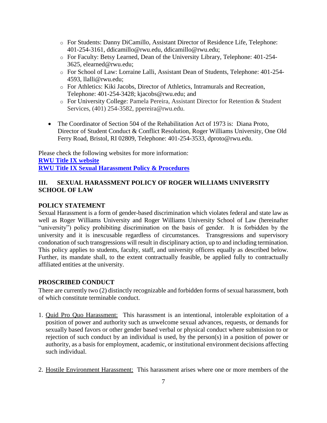- o For Students: Danny DiCamillo, Assistant Director of Residence Life, Telephone: 401-254-3161, ddicamillo@rwu.edu, ddicamillo@rwu.edu;
- o For Faculty: Betsy Learned, Dean of the University Library, Telephone: 401-254- 3625, elearned@rwu.edu;
- o For School of Law: Lorraine Lalli, Assistant Dean of Students, Telephone: 401-254- 4593, llalli@rwu.edu;
- o For Athletics: Kiki Jacobs, Director of Athletics, Intramurals and Recreation, Telephone: 401-254-3428; kjacobs@rwu.edu; and
- o For University College: Pamela Pereira, Assistant Director for Retention & Student Services, (401) 254-3582, ppereira@rwu.edu.
- The Coordinator of Section 504 of the Rehabilitation Act of 1973 is: Diana Proto, Director of Student Conduct & Conflict Resolution, Roger Williams University, One Old Ferry Road, Bristol, RI 02809, Telephone: 401-254-3533, dproto@rwu.edu.

Please check the following websites for more information: **[RWU Title IX website](http://rwu.edu/node/145526) [RWU Title IX Sexual Harassment Policy & Procedures](https://www.rwu.edu/student-handbook/sexual-misconduct-gender-based-misconduct-procedures)**

# **III. SEXUAL HARASSMENT POLICY OF ROGER WILLIAMS UNIVERSITY SCHOOL OF LAW**

# **POLICY STATEMENT**

Sexual Harassment is a form of gender-based discrimination which violates federal and state law as well as Roger Williams University and Roger Williams University School of Law (hereinafter "university") policy prohibiting discrimination on the basis of gender. It is forbidden by the university and it is inexcusable regardless of circumstances. Transgressions and supervisory condonation of such transgressions will result in disciplinary action, up to and including termination. This policy applies to students, faculty, staff, and university officers equally as described below. Further, its mandate shall, to the extent contractually feasible, be applied fully to contractually affiliated entities at the university.

# **PROSCRIBED CONDUCT**

There are currently two (2) distinctly recognizable and forbidden forms of sexual harassment, both of which constitute terminable conduct.

- 1. Quid Pro Quo Harassment: This harassment is an intentional, intolerable exploitation of a position of power and authority such as unwelcome sexual advances, requests, or demands for sexually based favors or other gender based verbal or physical conduct where submission to or rejection of such conduct by an individual is used, by the person(s) in a position of power or authority, as a basis for employment, academic, or institutional environment decisions affecting such individual.
- 2. Hostile Environment Harassment: This harassment arises where one or more members of the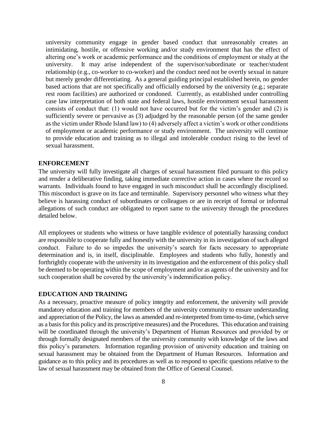university community engage in gender based conduct that unreasonably creates an intimidating, hostile, or offensive working and/or study environment that has the effect of altering one's work or academic performance and the conditions of employment or study at the university. It may arise independent of the supervisor/subordinate or teacher/student relationship (e.g., co-worker to co-worker) and the conduct need not be overtly sexual in nature but merely gender differentiating. As a general guiding principal established herein, no gender based actions that are not specifically and officially endorsed by the university (e.g.; separate rest room facilities) are authorized or condoned. Currently, as established under controlling case law interpretation of both state and federal laws, hostile environment sexual harassment consists of conduct that: (1) would not have occurred but for the victim's gender and (2) is sufficiently severe or pervasive as (3) adjudged by the reasonable person (of the same gender as the victim under Rhode Island law) to (4) adversely affect a victim's work or other conditions of employment or academic performance or study environment. The university will continue to provide education and training as to illegal and intolerable conduct rising to the level of sexual harassment.

#### **ENFORCEMENT**

The university will fully investigate all charges of sexual harassment filed pursuant to this policy and render a deliberative finding, taking immediate corrective action in cases where the record so warrants. Individuals found to have engaged in such misconduct shall be accordingly disciplined. This misconduct is grave on its face and terminable. Supervisory personnel who witness what they believe is harassing conduct of subordinates or colleagues or are in receipt of formal or informal allegations of such conduct are obligated to report same to the university through the procedures detailed below.

All employees or students who witness or have tangible evidence of potentially harassing conduct are responsible to cooperate fully and honestly with the university in its investigation of such alleged conduct. Failure to do so impedes the university's search for facts necessary to appropriate determination and is, in itself, disciplinable. Employees and students who fully, honestly and forthrightly cooperate with the university in its investigation and the enforcement of this policy shall be deemed to be operating within the scope of employment and/or as agents of the university and for such cooperation shall be covered by the university's indemnification policy.

#### **EDUCATION AND TRAINING**

As a necessary, proactive measure of policy integrity and enforcement, the university will provide mandatory education and training for members of the university community to ensure understanding and appreciation of the Policy, the laws as amended and re-interpreted from time-to-time, (which serve as a basis for this policy and its proscriptive measures) and the Procedures. This education and training will be coordinated through the university's Department of Human Resources and provided by or through formally designated members of the university community with knowledge of the laws and this policy's parameters. Information regarding provision of university education and training on sexual harassment may be obtained from the Department of Human Resources. Information and guidance as to this policy and its procedures as well as to respond to specific questions relative to the law of sexual harassment may be obtained from the Office of General Counsel.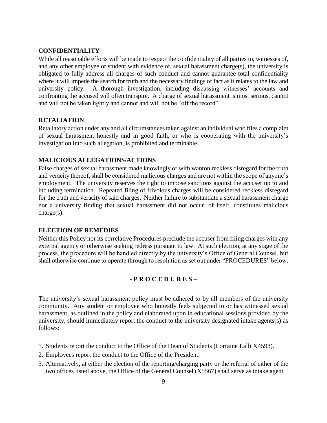#### **CONFIDENTIALITY**

While all reasonable efforts will be made to respect the confidentiality of all parties to, witnesses of, and any other employee or student with evidence of, sexual harassment charge(s), the university is obligated to fully address all charges of such conduct and cannot guarantee total confidentiality where it will impede the search for truth and the necessary findings of fact as it relates to the law and university policy. A thorough investigation, including discussing witnesses' accounts and confronting the accused will often transpire. A charge of sexual harassment is most serious, cannot and will not be taken lightly and cannot and will not be "off the record".

#### **RETALIATION**

Retaliatory action under any and all circumstances taken against an individual who files a complaint of sexual harassment honestly and in good faith, or who is cooperating with the university's investigation into such allegation, is prohibited and terminable.

#### **MALICIOUS ALLEGATIONS/ACTIONS**

False charges of sexual harassment made knowingly or with wanton reckless disregard for the truth and veracity thereof, shall be considered malicious charges and are not within the scope of anyone's employment. The university reserves the right to impose sanctions against the accuser up to and including termination. Repeated filing of frivolous charges will be considered reckless disregard for the truth and veracity of said charges. Neither failure to substantiate a sexual harassment charge nor a university finding that sexual harassment did not occur, of itself, constitutes malicious charge(s).

#### **ELECTION OF REMEDIES**

Neither this Policy nor its correlative Procedures preclude the accuser from filing charges with any external agency or otherwise seeking redress pursuant to law. At such election, at any stage of the process, the procedure will be handled directly by the university's Office of General Counsel, but shall otherwise continue to operate through to resolution as set out under "PROCEDURES" below.

#### **- P R O C E D U R E S –**

The university's sexual harassment policy must be adhered to by all members of the university community. Any student or employee who honestly feels subjected to or has witnessed sexual harassment, as outlined in the policy and elaborated upon in educational sessions provided by the university, should immediately report the conduct to the university designated intake agents(s) as follows:

- 1. Students report the conduct to the Office of the Dean of Students (Lorraine Lalli X4593).
- 2. Employees report the conduct to the Office of the President.
- 3. Alternatively, at either the election of the reporting/charging party or the referral of either of the two offices listed above, the Office of the General Counsel (X5567) shall serve as intake agent.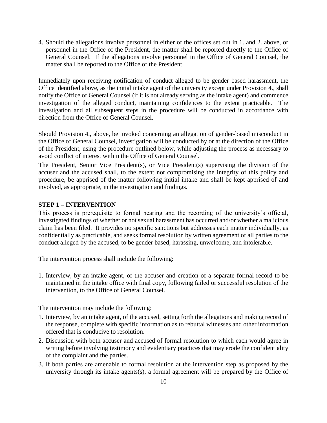4. Should the allegations involve personnel in either of the offices set out in 1. and 2. above, or personnel in the Office of the President, the matter shall be reported directly to the Office of General Counsel. If the allegations involve personnel in the Office of General Counsel, the matter shall be reported to the Office of the President.

Immediately upon receiving notification of conduct alleged to be gender based harassment, the Office identified above, as the initial intake agent of the university except under Provision 4., shall notify the Office of General Counsel (if it is not already serving as the intake agent) and commence investigation of the alleged conduct, maintaining confidences to the extent practicable. The investigation and all subsequent steps in the procedure will be conducted in accordance with direction from the Office of General Counsel.

Should Provision 4., above, be invoked concerning an allegation of gender-based misconduct in the Office of General Counsel, investigation will be conducted by or at the direction of the Office of the President, using the procedure outlined below, while adjusting the process as necessary to avoid conflict of interest within the Office of General Counsel.

The President, Senior Vice President(s), or Vice President(s) supervising the division of the accuser and the accused shall, to the extent not compromising the integrity of this policy and procedure, be apprised of the matter following initial intake and shall be kept apprised of and involved, as appropriate, in the investigation and findings.

#### **STEP 1 – INTERVENTION**

This process is prerequisite to formal hearing and the recording of the university's official, investigated findings of whether or not sexual harassment has occurred and/or whether a malicious claim has been filed. It provides no specific sanctions but addresses each matter individually, as confidentially as practicable, and seeks formal resolution by written agreement of all parties to the conduct alleged by the accused, to be gender based, harassing, unwelcome, and intolerable.

The intervention process shall include the following:

1. Interview, by an intake agent, of the accuser and creation of a separate formal record to be maintained in the intake office with final copy, following failed or successful resolution of the intervention, to the Office of General Counsel.

The intervention may include the following:

- 1. Interview, by an intake agent, of the accused, setting forth the allegations and making record of the response, complete with specific information as to rebuttal witnesses and other information offered that is conducive to resolution.
- 2. Discussion with both accuser and accused of formal resolution to which each would agree in writing before involving testimony and evidentiary practices that may erode the confidentiality of the complaint and the parties.
- 3. If both parties are amenable to formal resolution at the intervention step as proposed by the university through its intake agents(s), a formal agreement will be prepared by the Office of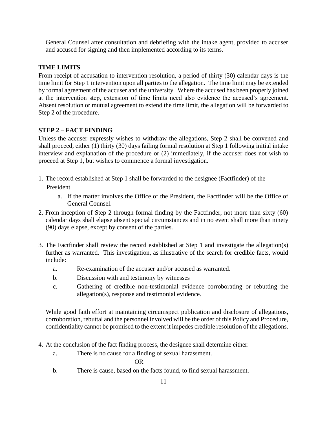General Counsel after consultation and debriefing with the intake agent, provided to accuser and accused for signing and then implemented according to its terms.

# **TIME LIMITS**

From receipt of accusation to intervention resolution, a period of thirty (30) calendar days is the time limit for Step 1 intervention upon all parties to the allegation. The time limit may be extended by formal agreement of the accuser and the university. Where the accused has been properly joined at the intervention step, extension of time limits need also evidence the accused's agreement. Absent resolution or mutual agreement to extend the time limit, the allegation will be forwarded to Step 2 of the procedure.

# **STEP 2 – FACT FINDING**

Unless the accuser expressly wishes to withdraw the allegations, Step 2 shall be convened and shall proceed, either (1) thirty (30) days failing formal resolution at Step 1 following initial intake interview and explanation of the procedure or (2) immediately, if the accuser does not wish to proceed at Step 1, but wishes to commence a formal investigation.

1. The record established at Step 1 shall be forwarded to the designee (Factfinder) of the

President.

- a. If the matter involves the Office of the President, the Factfinder will be the Office of General Counsel.
- 2. From inception of Step 2 through formal finding by the Factfinder, not more than sixty (60) calendar days shall elapse absent special circumstances and in no event shall more than ninety (90) days elapse, except by consent of the parties.
- 3. The Factfinder shall review the record established at Step 1 and investigate the allegation(s) further as warranted. This investigation, as illustrative of the search for credible facts, would include:
	- a. Re-examination of the accuser and/or accused as warranted.
	- b. Discussion with and testimony by witnesses
	- c. Gathering of credible non-testimonial evidence corroborating or rebutting the allegation(s), response and testimonial evidence.

While good faith effort at maintaining circumspect publication and disclosure of allegations, corroboration, rebuttal and the personnel involved will be the order of this Policy and Procedure, confidentiality cannot be promised to the extent it impedes credible resolution of the allegations.

- 4. At the conclusion of the fact finding process, the designee shall determine either:
	- a. There is no cause for a finding of sexual harassment.

OR

b. There is cause, based on the facts found, to find sexual harassment.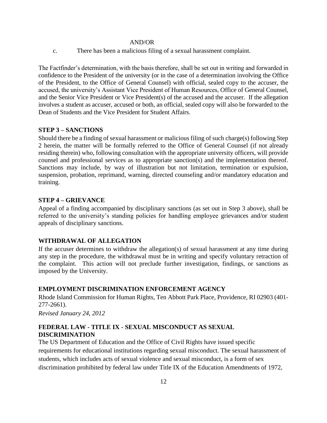#### AND/OR

c. There has been a malicious filing of a sexual harassment complaint.

The Factfinder's determination, with the basis therefore, shall be set out in writing and forwarded in confidence to the President of the university (or in the case of a determination involving the Office of the President, to the Office of General Counsel) with official, sealed copy to the accuser, the accused, the university's Assistant Vice President of Human Resources, Office of General Counsel, and the Senior Vice President or Vice President(s) of the accused and the accuser. If the allegation involves a student as accuser, accused or both, an official, sealed copy will also be forwarded to the Dean of Students and the Vice President for Student Affairs.

#### **STEP 3 – SANCTIONS**

Should there be a finding of sexual harassment or malicious filing of such charge(s) following Step 2 herein, the matter will be formally referred to the Office of General Counsel (if not already residing therein) who, following consultation with the appropriate university officers, will provide counsel and professional services as to appropriate sanction(s) and the implementation thereof. Sanctions may include, by way of illustration but not limitation, termination or expulsion, suspension, probation, reprimand, warning, directed counseling and/or mandatory education and training.

#### **STEP 4 – GRIEVANCE**

Appeal of a finding accompanied by disciplinary sanctions (as set out in Step 3 above), shall be referred to the university's standing policies for handling employee grievances and/or student appeals of disciplinary sanctions.

#### **WITHDRAWAL OF ALLEGATION**

If the accuser determines to withdraw the allegation(s) of sexual harassment at any time during any step in the procedure, the withdrawal must be in writing and specify voluntary retraction of the complaint. This action will not preclude further investigation, findings, or sanctions as imposed by the University.

#### **EMPLOYMENT DISCRIMINATION ENFORCEMENT AGENCY**

Rhode Island Commission for Human Rights, Ten Abbott Park Place, Providence, RI 02903 (401- 277-2661).

*Revised January 24, 2012*

# **FEDERAL LAW - TITLE IX - SEXUAL MISCONDUCT AS SEXUAL DISCRIMINATION**

The US Department of Education and the Office of Civil Rights have issued specific requirements for educational institutions regarding sexual misconduct. The sexual harassment of students, which includes acts of sexual violence and sexual misconduct, is a form of sex discrimination prohibited by federal law under Title IX of the Education Amendments of 1972,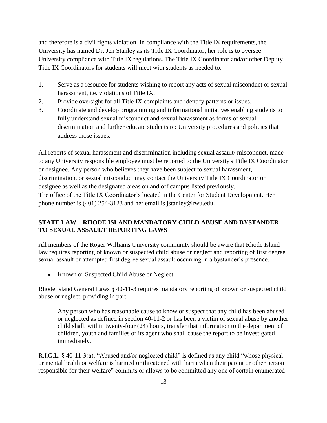and therefore is a civil rights violation. In compliance with the Title IX requirements, the University has named Dr. Jen Stanley as its Title IX Coordinator; her role is to oversee University compliance with Title IX regulations. The Title IX Coordinator and/or other Deputy Title IX Coordinators for students will meet with students as needed to:

- 1. Serve as a resource for students wishing to report any acts of sexual misconduct or sexual harassment, i.e. violations of Title IX.
- 2. Provide oversight for all Title IX complaints and identify patterns or issues.
- 3. Coordinate and develop programming and informational initiatives enabling students to fully understand sexual misconduct and sexual harassment as forms of sexual discrimination and further educate students re: University procedures and policies that address those issues.

All reports of sexual harassment and discrimination including sexual assault/ misconduct, made to any University responsible employee must be reported to the University's Title IX Coordinator or designee. Any person who believes they have been subject to sexual harassment, discrimination, or sexual misconduct may contact the University Title IX Coordinator or designee as well as the designated areas on and off campus listed previously. The office of the Title IX Coordinator's located in the Center for Student Development. Her phone number is (401) 254-3123 and her email is jstanley@rwu.edu.

# **STATE LAW – RHODE ISLAND MANDATORY CHILD ABUSE AND BYSTANDER TO SEXUAL ASSAULT REPORTING LAWS**

All members of the Roger Williams University community should be aware that Rhode Island law requires reporting of known or suspected child abuse or neglect and reporting of first degree sexual assault or attempted first degree sexual assault occurring in a bystander's presence.

• Known or Suspected Child Abuse or Neglect

Rhode Island General Laws § 40-11-3 requires mandatory reporting of known or suspected child abuse or neglect, providing in part:

Any person who has reasonable cause to know or suspect that any child has been abused or neglected as defined in section 40-11-2 or has been a victim of sexual abuse by another child shall, within twenty-four (24) hours, transfer that information to the department of children, youth and families or its agent who shall cause the report to be investigated immediately.

R.I.G.L. § 40-11-3(a). "Abused and/or neglected child" is defined as any child "whose physical or mental health or welfare is harmed or threatened with harm when their parent or other person responsible for their welfare" commits or allows to be committed any one of certain enumerated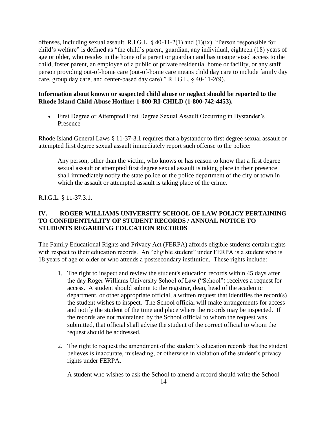offenses, including sexual assault. R.I.G.L. § 40-11-2(1) and (1)(ix). "Person responsible for child's welfare" is defined as "the child's parent, guardian, any individual, eighteen (18) years of age or older, who resides in the home of a parent or guardian and has unsupervised access to the child, foster parent, an employee of a public or private residential home or facility, or any staff person providing out-of-home care (out-of-home care means child day care to include family day care, group day care, and center-based day care)." R.I.G.L. § 40-11-2(9).

# **Information about known or suspected child abuse or neglect should be reported to the Rhode Island Child Abuse Hotline: 1-800-RI-CHILD (1-800-742-4453).**

• First Degree or Attempted First Degree Sexual Assault Occurring in Bystander's Presence

Rhode Island General Laws § 11-37-3.1 requires that a bystander to first degree sexual assault or attempted first degree sexual assault immediately report such offense to the police:

Any person, other than the victim, who knows or has reason to know that a first degree sexual assault or attempted first degree sexual assault is taking place in their presence shall immediately notify the state police or the police department of the city or town in which the assault or attempted assault is taking place of the crime.

#### R.I.G.L. § 11-37.3.1.

# **IV. ROGER WILLIAMS UNIVERSITY SCHOOL OF LAW POLICY PERTAINING TO CONFIDENTIALITY OF STUDENT RECORDS / ANNUAL NOTICE TO STUDENTS REGARDING EDUCATION RECORDS**

The Family Educational Rights and Privacy Act (FERPA) affords eligible students certain rights with respect to their education records. An "eligible student" under FERPA is a student who is 18 years of age or older or who attends a postsecondary institution. These rights include:

- 1. The right to inspect and review the student's education records within 45 days after the day Roger Williams University School of Law ("School") receives a request for access. A student should submit to the registrar, dean, head of the academic department, or other appropriate official, a written request that identifies the record(s) the student wishes to inspect. The School official will make arrangements for access and notify the student of the time and place where the records may be inspected. If the records are not maintained by the School official to whom the request was submitted, that official shall advise the student of the correct official to whom the request should be addressed.
- 2. The right to request the amendment of the student's education records that the student believes is inaccurate, misleading, or otherwise in violation of the student's privacy rights under FERPA.

A student who wishes to ask the School to amend a record should write the School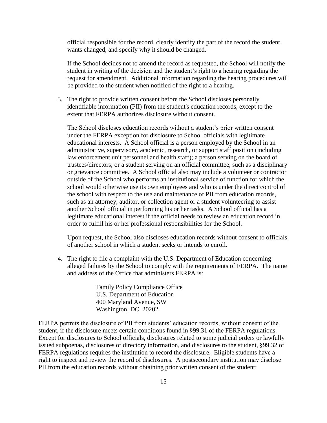official responsible for the record, clearly identify the part of the record the student wants changed, and specify why it should be changed.

If the School decides not to amend the record as requested, the School will notify the student in writing of the decision and the student's right to a hearing regarding the request for amendment. Additional information regarding the hearing procedures will be provided to the student when notified of the right to a hearing.

3. The right to provide written consent before the School discloses personally identifiable information (PII) from the student's education records, except to the extent that FERPA authorizes disclosure without consent.

The School discloses education records without a student's prior written consent under the FERPA exception for disclosure to School officials with legitimate educational interests. A School official is a person employed by the School in an administrative, supervisory, academic, research, or support staff position (including law enforcement unit personnel and health staff); a person serving on the board of trustees/directors; or a student serving on an official committee, such as a disciplinary or grievance committee. A School official also may include a volunteer or contractor outside of the School who performs an institutional service of function for which the school would otherwise use its own employees and who is under the direct control of the school with respect to the use and maintenance of PII from education records, such as an attorney, auditor, or collection agent or a student volunteering to assist another School official in performing his or her tasks. A School official has a legitimate educational interest if the official needs to review an education record in order to fulfill his or her professional responsibilities for the School.

Upon request, the School also discloses education records without consent to officials of another school in which a student seeks or intends to enroll.

4. The right to file a complaint with the U.S. Department of Education concerning alleged failures by the School to comply with the requirements of FERPA. The name and address of the Office that administers FERPA is:

> Family Policy Compliance Office U.S. Department of Education 400 Maryland Avenue, SW Washington, DC 20202

FERPA permits the disclosure of PII from students' education records, without consent of the student, if the disclosure meets certain conditions found in §99.31 of the FERPA regulations. Except for disclosures to School officials, disclosures related to some judicial orders or lawfully issued subpoenas, disclosures of directory information, and disclosures to the student, §99.32 of FERPA regulations requires the institution to record the disclosure. Eligible students have a right to inspect and review the record of disclosures. A postsecondary institution may disclose PII from the education records without obtaining prior written consent of the student: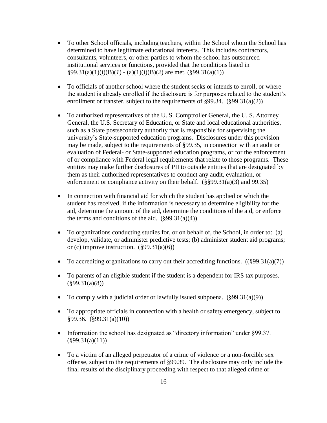- To other School officials, including teachers, within the School whom the School has determined to have legitimate educational interests. This includes contractors, consultants, volunteers, or other parties to whom the school has outsourced institutional services or functions, provided that the conditions listed in  $\S99.31(a)(1)(i)(B)(I) - (a)(1)(i)(B)(2)$  are met. ( $\S99.31(a)(1)$ )
- To officials of another school where the student seeks or intends to enroll, or where the student is already enrolled if the disclosure is for purposes related to the student's enrollment or transfer, subject to the requirements of §99.34. (§99.31(a)(2))
- To authorized representatives of the U. S. Comptroller General, the U. S. Attorney General, the U.S. Secretary of Education, or State and local educational authorities, such as a State postsecondary authority that is responsible for supervising the university's State-supported education programs. Disclosures under this provision may be made, subject to the requirements of §99.35, in connection with an audit or evaluation of Federal- or State-supported education programs, or for the enforcement of or compliance with Federal legal requirements that relate to those programs. These entities may make further disclosures of PII to outside entities that are designated by them as their authorized representatives to conduct any audit, evaluation, or enforcement or compliance activity on their behalf. ( $\S$ §99.31(a)(3) and 99.35)
- In connection with financial aid for which the student has applied or which the student has received, if the information is necessary to determine eligibility for the aid, determine the amount of the aid, determine the conditions of the aid, or enforce the terms and conditions of the aid.  $(\frac{699.31(a)(4)}{4})$
- To organizations conducting studies for, or on behalf of, the School, in order to: (a) develop, validate, or administer predictive tests; (b) administer student aid programs; or (c) improve instruction.  $(\S 99.31(a)(6))$
- To accrediting organizations to carry out their accrediting functions.  $((\S 99.31(a)(7)))$
- To parents of an eligible student if the student is a dependent for IRS tax purposes.  $(\$99.31(a)(8))$
- To comply with a judicial order or lawfully issued subpoena.  $(\frac{899.31(a)(9)}{99.31(a)(9)}$
- To appropriate officials in connection with a health or safety emergency, subject to  $§99.36.$  ( $§99.31(a)(10)$ )
- Information the school has designated as "directory information" under §99.37.  $(\$99.31(a)(11))$
- To a victim of an alleged perpetrator of a crime of violence or a non-forcible sex offense, subject to the requirements of §99.39. The disclosure may only include the final results of the disciplinary proceeding with respect to that alleged crime or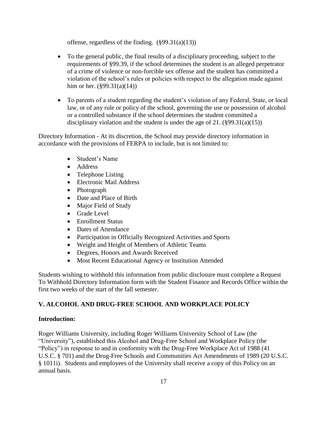offense, regardless of the finding. (§99.31(a)(13))

- To the general public, the final results of a disciplinary proceeding, subject to the requirements of §99.39, if the school determines the student is an alleged perpetrator of a crime of violence or non-forcible sex offense and the student has committed a violation of the school's rules or policies with respect to the allegation made against him or her.  $(\frac{699.31(a)(14)}{2})$
- To parents of a student regarding the student's violation of any Federal, State, or local law, or of any rule or policy of the school, governing the use or possession of alcohol or a controlled substance if the school determines the student committed a disciplinary violation and the student is under the age of  $21. (§99.31(a)(15))$

Directory Information - At its discretion, the School may provide directory information in accordance with the provisions of FERPA to include, but is not limited to:

- Student's Name
- Address
- Telephone Listing
- Electronic Mail Address
- Photograph
- Date and Place of Birth
- Major Field of Study
- Grade Level
- Enrollment Status
- Dates of Attendance
- Participation in Officially Recognized Activities and Sports
- Weight and Height of Members of Athletic Teams
- Degrees, Honors and Awards Received
- Most Recent Educational Agency or Institution Attended

Students wishing to withhold this information from public disclosure must complete a Request To Withhold Directory Information form with the Student Finance and Records Office within the first two weeks of the start of the fall semester.

# **V. ALCOHOL AND DRUG-FREE SCHOOL AND WORKPLACE POLICY**

# **Introduction:**

Roger Williams University, including Roger Williams University School of Law (the "University"), established this Alcohol and Drug-Free School and Workplace Policy (the "Policy") in response to and in conformity with the Drug-Free Workplace Act of 1988 (41 U.S.C. § 701) and the Drug-Free Schools and Communities Act Amendments of 1989 (20 U.S.C. § 1011i). Students and employees of the University shall receive a copy of this Policy on an annual basis.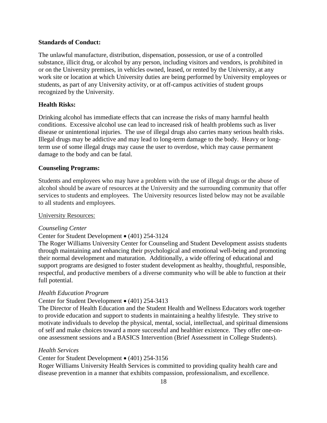#### **Standards of Conduct:**

The unlawful manufacture, distribution, dispensation, possession, or use of a controlled substance, illicit drug, or alcohol by any person, including visitors and vendors, is prohibited in or on the University premises, in vehicles owned, leased, or rented by the University, at any work site or location at which University duties are being performed by University employees or students, as part of any University activity, or at off-campus activities of student groups recognized by the University.

#### **Health Risks:**

Drinking alcohol has immediate effects that can increase the risks of many harmful health conditions. Excessive alcohol use can lead to increased risk of health problems such as liver disease or unintentional injuries. The use of illegal drugs also carries many serious health risks. Illegal drugs may be addictive and may lead to long-term damage to the body. Heavy or longterm use of some illegal drugs may cause the user to overdose, which may cause permanent damage to the body and can be fatal.

#### **Counseling Programs:**

Students and employees who may have a problem with the use of illegal drugs or the abuse of alcohol should be aware of resources at the University and the surrounding community that offer services to students and employees. The University resources listed below may not be available to all students and employees.

#### University Resources:

#### *Counseling Center*

#### Center for Student Development • (401) 254-3124

The Roger Williams University Center for Counseling and Student Development assists students through maintaining and enhancing their psychological and emotional well-being and promoting their normal development and maturation. Additionally, a wide offering of educational and support programs are designed to foster student development as healthy, thoughtful, responsible, respectful, and productive members of a diverse community who will be able to function at their full potential.

#### *Health Education Program*

#### Center for Student Development • (401) 254-3413

The Director of Health Education and the Student Health and Wellness Educators work together to provide education and support to students in maintaining a healthy lifestyle. They strive to motivate individuals to develop the physical, mental, social, intellectual, and spiritual dimensions of self and make choices toward a more successful and healthier existence. They offer one-onone assessment sessions and a BASICS Intervention (Brief Assessment in College Students).

#### *Health Services*

#### Center for Student Development • (401) 254-3156

Roger Williams University Health Services is committed to providing quality health care and disease prevention in a manner that exhibits compassion, professionalism, and excellence.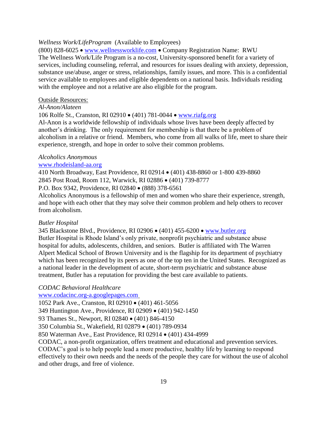#### *Wellness Work/LifeProgram* (Available to Employees)

(800) 828-6025 • [www.wellnessworklife.com](http://www.wellnessworklife.com/) • Company Registration Name: RWU The Wellness Work/Life Program is a no-cost, University-sponsored benefit for a variety of services, including counseling, referral, and resources for issues dealing with anxiety, depression, substance use/abuse, anger or stress, relationships, family issues, and more. This is a confidential service available to employees and eligible dependents on a national basis. Individuals residing with the employee and not a relative are also eligible for the program.

#### Outside Resources:

# *Al-Anon/Alateen*

106 Rolfe St., Cranston, RI 02910 • (401) 781-0044 • [www.riafg.org](http://www.riafg.org/)

Al-Anon is a worldwide fellowship of individuals whose lives have been deeply affected by another's drinking. The only requirement for membership is that there be a problem of alcoholism in a relative or friend. Members, who come from all walks of life, meet to share their experience, strength, and hope in order to solve their common problems.

#### *Alcoholics Anonymous*

# [www.rhodeisland-aa.org](http://www.rhodeisland-aa.org/)

410 North Broadway, East Providence, RI 02914 • (401) 438-8860 or 1-800 439-8860 2845 Post Road, Room 112, Warwick, RI 02886 • (401) 739-8777

P.O. Box 9342, Providence, RI 02840 • (888) 378-6561

Alcoholics Anonymous is a fellowship of men and women who share their experience, strength, and hope with each other that they may solve their common problem and help others to recover from alcoholism.

#### *Butler Hospital*

345 Blackstone Blvd., Providence, RI 02906 • (401) 455-6200 • [www.butler.org](http://www.butler.org/) Butler Hospital is Rhode Island's only private, nonprofit psychiatric and substance abuse hospital for adults, adolescents, children, and seniors. Butler is affiliated with The Warren Alpert Medical School of Brown University and is the flagship for its department of psychiatry which has been recognized by its peers as one of the top ten in the United States. Recognized as a national leader in the development of acute, short-term psychiatric and substance abuse treatment, Butler has a reputation for providing the best care available to patients.

#### *CODAC Behavioral Healthcare*

[www.codacinc.org-a.googlepages.com](http://www.codacinc.org-a.googlepages.com/)

1052 Park Ave., Cranston, RI 02910 • (401) 461-5056

349 Huntington Ave., Providence, RI 02909 • (401) 942-1450

93 Thames St., Newport, RI 02840 • (401) 846-4150

350 Columbia St., Wakefield, RI 02879 • (401) 789-0934

850 Waterman Ave., East Providence, RI 02914 • (401) 434-4999

CODAC, a non-profit organization, offers treatment and educational and prevention services. CODAC's goal is to help people lead a more productive, healthy life by learning to respond effectively to their own needs and the needs of the people they care for without the use of alcohol and other drugs, and free of violence.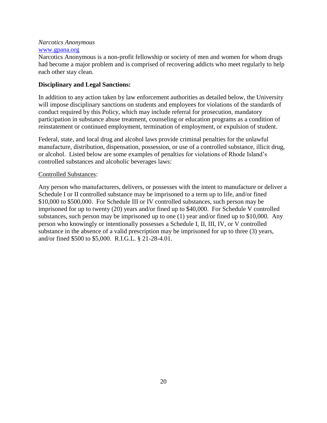#### *Narcotics Anonymous* [www.gpana.org](http://www.gpana.org/)

Narcotics Anonymous is a non-profit fellowship or society of men and women for whom drugs had become a major problem and is comprised of recovering addicts who meet regularly to help each other stay clean.

# **Disciplinary and Legal Sanctions:**

In addition to any action taken by law enforcement authorities as detailed below, the University will impose disciplinary sanctions on students and employees for violations of the standards of conduct required by this Policy, which may include referral for prosecution, mandatory participation in substance abuse treatment, counseling or education programs as a condition of reinstatement or continued employment, termination of employment, or expulsion of student.

Federal, state, and local drug and alcohol laws provide criminal penalties for the unlawful manufacture, distribution, dispensation, possession, or use of a controlled substance, illicit drug, or alcohol. Listed below are some examples of penalties for violations of Rhode Island's controlled substances and alcoholic beverages laws:

# Controlled Substances:

Any person who manufacturers, delivers, or possesses with the intent to manufacture or deliver a Schedule I or II controlled substance may be imprisoned to a term up to life, and/or fined \$10,000 to \$500,000. For Schedule III or IV controlled substances, such person may be imprisoned for up to twenty (20) years and/or fined up to \$40,000. For Schedule V controlled substances, such person may be imprisoned up to one (1) year and/or fined up to \$10,000. Any person who knowingly or intentionally possesses a Schedule I, II, III, IV, or V controlled substance in the absence of a valid prescription may be imprisoned for up to three (3) years, and/or fined \$500 to \$5,000. R.I.G.L. § 21-28-4.01.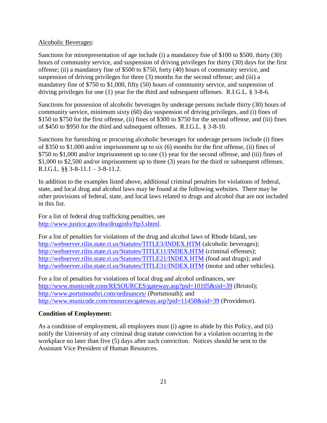#### Alcoholic Beverages:

Sanctions for misrepresentation of age include (i) a mandatory fine of \$100 to \$500, thirty (30) hours of community service, and suspension of driving privileges for thirty (30) days for the first offense; (ii) a mandatory fine of \$500 to \$750, forty (40) hours of community service, and suspension of driving privileges for three (3) months for the second offense; and (iii) a mandatory fine of \$750 to \$1,000, fifty (50) hours of community service, and suspension of driving privileges for one (1) year for the third and subsequent offenses. R.I.G.L. § 3-8-6.

Sanctions for possession of alcoholic beverages by underage persons include thirty (30) hours of community service, minimum sixty (60) day suspension of driving privileges, and (i) fines of \$150 to \$750 for the first offense, (ii) fines of \$300 to \$750 for the second offense, and (iii) fines of \$450 to \$950 for the third and subsequent offenses. R.I.G.L. § 3-8-10.

Sanctions for furnishing or procuring alcoholic beverages for underage persons include (i) fines of \$350 to \$1,000 and/or imprisonment up to six (6) months for the first offense, (ii) fines of \$750 to \$1,000 and/or imprisonment up to one (1) year for the second offense, and (iii) fines of \$1,000 to \$2,500 and/or imprisonment up to three (3) years for the third or subsequent offenses. R.I.G.L. §§ 3-8-11.1 – 3-8-11.2.

In addition to the examples listed above, additional criminal penalties for violations of federal, state, and local drug and alcohol laws may be found at the following websites. There may be other provisions of federal, state, and local laws related to drugs and alcohol that are not included in this list.

For a list of federal drug trafficking penalties, see [http://www.justice.gov/dea/druginfo/ftp3.shtml.](http://www.justice.gov/dea/druginfo/ftp3.shtml)

For a list of penalties for violations of the drug and alcohol laws of Rhode Island, see <http://webserver.rilin.state.ri.us/Statutes/TITLE3/INDEX.HTM> (alcoholic beverages); <http://webserver.rilin.state.ri.us/Statutes/TITLE11/INDEX.HTM> (criminal offenses); <http://webserver.rilin.state.ri.us/Statutes/TITLE21/INDEX.HTM> (food and drugs); and <http://webserver.rilin.state.ri.us/Statutes/TITLE31/INDEX.HTM> (motor and other vehicles).

For a list of penalties for violations of local drug and alcohol ordinances, see <http://www.municode.com/RESOURCES/gateway.asp?pid=10105&sid=39> (Bristol); <http://www.portsmouthri.com/ordinances/> (Portsmouth); and <http://www.municode.com/resources/gateway.asp?pid=11458&sid=39> (Providence).

# **Condition of Employment:**

As a condition of employment, all employees must (i) agree to abide by this Policy, and (ii) notify the University of any criminal drug statute conviction for a violation occurring in the workplace no later than five (5) days after such conviction. Notices should be sent to the Assistant Vice President of Human Resources.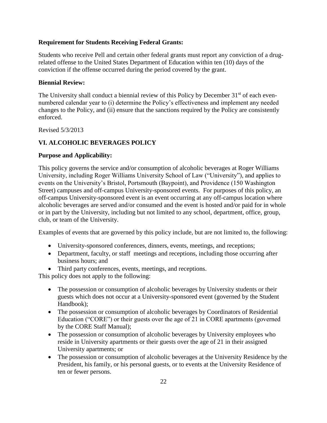# **Requirement for Students Receiving Federal Grants:**

Students who receive Pell and certain other federal grants must report any conviction of a drugrelated offense to the United States Department of Education within ten (10) days of the conviction if the offense occurred during the period covered by the grant.

# **Biennial Review:**

The University shall conduct a biennial review of this Policy by December 31<sup>st</sup> of each evennumbered calendar year to (i) determine the Policy's effectiveness and implement any needed changes to the Policy, and (ii) ensure that the sanctions required by the Policy are consistently enforced.

Revised 5/3/2013

# **VI. ALCOHOLIC BEVERAGES POLICY**

# **Purpose and Applicability:**

This policy governs the service and/or consumption of alcoholic beverages at Roger Williams University, including Roger Williams University School of Law ("University"), and applies to events on the University's Bristol, Portsmouth (Baypoint), and Providence (150 Washington Street) campuses and off-campus University-sponsored events. For purposes of this policy, an off-campus University-sponsored event is an event occurring at any off-campus location where alcoholic beverages are served and/or consumed and the event is hosted and/or paid for in whole or in part by the University, including but not limited to any school, department, office, group, club, or team of the University.

Examples of events that are governed by this policy include, but are not limited to, the following:

- University-sponsored conferences, dinners, events, meetings, and receptions;
- Department, faculty, or staff meetings and receptions, including those occurring after business hours; and
- Third party conferences, events, meetings, and receptions.

This policy does not apply to the following:

- The possession or consumption of alcoholic beverages by University students or their guests which does not occur at a University-sponsored event (governed by the Student Handbook);
- The possession or consumption of alcoholic beverages by Coordinators of Residential Education ("CORE") or their guests over the age of 21 in CORE apartments (governed by the CORE Staff Manual);
- The possession or consumption of alcoholic beverages by University employees who reside in University apartments or their guests over the age of 21 in their assigned University apartments; or
- The possession or consumption of alcoholic beverages at the University Residence by the President, his family, or his personal guests, or to events at the University Residence of ten or fewer persons.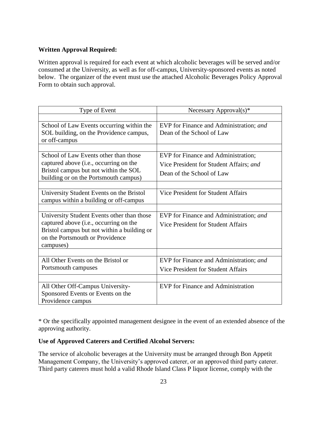# **Written Approval Required:**

Written approval is required for each event at which alcoholic beverages will be served and/or consumed at the University, as well as for off-campus, University-sponsored events as noted below. The organizer of the event must use the attached Alcoholic Beverages Policy Approval Form to obtain such approval.

| Type of Event                                                                      | Necessary Approval $(s)^*$                |
|------------------------------------------------------------------------------------|-------------------------------------------|
|                                                                                    |                                           |
| School of Law Events occurring within the                                          | EVP for Finance and Administration; and   |
| SOL building, on the Providence campus,                                            | Dean of the School of Law                 |
| or off-campus                                                                      |                                           |
|                                                                                    |                                           |
| School of Law Events other than those                                              | EVP for Finance and Administration;       |
| captured above (i.e., occurring on the                                             | Vice President for Student Affairs; and   |
| Bristol campus but not within the SOL<br>building or on the Portsmouth campus)     | Dean of the School of Law                 |
|                                                                                    |                                           |
| University Student Events on the Bristol<br>campus within a building or off-campus | Vice President for Student Affairs        |
|                                                                                    |                                           |
| University Student Events other than those                                         | EVP for Finance and Administration; and   |
| captured above (i.e., occurring on the                                             | Vice President for Student Affairs        |
| Bristol campus but not within a building or                                        |                                           |
| on the Portsmouth or Providence                                                    |                                           |
| campuses)                                                                          |                                           |
| All Other Events on the Bristol or                                                 |                                           |
|                                                                                    | EVP for Finance and Administration; and   |
| Portsmouth campuses                                                                | Vice President for Student Affairs        |
|                                                                                    |                                           |
| All Other Off-Campus University-                                                   | <b>EVP</b> for Finance and Administration |
| Sponsored Events or Events on the                                                  |                                           |
| Providence campus                                                                  |                                           |

\* Or the specifically appointed management designee in the event of an extended absence of the approving authority.

# **Use of Approved Caterers and Certified Alcohol Servers:**

The service of alcoholic beverages at the University must be arranged through Bon Appetit Management Company, the University's approved caterer, or an approved third party caterer. Third party caterers must hold a valid Rhode Island Class P liquor license, comply with the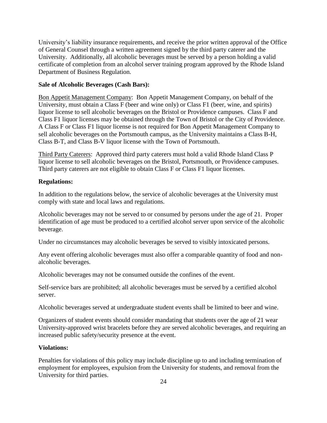University's liability insurance requirements, and receive the prior written approval of the Office of General Counsel through a written agreement signed by the third party caterer and the University. Additionally, all alcoholic beverages must be served by a person holding a valid certificate of completion from an alcohol server training program approved by the Rhode Island Department of Business Regulation.

# **Sale of Alcoholic Beverages (Cash Bars):**

Bon Appetit Management Company: Bon Appetit Management Company, on behalf of the University, must obtain a Class F (beer and wine only) or Class F1 (beer, wine, and spirits) liquor license to sell alcoholic beverages on the Bristol or Providence campuses. Class F and Class F1 liquor licenses may be obtained through the Town of Bristol or the City of Providence. A Class F or Class F1 liquor license is not required for Bon Appetit Management Company to sell alcoholic beverages on the Portsmouth campus, as the University maintains a Class B-H, Class B-T, and Class B-V liquor license with the Town of Portsmouth.

Third Party Caterers: Approved third party caterers must hold a valid Rhode Island Class P liquor license to sell alcoholic beverages on the Bristol, Portsmouth, or Providence campuses. Third party caterers are not eligible to obtain Class F or Class F1 liquor licenses.

# **Regulations:**

In addition to the regulations below, the service of alcoholic beverages at the University must comply with state and local laws and regulations.

Alcoholic beverages may not be served to or consumed by persons under the age of 21. Proper identification of age must be produced to a certified alcohol server upon service of the alcoholic beverage.

Under no circumstances may alcoholic beverages be served to visibly intoxicated persons.

Any event offering alcoholic beverages must also offer a comparable quantity of food and nonalcoholic beverages.

Alcoholic beverages may not be consumed outside the confines of the event.

Self-service bars are prohibited; all alcoholic beverages must be served by a certified alcohol server.

Alcoholic beverages served at undergraduate student events shall be limited to beer and wine.

Organizers of student events should consider mandating that students over the age of 21 wear University-approved wrist bracelets before they are served alcoholic beverages, and requiring an increased public safety/security presence at the event.

# **Violations:**

Penalties for violations of this policy may include discipline up to and including termination of employment for employees, expulsion from the University for students, and removal from the University for third parties.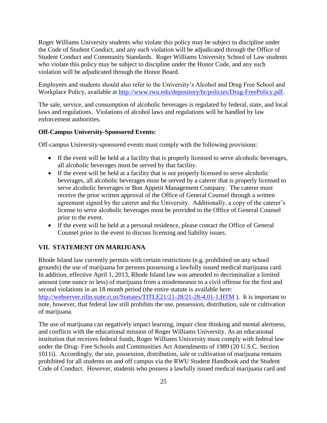Roger Williams University students who violate this policy may be subject to discipline under the Code of Student Conduct, and any such violation will be adjudicated through the Office of Student Conduct and Community Standards. Roger Williams University School of Law students who violate this policy may be subject to discipline under the Honor Code, and any such violation will be adjudicated through the Honor Board.

Employees and students should also refer to the University's Alcohol and Drug Free School and Workplace Policy, available at [http://www.rwu.edu/depository/hr/policies/Drug-FreePolicy.pdf.](http://www.rwu.edu/depository/hr/policies/Drug-FreePolicy.pdf)

The sale, service, and consumption of alcoholic beverages is regulated by federal, state, and local laws and regulations. Violations of alcohol laws and regulations will be handled by law enforcement authorities.

#### **Off-Campus University-Sponsored Events:**

Off-campus University-sponsored events must comply with the following provisions:

- If the event will be held at a facility that is properly licensed to serve alcoholic beverages, all alcoholic beverages must be served by that facility.
- If the event will be held at a facility that is not properly licensed to serve alcoholic beverages, all alcoholic beverages must be served by a caterer that is properly licensed to serve alcoholic beverages or Bon Appetit Management Company. The caterer must receive the prior written approval of the Office of General Counsel through a written agreement signed by the caterer and the University. Additionally, a copy of the caterer's license to serve alcoholic beverages must be provided to the Office of General Counsel prior to the event.
- If the event will be held at a personal residence, please contact the Office of General Counsel prior to the event to discuss licensing and liability issues.

# **VII. STATEMENT ON MARIJUANA**

Rhode Island law currently permits with certain restrictions (e.g. prohibited on any school grounds) the use of marijuana for persons possessing a lawfully issued medical marijuana card. In addition, effective April 1, 2013, Rhode Island law was amended to decriminalize a limited amount (one ounce or less) of marijuana from a misdemeanor to a civil offense for the first and second violations in an 18 month period (the entire statute is available here: <http://webserver.rilin.state.ri.us/Statutes/TITLE21/21-28/21-28-4.01-1.HTM> ). It is important to note, however, that federal law still prohibits the use, possession, distribution, sale or cultivation of marijuana.

The use of marijuana can negatively impact learning, impair clear thinking and mental alertness, and conflicts with the educational mission of Roger Williams University. As an educational institution that receives federal funds, Roger Williams University must comply with federal law under the Drug- Free Schools and Communities Act Amendments of 1989 (20 U.S.C. Section 1011i). Accordingly, the use, possession, distribution, sale or cultivation of marijuana remains prohibited for all students on and off campus via the RWU Student Handbook and the Student Code of Conduct. However, students who possess a lawfully issued medical marijuana card and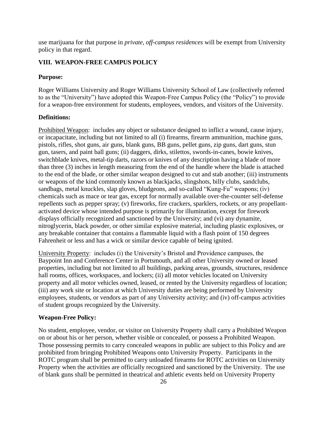use marijuana for that purpose in *private, off-campus residences* will be exempt from University policy in that regard.

# **VIII. WEAPON-FREE CAMPUS POLICY**

#### **Purpose:**

Roger Williams University and Roger Williams University School of Law (collectively referred to as the "University") have adopted this Weapon-Free Campus Policy (the "Policy") to provide for a weapon-free environment for students, employees, vendors, and visitors of the University.

#### **Definitions:**

Prohibited Weapon: includes any object or substance designed to inflict a wound, cause injury, or incapacitate, including but not limited to all (i) firearms, firearm ammunition, machine guns, pistols, rifles, shot guns, air guns, blank guns, BB guns, pellet guns, zip guns, dart guns, stun gun, tasers, and paint ball guns; (ii) daggers, dirks, stilettos, swords-in-canes, bowie knives, switchblade knives, metal-tip darts, razors or knives of any description having a blade of more than three (3) inches in length measuring from the end of the handle where the blade is attached to the end of the blade, or other similar weapon designed to cut and stab another; (iii) instruments or weapons of the kind commonly known as blackjacks, slingshots, billy clubs, sandclubs, sandbags, metal knuckles, slap gloves, bludgeons, and so-called "Kung-Fu" weapons; (iv) chemicals such as mace or tear gas, except for normally available over-the-counter self-defense repellents such as pepper spray; (v) fireworks, fire crackers, sparklers, rockets, or any propellantactivated device whose intended purpose is primarily for illumination, except for firework displays officially recognized and sanctioned by the University; and (vi) any dynamite, nitroglycerin, black powder, or other similar explosive material, including plastic explosives, or any breakable container that contains a flammable liquid with a flash point of 150 degrees Fahrenheit or less and has a wick or similar device capable of being ignited.

University Property: includes (i) the University's Bristol and Providence campuses, the Baypoint Inn and Conference Center in Portsmouth, and all other University owned or leased properties, including but not limited to all buildings, parking areas, grounds, structures, residence hall rooms, offices, workspaces, and lockers; (ii) all motor vehicles located on University property and all motor vehicles owned, leased, or rented by the University regardless of location; (iii) any work site or location at which University duties are being performed by University employees, students, or vendors as part of any University activity; and (iv) off-campus activities of student groups recognized by the University.

#### **Weapon-Free Policy:**

No student, employee, vendor, or visitor on University Property shall carry a Prohibited Weapon on or about his or her person, whether visible or concealed, or possess a Prohibited Weapon. Those possessing permits to carry concealed weapons in public are subject to this Policy and are prohibited from bringing Prohibited Weapons onto University Property. Participants in the ROTC program shall be permitted to carry unloaded firearms for ROTC activities on University Property when the activities are officially recognized and sanctioned by the University. The use of blank guns shall be permitted in theatrical and athletic events held on University Property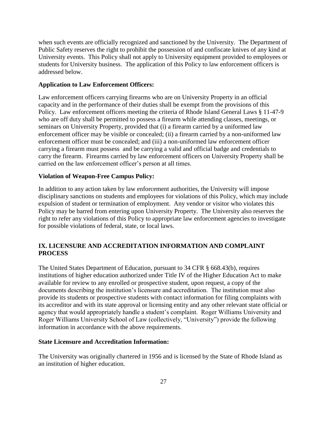when such events are officially recognized and sanctioned by the University. The Department of Public Safety reserves the right to prohibit the possession of and confiscate knives of any kind at University events. This Policy shall not apply to University equipment provided to employees or students for University business. The application of this Policy to law enforcement officers is addressed below.

#### **Application to Law Enforcement Officers:**

Law enforcement officers carrying firearms who are on University Property in an official capacity and in the performance of their duties shall be exempt from the provisions of this Policy. Law enforcement officers meeting the criteria of Rhode Island General Laws § 11-47-9 who are off duty shall be permitted to possess a firearm while attending classes, meetings, or seminars on University Property, provided that (i) a firearm carried by a uniformed law enforcement officer may be visible or concealed; (ii) a firearm carried by a non-uniformed law enforcement officer must be concealed; and (iii) a non-uniformed law enforcement officer carrying a firearm must possess and be carrying a valid and official badge and credentials to carry the firearm. Firearms carried by law enforcement officers on University Property shall be carried on the law enforcement officer's person at all times.

#### **Violation of Weapon-Free Campus Policy:**

In addition to any action taken by law enforcement authorities, the University will impose disciplinary sanctions on students and employees for violations of this Policy, which may include expulsion of student or termination of employment. Any vendor or visitor who violates this Policy may be barred from entering upon University Property. The University also reserves the right to refer any violations of this Policy to appropriate law enforcement agencies to investigate for possible violations of federal, state, or local laws.

# **IX. LICENSURE AND ACCREDITATION INFORMATION AND COMPLAINT PROCESS**

The United States Department of Education, pursuant to 34 CFR § 668.43(b), requires institutions of higher education authorized under Title IV of the Higher Education Act to make available for review to any enrolled or prospective student, upon request, a copy of the documents describing the institution's licensure and accreditation. The institution must also provide its students or prospective students with contact information for filing complaints with its accreditor and with its state approval or licensing entity and any other relevant state official or agency that would appropriately handle a student's complaint. Roger Williams University and Roger Williams University School of Law (collectively, "University") provide the following information in accordance with the above requirements.

#### **State Licensure and Accreditation Information:**

The University was originally chartered in 1956 and is licensed by the State of Rhode Island as an institution of higher education.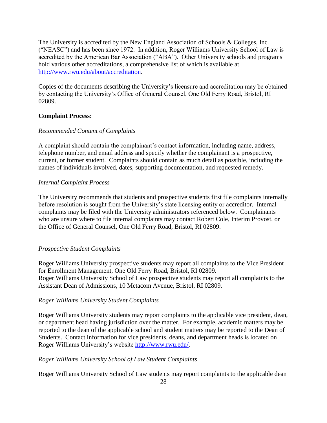The University is accredited by the New England Association of Schools & Colleges, Inc. ("NEASC") and has been since 1972. In addition, Roger Williams University School of Law is accredited by the American Bar Association ("ABA"). Other University schools and programs hold various other accreditations, a comprehensive list of which is available at [http://www.rwu.edu/about/accreditation.](http://www.rwu.edu/about/accreditation)

Copies of the documents describing the University's licensure and accreditation may be obtained by contacting the University's Office of General Counsel, One Old Ferry Road, Bristol, RI 02809.

#### **Complaint Process:**

#### *Recommended Content of Complaints*

A complaint should contain the complainant's contact information, including name, address, telephone number, and email address and specify whether the complainant is a prospective, current, or former student. Complaints should contain as much detail as possible, including the names of individuals involved, dates, supporting documentation, and requested remedy.

#### *Internal Complaint Process*

The University recommends that students and prospective students first file complaints internally before resolution is sought from the University's state licensing entity or accreditor. Internal complaints may be filed with the University administrators referenced below. Complainants who are unsure where to file internal complaints may contact Robert Cole, Interim Provost, or the Office of General Counsel, One Old Ferry Road, Bristol, RI 02809.

#### *Prospective Student Complaints*

Roger Williams University prospective students may report all complaints to the Vice President for Enrollment Management, One Old Ferry Road, Bristol, RI 02809. Roger Williams University School of Law prospective students may report all complaints to the Assistant Dean of Admissions, 10 Metacom Avenue, Bristol, RI 02809.

#### *Roger Williams University Student Complaints*

Roger Williams University students may report complaints to the applicable vice president, dean, or department head having jurisdiction over the matter. For example, academic matters may be reported to the dean of the applicable school and student matters may be reported to the Dean of Students. Contact information for vice presidents, deans, and department heads is located on Roger Williams University's website [http://www.rwu.edu/.](http://www.rwu.edu/)

#### *Roger Williams University School of Law Student Complaints*

Roger Williams University School of Law students may report complaints to the applicable dean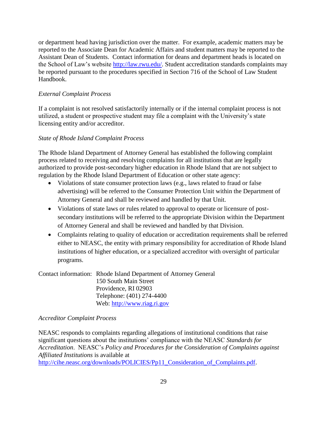or department head having jurisdiction over the matter. For example, academic matters may be reported to the Associate Dean for Academic Affairs and student matters may be reported to the Assistant Dean of Students. Contact information for deans and department heads is located on the School of Law's website [http://law.rwu.edu/.](http://law.rwu.edu/) Student accreditation standards complaints may be reported pursuant to the procedures specified in Section 716 of the School of Law Student Handbook.

#### *External Complaint Process*

If a complaint is not resolved satisfactorily internally or if the internal complaint process is not utilized, a student or prospective student may file a complaint with the University's state licensing entity and/or accreditor.

#### *State of Rhode Island Complaint Process*

The Rhode Island Department of Attorney General has established the following complaint process related to receiving and resolving complaints for all institutions that are legally authorized to provide post-secondary higher education in Rhode Island that are not subject to regulation by the Rhode Island Department of Education or other state agency:

- Violations of state consumer protection laws (e.g., laws related to fraud or false advertising) will be referred to the Consumer Protection Unit within the Department of Attorney General and shall be reviewed and handled by that Unit.
- Violations of state laws or rules related to approval to operate or licensure of postsecondary institutions will be referred to the appropriate Division within the Department of Attorney General and shall be reviewed and handled by that Division.
- Complaints relating to quality of education or accreditation requirements shall be referred either to NEASC, the entity with primary responsibility for accreditation of Rhode Island institutions of higher education, or a specialized accreditor with oversight of particular programs.

| Contact information: Rhode Island Department of Attorney General |
|------------------------------------------------------------------|
| 150 South Main Street                                            |
| Providence, RI 02903                                             |
| Telephone: (401) 274-4400                                        |
| Web: http://www.riag.ri.gov                                      |

#### *Accreditor Complaint Process*

NEASC responds to complaints regarding allegations of institutional conditions that raise significant questions about the institutions' compliance with the NEASC *Standards for Accreditation*. NEASC's *Policy and Procedures for the Consideration of Complaints against Affiliated Institutions* is available at [http://cihe.neasc.org/downloads/POLICIES/Pp11\\_Consideration\\_of\\_Complaints.pdf.](http://cihe.neasc.org/downloads/POLICIES/Pp11_Consideration_of_Complaints.pdf)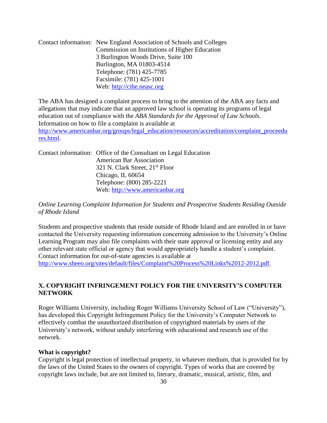Contact information: New England Association of Schools and Colleges Commission on Institutions of Higher Education 3 Burlington Woods Drive, Suite 100 Burlington, MA 01803-4514 Telephone: (781) 425-7785 Facsimile: (781) 425-1001 Web: [http://cihe.neasc.org](http://cihe.neasc.org/)

The ABA has designed a complaint process to bring to the attention of the ABA any facts and allegations that may indicate that an approved law school is operating its programs of legal education out of compliance with the *ABA Standards for the Approval of Law Schools*. Information on how to file a complaint is available at [http://www.americanbar.org/groups/legal\\_education/resources/accreditation/complaint\\_proceedu](http://www.americanbar.org/groups/legal_education/resources/accreditation/complaint_proceedures.html) [res.html.](http://www.americanbar.org/groups/legal_education/resources/accreditation/complaint_proceedures.html)

Contact information: Office of the Consultant on Legal Education American Bar Association 321 N. Clark Street, 21<sup>st</sup> Floor Chicago, IL 60654 Telephone: (800) 285-2221 Web: [http://www.americanbar.org](http://www.americanbar.org/)

*Online Learning Complaint Information for Students and Prospective Students Residing Outside of Rhode Island*

Students and prospective students that reside outside of Rhode Island and are enrolled in or have contacted the University requesting information concerning admission to the University's Online Learning Program may also file complaints with their state approval or licensing entity and any other relevant state official or agency that would appropriately handle a student's complaint. Contact information for out-of-state agencies is available at [http://www.sheeo.org/sites/default/files/Complaint%20Process%20Links%2012-2012.pdf.](http://www.sheeo.org/sites/default/files/Complaint%20Process%20Links%2012-2012.pdf)

# **X. COPYRIGHT INFRINGEMENT POLICY FOR THE UNIVERSITY'S COMPUTER NETWORK**

Roger Williams University, including Roger Williams University School of Law ("University"), has developed this Copyright Infringement Policy for the University's Computer Network to effectively combat the unauthorized distribution of copyrighted materials by users of the University's network, without unduly interfering with educational and research use of the network.

#### **What is copyright?**

Copyright is legal protection of intellectual property, in whatever medium, that is provided for by the laws of the United States to the owners of copyright. Types of works that are covered by copyright laws include, but are not limited to, literary, dramatic, musical, artistic, film, and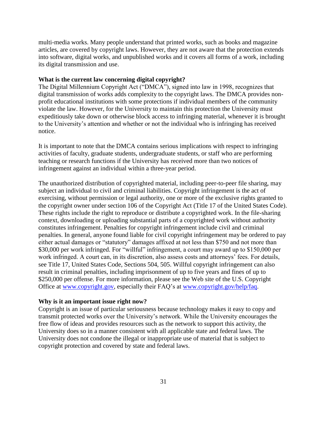multi-media works. Many people understand that printed works, such as books and magazine articles, are covered by copyright laws. However, they are not aware that the protection extends into software, digital works, and unpublished works and it covers all forms of a work, including its digital transmission and use.

#### **What is the current law concerning digital copyright?**

The Digital Millennium Copyright Act ("DMCA"), signed into law in 1998, recognizes that digital transmission of works adds complexity to the copyright laws. The DMCA provides nonprofit educational institutions with some protections if individual members of the community violate the law. However, for the University to maintain this protection the University must expeditiously take down or otherwise block access to infringing material, whenever it is brought to the University's attention and whether or not the individual who is infringing has received notice.

It is important to note that the DMCA contains serious implications with respect to infringing activities of faculty, graduate students, undergraduate students, or staff who are performing teaching or research functions if the University has received more than two notices of infringement against an individual within a three-year period.

The unauthorized distribution of copyrighted material, including peer-to-peer file sharing, may subject an individual to civil and criminal liabilities. Copyright infringement is the act of exercising, without permission or legal authority, one or more of the exclusive rights granted to the copyright owner under section 106 of the Copyright Act (Title 17 of the United States Code). These rights include the right to reproduce or distribute a copyrighted work. In the file-sharing context, downloading or uploading substantial parts of a copyrighted work without authority constitutes infringement. Penalties for copyright infringement include civil and criminal penalties. In general, anyone found liable for civil copyright infringement may be ordered to pay either actual damages or "statutory" damages affixed at not less than \$750 and not more than \$30,000 per work infringed. For "willful" infringement, a court may award up to \$150,000 per work infringed. A court can, in its discretion, also assess costs and attorneys' fees. For details, see Title 17, United States Code, Sections 504, 505. Willful copyright infringement can also result in criminal penalties, including imprisonment of up to five years and fines of up to \$250,000 per offense. For more information, please see the Web site of the U.S. Copyright Office at [www.copyright.gov,](http://www.copyright.gov/) especially their FAQ's at [www.copyright.gov/help/faq.](http://www.copyright.gov/help/faq)

#### **Why is it an important issue right now?**

Copyright is an issue of particular seriousness because technology makes it easy to copy and transmit protected works over the University's network. While the University encourages the free flow of ideas and provides resources such as the network to support this activity, the University does so in a manner consistent with all applicable state and federal laws. The University does not condone the illegal or inappropriate use of material that is subject to copyright protection and covered by state and federal laws.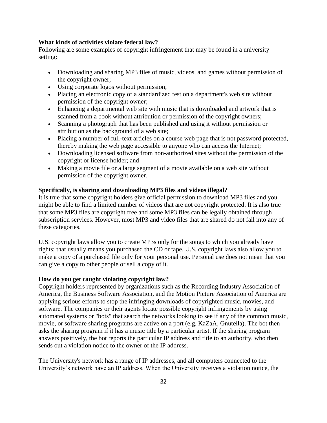### **What kinds of activities violate federal law?**

Following are some examples of copyright infringement that may be found in a university setting:

- Downloading and sharing MP3 files of music, videos, and games without permission of the copyright owner;
- Using corporate logos without permission;
- Placing an electronic copy of a standardized test on a department's web site without permission of the copyright owner;
- Enhancing a departmental web site with music that is downloaded and artwork that is scanned from a book without attribution or permission of the copyright owners;
- Scanning a photograph that has been published and using it without permission or attribution as the background of a web site;
- Placing a number of full-text articles on a course web page that is not password protected, thereby making the web page accessible to anyone who can access the Internet;
- Downloading licensed software from non-authorized sites without the permission of the copyright or license holder; and
- Making a movie file or a large segment of a movie available on a web site without permission of the copyright owner.

#### **Specifically, is sharing and downloading MP3 files and videos illegal?**

It is true that some copyright holders give official permission to download MP3 files and you might be able to find a limited number of videos that are not copyright protected. It is also true that some MP3 files are copyright free and some MP3 files can be legally obtained through subscription services. However, most MP3 and video files that are shared do not fall into any of these categories.

U.S. copyright laws allow you to create MP3s only for the songs to which you already have rights; that usually means you purchased the CD or tape. U.S. copyright laws also allow you to make a copy of a purchased file only for your personal use. Personal use does not mean that you can give a copy to other people or sell a copy of it.

### **How do you get caught violating copyright law?**

Copyright holders represented by organizations such as the Recording Industry Association of America, the Business Software Association, and the Motion Picture Association of America are applying serious efforts to stop the infringing downloads of copyrighted music, movies, and software. The companies or their agents locate possible copyright infringements by using automated systems or "bots" that search the networks looking to see if any of the common music, movie, or software sharing programs are active on a port (e.g. KaZaA, Gnutella). The bot then asks the sharing program if it has a music title by a particular artist. If the sharing program answers positively, the bot reports the particular IP address and title to an authority, who then sends out a violation notice to the owner of the IP address.

The University's network has a range of IP addresses, and all computers connected to the University's network have an IP address. When the University receives a violation notice, the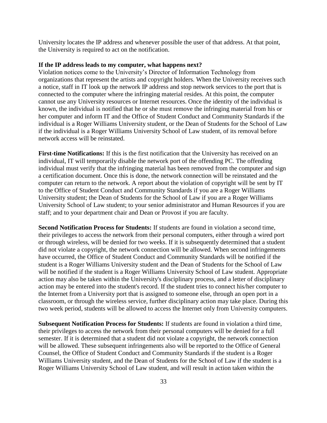University locates the IP address and whenever possible the user of that address. At that point, the University is required to act on the notification.

#### **If the IP address leads to my computer, what happens next?**

Violation notices come to the University's Director of Information Technology from organizations that represent the artists and copyright holders. When the University receives such a notice, staff in IT look up the network IP address and stop network services to the port that is connected to the computer where the infringing material resides. At this point, the computer cannot use any University resources or Internet resources. Once the identity of the individual is known, the individual is notified that he or she must remove the infringing material from his or her computer and inform IT and the Office of Student Conduct and Community Standards if the individual is a Roger Williams University student, or the Dean of Students for the School of Law if the individual is a Roger Williams University School of Law student, of its removal before network access will be reinstated.

**First-time Notifications:** If this is the first notification that the University has received on an individual, IT will temporarily disable the network port of the offending PC. The offending individual must verify that the infringing material has been removed from the computer and sign a certification document. Once this is done, the network connection will be reinstated and the computer can return to the network. A report about the violation of copyright will be sent by IT to the Office of Student Conduct and Community Standards if you are a Roger Williams University student; the Dean of Students for the School of Law if you are a Roger Williams University School of Law student; to your senior administrator and Human Resources if you are staff; and to your department chair and Dean or Provost if you are faculty.

**Second Notification Process for Students:** If students are found in violation a second time, their privileges to access the network from their personal computers, either through a wired port or through wireless, will be denied for two weeks. If it is subsequently determined that a student did not violate a copyright, the network connection will be allowed. When second infringements have occurred, the Office of Student Conduct and Community Standards will be notified if the student is a Roger Williams University student and the Dean of Students for the School of Law will be notified if the student is a Roger Williams University School of Law student. Appropriate action may also be taken within the University's disciplinary process, and a letter of disciplinary action may be entered into the student's record. If the student tries to connect his/her computer to the Internet from a University port that is assigned to someone else, through an open port in a classroom, or through the wireless service, further disciplinary action may take place. During this two week period, students will be allowed to access the Internet only from University computers.

**Subsequent Notification Process for Students:** If students are found in violation a third time, their privileges to access the network from their personal computers will be denied for a full semester. If it is determined that a student did not violate a copyright, the network connection will be allowed. These subsequent infringements also will be reported to the Office of General Counsel, the Office of Student Conduct and Community Standards if the student is a Roger Williams University student, and the Dean of Students for the School of Law if the student is a Roger Williams University School of Law student, and will result in action taken within the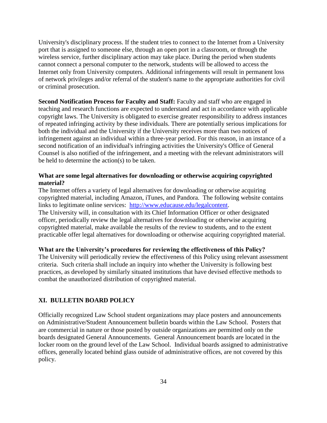University's disciplinary process. If the student tries to connect to the Internet from a University port that is assigned to someone else, through an open port in a classroom, or through the wireless service, further disciplinary action may take place. During the period when students cannot connect a personal computer to the network, students will be allowed to access the Internet only from University computers. Additional infringements will result in permanent loss of network privileges and/or referral of the student's name to the appropriate authorities for civil or criminal prosecution.

**Second Notification Process for Faculty and Staff:** Faculty and staff who are engaged in teaching and research functions are expected to understand and act in accordance with applicable copyright laws. The University is obligated to exercise greater responsibility to address instances of repeated infringing activity by these individuals. There are potentially serious implications for both the individual and the University if the University receives more than two notices of infringement against an individual within a three-year period. For this reason, in an instance of a second notification of an individual's infringing activities the University's Office of General Counsel is also notified of the infringement, and a meeting with the relevant administrators will be held to determine the action(s) to be taken.

## **What are some legal alternatives for downloading or otherwise acquiring copyrighted material?**

The Internet offers a variety of legal alternatives for downloading or otherwise acquiring copyrighted material, including Amazon, iTunes, and Pandora. The following website contains links to legitimate online services: [http://www.educause.edu/legalcontent.](http://www.educause.edu/legalcontent)

The University will, in consultation with its Chief Information Officer or other designated officer, periodically review the legal alternatives for downloading or otherwise acquiring copyrighted material, make available the results of the review to students, and to the extent practicable offer legal alternatives for downloading or otherwise acquiring copyrighted material.

#### **What are the University's procedures for reviewing the effectiveness of this Policy?**

The University will periodically review the effectiveness of this Policy using relevant assessment criteria. Such criteria shall include an inquiry into whether the University is following best practices, as developed by similarly situated institutions that have devised effective methods to combat the unauthorized distribution of copyrighted material.

### **XI. BULLETIN BOARD POLICY**

Officially recognized Law School student organizations may place posters and announcements on Administrative/Student Announcement bulletin boards within the Law School. Posters that are commercial in nature or those posted by outside organizations are permitted only on the boards designated General Announcements. General Announcement boards are located in the locker room on the ground level of the Law School. Individual boards assigned to administrative offices, generally located behind glass outside of administrative offices, are not covered by this policy.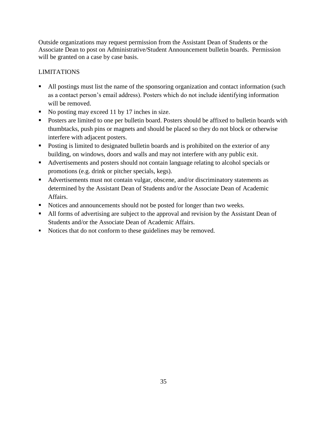Outside organizations may request permission from the Assistant Dean of Students or the Associate Dean to post on Administrative/Student Announcement bulletin boards. Permission will be granted on a case by case basis.

# LIMITATIONS

- All postings must list the name of the sponsoring organization and contact information (such as a contact person's email address). Posters which do not include identifying information will be removed.
- No posting may exceed 11 by 17 inches in size.
- Posters are limited to one per bulletin board. Posters should be affixed to bulletin boards with thumbtacks, push pins or magnets and should be placed so they do not block or otherwise interfere with adjacent posters.
- Posting is limited to designated bulletin boards and is prohibited on the exterior of any building, on windows, doors and walls and may not interfere with any public exit.
- Advertisements and posters should not contain language relating to alcohol specials or promotions (e.g. drink or pitcher specials, kegs).
- Advertisements must not contain vulgar, obscene, and/or discriminatory statements as determined by the Assistant Dean of Students and/or the Associate Dean of Academic Affairs.
- Notices and announcements should not be posted for longer than two weeks.
- All forms of advertising are subject to the approval and revision by the Assistant Dean of Students and/or the Associate Dean of Academic Affairs.
- Notices that do not conform to these guidelines may be removed.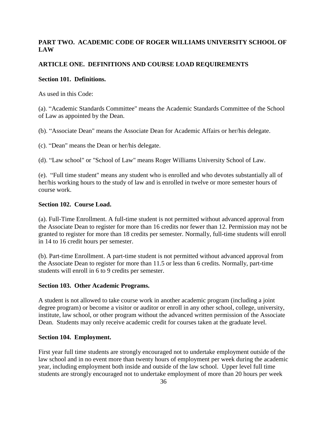# **PART TWO. ACADEMIC CODE OF ROGER WILLIAMS UNIVERSITY SCHOOL OF LAW**

### **ARTICLE ONE. DEFINITIONS AND COURSE LOAD REQUIREMENTS**

### **Section 101. Definitions.**

As used in this Code:

(a). "Academic Standards Committee" means the Academic Standards Committee of the School of Law as appointed by the Dean.

(b). "Associate Dean" means the Associate Dean for Academic Affairs or her/his delegate.

(c). "Dean" means the Dean or her/his delegate.

(d). "Law school" or "School of Law" means Roger Williams University School of Law.

(e). "Full time student" means any student who is enrolled and who devotes substantially all of her/his working hours to the study of law and is enrolled in twelve or more semester hours of course work.

#### **Section 102. Course Load.**

(a). Full-Time Enrollment. A full-time student is not permitted without advanced approval from the Associate Dean to register for more than 16 credits nor fewer than 12. Permission may not be granted to register for more than 18 credits per semester. Normally, full-time students will enroll in 14 to 16 credit hours per semester.

(b). Part-time Enrollment. A part-time student is not permitted without advanced approval from the Associate Dean to register for more than 11.5 or less than 6 credits. Normally, part-time students will enroll in 6 to 9 credits per semester.

#### **Section 103. Other Academic Programs.**

A student is not allowed to take course work in another academic program (including a joint degree program) or become a visitor or auditor or enroll in any other school, college, university, institute, law school, or other program without the advanced written permission of the Associate Dean. Students may only receive academic credit for courses taken at the graduate level.

#### **Section 104. Employment.**

First year full time students are strongly encouraged not to undertake employment outside of the law school and in no event more than twenty hours of employment per week during the academic year, including employment both inside and outside of the law school. Upper level full time students are strongly encouraged not to undertake employment of more than 20 hours per week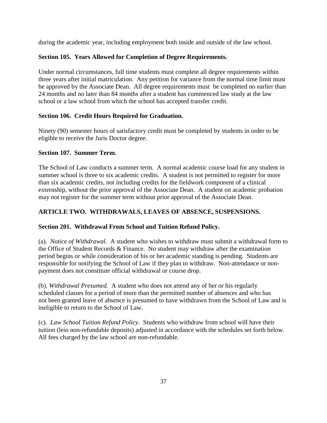during the academic year, including employment both inside and outside of the law school.

# **Section 105. Years Allowed for Completion of Degree Requirements.**

Under normal circumstances, full time students must complete all degree requirements within three years after initial matriculation. Any petition for variance from the normal time limit must be approved by the Associate Dean. All degree requirements must be completed no earlier than 24 months and no later than 84 months after a student has commenced law study at the law school or a law school from which the school has accepted transfer credit.

# **Section 106. Credit Hours Required for Graduation.**

Ninety (90) semester hours of satisfactory credit must be completed by students in order to be eligible to receive the Juris Doctor degree.

## **Section 107. Summer Term.**

The School of Law conducts a summer term. A normal academic course load for any student in summer school is three to six academic credits. A student is not permitted to register for more than six academic credits, not including credits for the fieldwork component of a clinical externship, without the prior approval of the Associate Dean. A student on academic probation may not register for the summer term without prior approval of the Associate Dean.

# **ARTICLE TWO. WITHDRAWALS, LEAVES OF ABSENCE, SUSPENSIONS.**

# **Section 201. Withdrawal From School and Tuition Refund Policy.**

(a). *Notice of Withdrawal.* A student who wishes to withdraw must submit a withdrawal form to the Office of Student Records & Finance. No student may withdraw after the examination period begins or while consideration of his or her academic standing is pending. Students are responsible for notifying the School of Law if they plan to withdraw. Non-attendance or nonpayment does not constitute official withdrawal or course drop.

(b). *Withdrawal Presumed.* A student who does not attend any of her or his regularly scheduled classes for a period of more than the permitted number of absences and who has not been granted leave of absence is presumed to have withdrawn from the School of Law and is ineligible to return to the School of Law.

(c). *Law School Tuition Refund Policy.* Students who withdraw from school will have their tuition (less non-refundable deposits) adjusted in accordance with the schedules set forth below. All fees charged by the law school are non-refundable.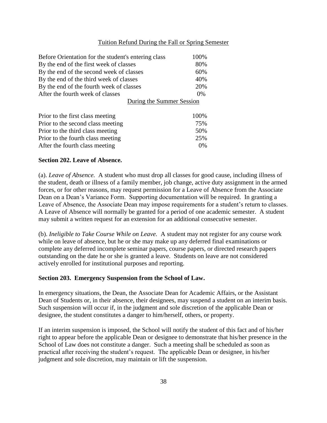#### Tuition Refund During the Fall or Spring Semester

| Before Orientation for the student's entering class |       |
|-----------------------------------------------------|-------|
| By the end of the first week of classes             |       |
| By the end of the second week of classes            |       |
| By the end of the third week of classes             | 40%   |
| By the end of the fourth week of classes            | 20%   |
| After the fourth week of classes                    | $0\%$ |
| During the Summer Session                           |       |
| Prior to the first class meeting                    | 100%  |
| Prior to the second class meeting                   | 75%   |
| Prior to the third class meeting                    | 50%   |
| Prior to the fourth class meeting                   | 25%   |
| After the fourth class meeting                      | $0\%$ |

#### **Section 202. Leave of Absence.**

(a). *Leave of Absence.* A student who must drop all classes for good cause, including illness of the student, death or illness of a family member, job change, active duty assignment in the armed forces, or for other reasons, may request permission for a Leave of Absence from the Associate Dean on a Dean's Variance Form. Supporting documentation will be required. In granting a Leave of Absence, the Associate Dean may impose requirements for a student's return to classes. A Leave of Absence will normally be granted for a period of one academic semester. A student may submit a written request for an extension for an additional consecutive semester.

(b). *Ineligible to Take Course While on Leave.* A student may not register for any course work while on leave of absence, but he or she may make up any deferred final examinations or complete any deferred incomplete seminar papers, course papers, or directed research papers outstanding on the date he or she is granted a leave. Students on leave are not considered actively enrolled for institutional purposes and reporting.

#### **Section 203. Emergency Suspension from the School of Law.**

In emergency situations, the Dean, the Associate Dean for Academic Affairs, or the Assistant Dean of Students or, in their absence, their designees, may suspend a student on an interim basis. Such suspension will occur if, in the judgment and sole discretion of the applicable Dean or designee, the student constitutes a danger to him/herself, others, or property.

If an interim suspension is imposed, the School will notify the student of this fact and of his/her right to appear before the applicable Dean or designee to demonstrate that his/her presence in the School of Law does not constitute a danger. Such a meeting shall be scheduled as soon as practical after receiving the student's request. The applicable Dean or designee, in his/her judgment and sole discretion, may maintain or lift the suspension.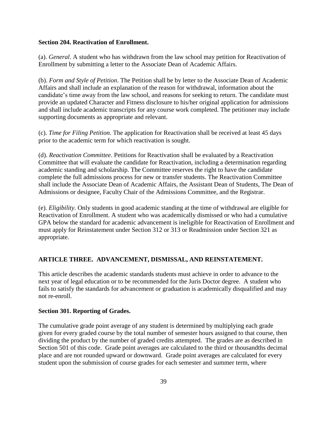#### **Section 204. Reactivation of Enrollment.**

(a). *General*. A student who has withdrawn from the law school may petition for Reactivation of Enrollment by submitting a letter to the Associate Dean of Academic Affairs.

(b). *Form and Style of Petition*. The Petition shall be by letter to the Associate Dean of Academic Affairs and shall include an explanation of the reason for withdrawal, information about the candidate's time away from the law school, and reasons for seeking to return. The candidate must provide an updated Character and Fitness disclosure to his/her original application for admissions and shall include academic transcripts for any course work completed. The petitioner may include supporting documents as appropriate and relevant.

(c). *Time for Filing Petition*. The application for Reactivation shall be received at least 45 days prior to the academic term for which reactivation is sought.

(d). *Reactivation Committee*. Petitions for Reactivation shall be evaluated by a Reactivation Committee that will evaluate the candidate for Reactivation, including a determination regarding academic standing and scholarship. The Committee reserves the right to have the candidate complete the full admissions process for new or transfer students. The Reactivation Committee shall include the Associate Dean of Academic Affairs, the Assistant Dean of Students, The Dean of Admissions or designee, Faculty Chair of the Admissions Committee, and the Registrar.

(e). *Eligibility*. Only students in good academic standing at the time of withdrawal are eligible for Reactivation of Enrollment. A student who was academically dismissed or who had a cumulative GPA below the standard for academic advancement is ineligible for Reactivation of Enrollment and must apply for Reinstatement under Section 312 or 313 or Readmission under Section 321 as appropriate.

### **ARTICLE THREE. ADVANCEMENT, DISMISSAL, AND REINSTATEMENT.**

This article describes the academic standards students must achieve in order to advance to the next year of legal education or to be recommended for the Juris Doctor degree. A student who fails to satisfy the standards for advancement or graduation is academically disqualified and may not re-enroll.

### **Section 301. Reporting of Grades.**

The cumulative grade point average of any student is determined by multiplying each grade given for every graded course by the total number of semester hours assigned to that course, then dividing the product by the number of graded credits attempted. The grades are as described in Section 501 of this code. Grade point averages are calculated to the third or thousandths decimal place and are not rounded upward or downward. Grade point averages are calculated for every student upon the submission of course grades for each semester and summer term, where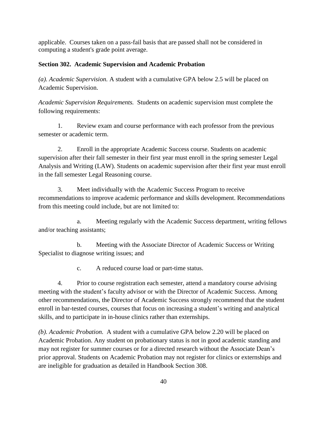applicable. Courses taken on a pass-fail basis that are passed shall not be considered in computing a student's grade point average.

# **Section 302. Academic Supervision and Academic Probation**

*(a). Academic Supervision.* A student with a cumulative GPA below 2.5 will be placed on Academic Supervision.

*Academic Supervision Requirements.* Students on academic supervision must complete the following requirements:

1. Review exam and course performance with each professor from the previous semester or academic term.

2. Enroll in the appropriate Academic Success course. Students on academic supervision after their fall semester in their first year must enroll in the spring semester Legal Analysis and Writing (LAW). Students on academic supervision after their first year must enroll in the fall semester Legal Reasoning course.

3. Meet individually with the Academic Success Program to receive recommendations to improve academic performance and skills development. Recommendations from this meeting could include, but are not limited to:

a. Meeting regularly with the Academic Success department, writing fellows and/or teaching assistants;

b. Meeting with the Associate Director of Academic Success or Writing Specialist to diagnose writing issues; and

c. A reduced course load or part-time status.

4. Prior to course registration each semester, attend a mandatory course advising meeting with the student's faculty advisor or with the Director of Academic Success. Among other recommendations, the Director of Academic Success strongly recommend that the student enroll in bar-tested courses, courses that focus on increasing a student's writing and analytical skills, and to participate in in-house clinics rather than externships.

*(b). Academic Probation.* A student with a cumulative GPA below 2.20 will be placed on Academic Probation. Any student on probationary status is not in good academic standing and may not register for summer courses or for a directed research without the Associate Dean's prior approval. Students on Academic Probation may not register for clinics or externships and are ineligible for graduation as detailed in Handbook Section 308.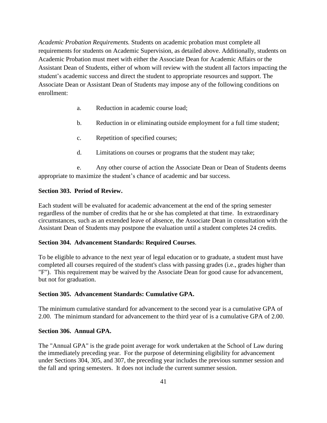*Academic Probation Requirements.* Students on academic probation must complete all requirements for students on Academic Supervision, as detailed above. Additionally, students on Academic Probation must meet with either the Associate Dean for Academic Affairs or the Assistant Dean of Students, either of whom will review with the student all factors impacting the student's academic success and direct the student to appropriate resources and support. The Associate Dean or Assistant Dean of Students may impose any of the following conditions on enrollment:

- a. Reduction in academic course load;
- b. Reduction in or eliminating outside employment for a full time student;
- c. Repetition of specified courses;
- d. Limitations on courses or programs that the student may take;

e. Any other course of action the Associate Dean or Dean of Students deems appropriate to maximize the student's chance of academic and bar success.

### **Section 303. Period of Review.**

Each student will be evaluated for academic advancement at the end of the spring semester regardless of the number of credits that he or she has completed at that time. In extraordinary circumstances, such as an extended leave of absence, the Associate Dean in consultation with the Assistant Dean of Students may postpone the evaluation until a student completes 24 credits.

### **Section 304. Advancement Standards: Required Courses**.

To be eligible to advance to the next year of legal education or to graduate, a student must have completed all courses required of the student's class with passing grades (i.e., grades higher than "F"). This requirement may be waived by the Associate Dean for good cause for advancement, but not for graduation.

### **Section 305. Advancement Standards: Cumulative GPA.**

The minimum cumulative standard for advancement to the second year is a cumulative GPA of 2.00. The minimum standard for advancement to the third year of is a cumulative GPA of 2.00.

### **Section 306. Annual GPA.**

The "Annual GPA" is the grade point average for work undertaken at the School of Law during the immediately preceding year. For the purpose of determining eligibility for advancement under Sections 304, 305, and 307, the preceding year includes the previous summer session and the fall and spring semesters. It does not include the current summer session.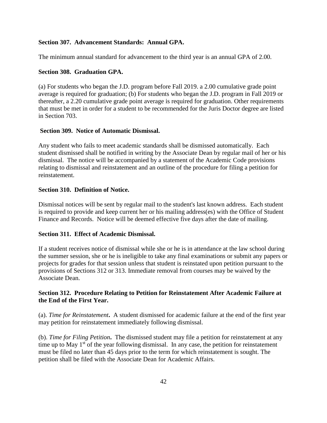## **Section 307. Advancement Standards: Annual GPA.**

The minimum annual standard for advancement to the third year is an annual GPA of 2.00.

### **Section 308. Graduation GPA.**

(a) For students who began the J.D. program before Fall 2019. a 2.00 cumulative grade point average is required for graduation; (b) For students who began the J.D. program in Fall 2019 or thereafter, a 2.20 cumulative grade point average is required for graduation. Other requirements that must be met in order for a student to be recommended for the Juris Doctor degree are listed in Section 703.

### **Section 309. Notice of Automatic Dismissal.**

Any student who fails to meet academic standards shall be dismissed automatically. Each student dismissed shall be notified in writing by the Associate Dean by regular mail of her or his dismissal. The notice will be accompanied by a statement of the Academic Code provisions relating to dismissal and reinstatement and an outline of the procedure for filing a petition for reinstatement.

### **Section 310. Definition of Notice.**

Dismissal notices will be sent by regular mail to the student's last known address. Each student is required to provide and keep current her or his mailing address(es) with the Office of Student Finance and Records. Notice will be deemed effective five days after the date of mailing.

### **Section 311. Effect of Academic Dismissal.**

If a student receives notice of dismissal while she or he is in attendance at the law school during the summer session, she or he is ineligible to take any final examinations or submit any papers or projects for grades for that session unless that student is reinstated upon petition pursuant to the provisions of Sections 312 or 313. Immediate removal from courses may be waived by the Associate Dean.

## **Section 312. Procedure Relating to Petition for Reinstatement After Academic Failure at the End of the First Year.**

(a). *Time for Reinstatement***.** A student dismissed for academic failure at the end of the first year may petition for reinstatement immediately following dismissal.

(b). *Time for Filing Petition***.** The dismissed student may file a petition for reinstatement at any time up to May  $1<sup>st</sup>$  of the year following dismissal. In any case, the petition for reinstatement must be filed no later than 45 days prior to the term for which reinstatement is sought. The petition shall be filed with the Associate Dean for Academic Affairs.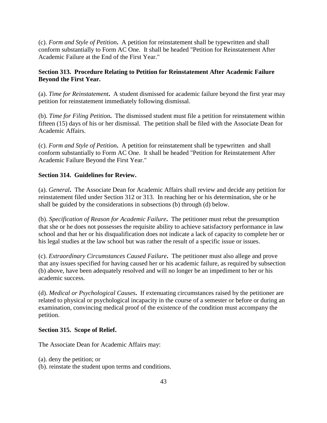(c). *Form and Style of Petition***.** A petition for reinstatement shall be typewritten and shall conform substantially to Form AC One. It shall be headed "Petition for Reinstatement After Academic Failure at the End of the First Year."

# **Section 313. Procedure Relating to Petition for Reinstatement After Academic Failure Beyond the First Year.**

(a). *Time for Reinstatement***.** A student dismissed for academic failure beyond the first year may petition for reinstatement immediately following dismissal.

(b). *Time for Filing Petition***.** The dismissed student must file a petition for reinstatement within fifteen (15) days of his or her dismissal. The petition shall be filed with the Associate Dean for Academic Affairs.

(c). *Form and Style of Petition***.** A petition for reinstatement shall be typewritten and shall conform substantially to Form AC One. It shall be headed "Petition for Reinstatement After Academic Failure Beyond the First Year."

# **Section 314. Guidelines for Review.**

(a). *General***.** The Associate Dean for Academic Affairs shall review and decide any petition for reinstatement filed under Section 312 or 313. In reaching her or his determination, she or he shall be guided by the considerations in subsections (b) through (d) below.

(b). *Specification of Reason for Academic Failure***.** The petitioner must rebut the presumption that she or he does not possesses the requisite ability to achieve satisfactory performance in law school and that her or his disqualification does not indicate a lack of capacity to complete her or his legal studies at the law school but was rather the result of a specific issue or issues.

(c). *Extraordinary Circumstances Caused Failure***.** The petitioner must also allege and prove that any issues specified for having caused her or his academic failure, as required by subsection (b) above, have been adequately resolved and will no longer be an impediment to her or his academic success.

(d). *Medical or Psychological Causes***.** If extenuating circumstances raised by the petitioner are related to physical or psychological incapacity in the course of a semester or before or during an examination, convincing medical proof of the existence of the condition must accompany the petition.

## **Section 315. Scope of Relief.**

The Associate Dean for Academic Affairs may:

(a). deny the petition; or

(b). reinstate the student upon terms and conditions.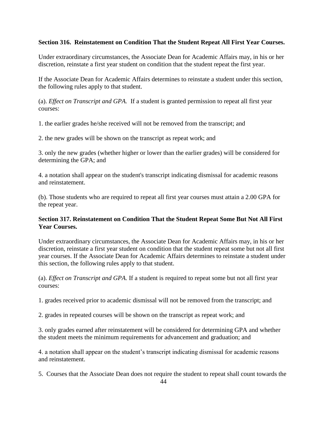# **Section 316. Reinstatement on Condition That the Student Repeat All First Year Courses.**

Under extraordinary circumstances, the Associate Dean for Academic Affairs may, in his or her discretion, reinstate a first year student on condition that the student repeat the first year.

If the Associate Dean for Academic Affairs determines to reinstate a student under this section, the following rules apply to that student.

(a). *Effect on Transcript and GPA.* If a student is granted permission to repeat all first year courses:

1. the earlier grades he/she received will not be removed from the transcript; and

2. the new grades will be shown on the transcript as repeat work; and

3. only the new grades (whether higher or lower than the earlier grades) will be considered for determining the GPA; and

4. a notation shall appear on the student's transcript indicating dismissal for academic reasons and reinstatement.

(b). Those students who are required to repeat all first year courses must attain a 2.00 GPA for the repeat year.

# **Section 317. Reinstatement on Condition That the Student Repeat Some But Not All First Year Courses.**

Under extraordinary circumstances, the Associate Dean for Academic Affairs may, in his or her discretion, reinstate a first year student on condition that the student repeat some but not all first year courses. If the Associate Dean for Academic Affairs determines to reinstate a student under this section, the following rules apply to that student.

(a). *Effect on Transcript and GPA.* If a student is required to repeat some but not all first year courses:

1. grades received prior to academic dismissal will not be removed from the transcript; and

2. grades in repeated courses will be shown on the transcript as repeat work; and

3. only grades earned after reinstatement will be considered for determining GPA and whether the student meets the minimum requirements for advancement and graduation; and

4. a notation shall appear on the student's transcript indicating dismissal for academic reasons and reinstatement.

5. Courses that the Associate Dean does not require the student to repeat shall count towards the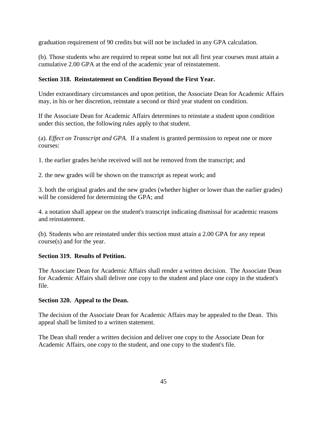graduation requirement of 90 credits but will not be included in any GPA calculation.

(b). Those students who are required to repeat some but not all first year courses must attain a cumulative 2.00 GPA at the end of the academic year of reinstatement.

## **Section 318. Reinstatement on Condition Beyond the First Year.**

Under extraordinary circumstances and upon petition, the Associate Dean for Academic Affairs may, in his or her discretion, reinstate a second or third year student on condition.

If the Associate Dean for Academic Affairs determines to reinstate a student upon condition under this section, the following rules apply to that student.

(a). *Effect on Transcript and GPA.* If a student is granted permission to repeat one or more courses:

1. the earlier grades he/she received will not be removed from the transcript; and

2. the new grades will be shown on the transcript as repeat work; and

3. both the original grades and the new grades (whether higher or lower than the earlier grades) will be considered for determining the GPA; and

4. a notation shall appear on the student's transcript indicating dismissal for academic reasons and reinstatement.

(b). Students who are reinstated under this section must attain a 2.00 GPA for any repeat course(s) and for the year.

### **Section 319. Results of Petition.**

The Associate Dean for Academic Affairs shall render a written decision. The Associate Dean for Academic Affairs shall deliver one copy to the student and place one copy in the student's file.

### **Section 320. Appeal to the Dean.**

The decision of the Associate Dean for Academic Affairs may be appealed to the Dean. This appeal shall be limited to a written statement.

The Dean shall render a written decision and deliver one copy to the Associate Dean for Academic Affairs, one copy to the student, and one copy to the student's file.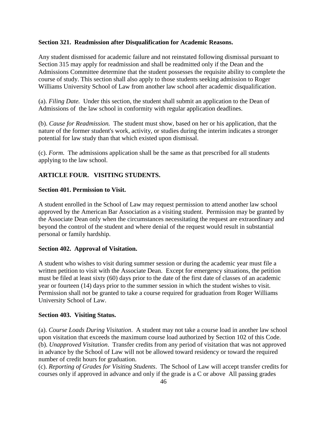### **Section 321. Readmission after Disqualification for Academic Reasons.**

Any student dismissed for academic failure and not reinstated following dismissal pursuant to Section 315 may apply for readmission and shall be readmitted only if the Dean and the Admissions Committee determine that the student possesses the requisite ability to complete the course of study. This section shall also apply to those students seeking admission to Roger Williams University School of Law from another law school after academic disqualification.

(a). *Filing Date.* Under this section, the student shall submit an application to the Dean of Admissions of the law school in conformity with regular application deadlines.

(b). *Cause for Readmission.* The student must show, based on her or his application, that the nature of the former student's work, activity, or studies during the interim indicates a stronger potential for law study than that which existed upon dismissal.

(c). *Form*. The admissions application shall be the same as that prescribed for all students applying to the law school.

## **ARTICLE FOUR. VISITING STUDENTS.**

#### **Section 401. Permission to Visit.**

A student enrolled in the School of Law may request permission to attend another law school approved by the American Bar Association as a visiting student. Permission may be granted by the Associate Dean only when the circumstances necessitating the request are extraordinary and beyond the control of the student and where denial of the request would result in substantial personal or family hardship.

#### **Section 402. Approval of Visitation.**

A student who wishes to visit during summer session or during the academic year must file a written petition to visit with the Associate Dean. Except for emergency situations, the petition must be filed at least sixty (60) days prior to the date of the first date of classes of an academic year or fourteen (14) days prior to the summer session in which the student wishes to visit. Permission shall not be granted to take a course required for graduation from Roger Williams University School of Law.

#### **Section 403. Visiting Status.**

(a). *Course Loads During Visitation*. A student may not take a course load in another law school upon visitation that exceeds the maximum course load authorized by Section 102 of this Code. (b). *Unapproved Visitation*. Transfer credits from any period of visitation that was not approved in advance by the School of Law will not be allowed toward residency or toward the required number of credit hours for graduation.

(c). *Reporting of Grades for Visiting Students*. The School of Law will accept transfer credits for courses only if approved in advance and only if the grade is a C or above All passing grades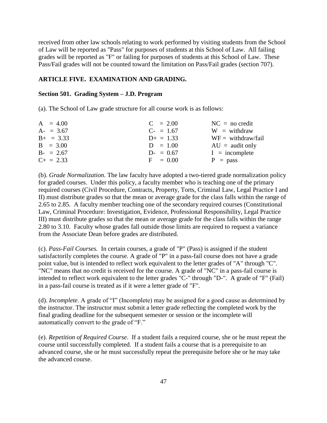received from other law schools relating to work performed by visiting students from the School of Law will be reported as "Pass" for purposes of students at this School of Law. All failing grades will be reported as "F" or failing for purposes of students at this School of Law. These Pass/Fail grades will not be counted toward the limitation on Pass/Fail grades (section 707).

## **ARTICLE FIVE. EXAMINATION AND GRADING.**

#### **Section 501. Grading System – J.D. Program**

(a). The School of Law grade structure for all course work is as follows:

| $A = 4.00$     | $C = 2.00$     | $NC = no credit$         |
|----------------|----------------|--------------------------|
| $A = 3.67$     | $C_{-} = 1.67$ | $W =$ withdraw           |
| $B_{+} = 3.33$ | $D_{+} = 1.33$ | $WF =$ withdraw/fail     |
| $B = 3.00$     | $D = 1.00$     | $AU = \text{audit only}$ |
| $B - = 2.67$   | $D = 0.67$     | $I = incomplete$         |
| $C_{+} = 2.33$ | $F = 0.00$     | $P = pass$               |

(b). *Grade Normalization.* The law faculty have adopted a two-tiered grade normalization policy for graded courses. Under this policy, a faculty member who is teaching one of the primary required courses (Civil Procedure, Contracts, Property, Torts, Criminal Law, Legal Practice I and II) must distribute grades so that the mean or average grade for the class falls within the range of 2.65 to 2.85. A faculty member teaching one of the secondary required courses (Constitutional Law, Criminal Procedure: Investigation, Evidence, Professional Responsibility, Legal Practice III) must distribute grades so that the mean or average grade for the class falls within the range 2.80 to 3.10. Faculty whose grades fall outside those limits are required to request a variance from the Associate Dean before grades are distributed.

(c). *Pass-Fail Courses.* In certain courses, a grade of "P" (Pass) is assigned if the student satisfactorily completes the course. A grade of "P" in a pass-fail course does not have a grade point value, but is intended to reflect work equivalent to the letter grades of "A" through "C". "NC" means that no credit is received for the course. A grade of "NC" in a pass-fail course is intended to reflect work equivalent to the letter grades "C-" through "D-". A grade of "F" (Fail) in a pass-fail course is treated as if it were a letter grade of "F".

(d). *Incomplete*. A grade of "I" (Incomplete) may be assigned for a good cause as determined by the instructor. The instructor must submit a letter grade reflecting the completed work by the final grading deadline for the subsequent semester or session or the incomplete will automatically convert to the grade of "F."

(e). *Repetition of Required Course*. If a student fails a required course, she or he must repeat the course until successfully completed. If a student fails a course that is a prerequisite to an advanced course, she or he must successfully repeat the prerequisite before she or he may take the advanced course.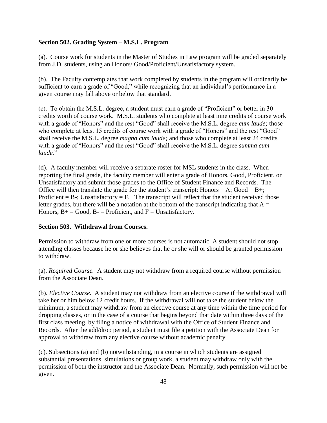### **Section 502. Grading System – M.S.L. Program**

(a). Course work for students in the Master of Studies in Law program will be graded separately from J.D. students, using an Honors/ Good/Proficient/Unsatisfactory system.

(b). The Faculty contemplates that work completed by students in the program will ordinarily be sufficient to earn a grade of "Good," while recognizing that an individual's performance in a given course may fall above or below that standard.

(c). To obtain the M.S.L. degree, a student must earn a grade of "Proficient" or better in 30 credits worth of course work. M.S.L. students who complete at least nine credits of course work with a grade of "Honors" and the rest "Good" shall receive the M.S.L. degree *cum laude;* those who complete at least 15 credits of course work with a grade of "Honors" and the rest "Good" shall receive the M.S.L. degree *magna cum laude;* and those who complete at least 24 credits with a grade of "Honors" and the rest "Good" shall receive the M.S.L. degree *summa cum laude.*"

(d). A faculty member will receive a separate roster for MSL students in the class. When reporting the final grade, the faculty member will enter a grade of Honors, Good, Proficient, or Unsatisfactory and submit those grades to the Office of Student Finance and Records. The Office will then translate the grade for the student's transcript: Honors = A; Good = B+; Proficient  $=$  B $-$ ; Unsatisfactory  $=$  F. The transcript will reflect that the student received those letter grades, but there will be a notation at the bottom of the transcript indicating that  $A =$ Honors,  $B_+$  = Good,  $B_+$  = Proficient, and  $F =$  Unsatisfactory.

### **Section 503. Withdrawal from Courses.**

Permission to withdraw from one or more courses is not automatic. A student should not stop attending classes because he or she believes that he or she will or should be granted permission to withdraw.

(a). *Required Course.* A student may not withdraw from a required course without permission from the Associate Dean.

(b). *Elective Course*. A student may not withdraw from an elective course if the withdrawal will take her or him below 12 credit hours. If the withdrawal will not take the student below the minimum, a student may withdraw from an elective course at any time within the time period for dropping classes, or in the case of a course that begins beyond that date within three days of the first class meeting, by filing a notice of withdrawal with the Office of Student Finance and Records. After the add/drop period, a student must file a petition with the Associate Dean for approval to withdraw from any elective course without academic penalty.

(c). Subsections (a) and (b) notwithstanding, in a course in which students are assigned substantial presentations, simulations or group work, a student may withdraw only with the permission of both the instructor and the Associate Dean. Normally, such permission will not be given.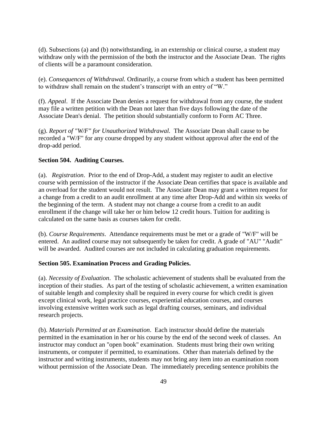(d). Subsections (a) and (b) notwithstanding, in an externship or clinical course, a student may withdraw only with the permission of the both the instructor and the Associate Dean. The rights of clients will be a paramount consideration.

(e). *Consequences of Withdrawal.* Ordinarily, a course from which a student has been permitted to withdraw shall remain on the student's transcript with an entry of "W."

(f). *Appeal*. If the Associate Dean denies a request for withdrawal from any course, the student may file a written petition with the Dean not later than five days following the date of the Associate Dean's denial. The petition should substantially conform to Form AC Three.

(g). *Report of "W/F" for Unauthorized Withdrawal.* The Associate Dean shall cause to be recorded a "W/F" for any course dropped by any student without approval after the end of the drop-add period.

### **Section 504. Auditing Courses.**

(a). *Registration*. Prior to the end of Drop-Add, a student may register to audit an elective course with permission of the instructor if the Associate Dean certifies that space is available and an overload for the student would not result. The Associate Dean may grant a written request for a change from a credit to an audit enrollment at any time after Drop-Add and within six weeks of the beginning of the term. A student may not change a course from a credit to an audit enrollment if the change will take her or him below 12 credit hours. Tuition for auditing is calculated on the same basis as courses taken for credit.

(b). *Course Requirements*. Attendance requirements must be met or a grade of "W/F" will be entered. An audited course may not subsequently be taken for credit. A grade of "AU" "Audit" will be awarded. Audited courses are not included in calculating graduation requirements.

### **Section 505. Examination Process and Grading Policies.**

(a). *Necessity of Evaluation*. The scholastic achievement of students shall be evaluated from the inception of their studies. As part of the testing of scholastic achievement, a written examination of suitable length and complexity shall be required in every course for which credit is given except clinical work, legal practice courses, experiential education courses, and courses involving extensive written work such as legal drafting courses, seminars, and individual research projects.

(b). *Materials Permitted at an Examination*. Each instructor should define the materials permitted in the examination in her or his course by the end of the second week of classes. An instructor may conduct an "open book" examination. Students must bring their own writing instruments, or computer if permitted, to examinations. Other than materials defined by the instructor and writing instruments, students may not bring any item into an examination room without permission of the Associate Dean. The immediately preceding sentence prohibits the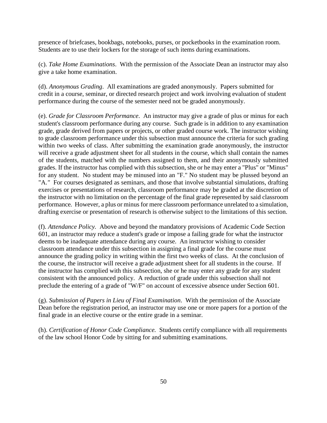presence of briefcases, bookbags, notebooks, purses, or pocketbooks in the examination room. Students are to use their lockers for the storage of such items during examinations.

(c). *Take Home Examinations*. With the permission of the Associate Dean an instructor may also give a take home examination.

(d). *Anonymous Grading*. All examinations are graded anonymously. Papers submitted for credit in a course, seminar, or directed research project and work involving evaluation of student performance during the course of the semester need not be graded anonymously.

(e). *Grade for Classroom Performance*. An instructor may give a grade of plus or minus for each student's classroom performance during any course. Such grade is in addition to any examination grade, grade derived from papers or projects, or other graded course work. The instructor wishing to grade classroom performance under this subsection must announce the criteria for such grading within two weeks of class. After submitting the examination grade anonymously, the instructor will receive a grade adjustment sheet for all students in the course, which shall contain the names of the students, matched with the numbers assigned to them, and their anonymously submitted grades. If the instructor has complied with this subsection, she or he may enter a "Plus" or "Minus" for any student. No student may be minused into an "F." No student may be plussed beyond an "A.*"* For courses designated as seminars, and those that involve substantial simulations, drafting exercises or presentations of research, classroom performance may be graded at the discretion of the instructor with no limitation on the percentage of the final grade represented by said classroom performance*.* However, a plus or minus for mere classroom performance unrelated to a simulation, drafting exercise or presentation of research is otherwise subject to the limitations of this section.

(f). *Attendance Policy.* Above and beyond the mandatory provisions of Academic Code Section 601, an instructor may reduce a student's grade or impose a failing grade for what the instructor deems to be inadequate attendance during any course. An instructor wishing to consider classroom attendance under this subsection in assigning a final grade for the course must announce the grading policy in writing within the first two weeks of class. At the conclusion of the course, the instructor will receive a grade adjustment sheet for all students in the course. If the instructor has complied with this subsection, she or he may enter any grade for any student consistent with the announced policy. A reduction of grade under this subsection shall not preclude the entering of a grade of "W/F" on account of excessive absence under Section 601.

(g). *Submission of Papers in Lieu of Final Examination*. With the permission of the Associate Dean before the registration period, an instructor may use one or more papers for a portion of the final grade in an elective course or the entire grade in a seminar.

(h). *Certification of Honor Code Compliance.* Students certify compliance with all requirements of the law school Honor Code by sitting for and submitting examinations.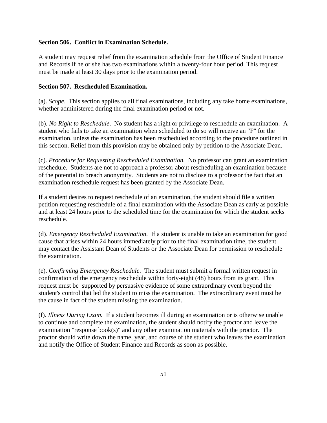### **Section 506. Conflict in Examination Schedule.**

A student may request relief from the examination schedule from the Office of Student Finance and Records if he or she has two examinations within a twenty-four hour period. This request must be made at least 30 days prior to the examination period.

#### **Section 507. Rescheduled Examination.**

(a). *Scope*. This section applies to all final examinations, including any take home examinations, whether administered during the final examination period or not.

(b). *No Right to Reschedule*. No student has a right or privilege to reschedule an examination. A student who fails to take an examination when scheduled to do so will receive an "F" for the examination, unless the examination has been rescheduled according to the procedure outlined in this section. Relief from this provision may be obtained only by petition to the Associate Dean.

(c). *Procedure for Requesting Rescheduled Examination.* No professor can grant an examination reschedule. Students are not to approach a professor about rescheduling an examination because of the potential to breach anonymity. Students are not to disclose to a professor the fact that an examination reschedule request has been granted by the Associate Dean.

If a student desires to request reschedule of an examination, the student should file a written petition requesting reschedule of a final examination with the Associate Dean as early as possible and at least 24 hours prior to the scheduled time for the examination for which the student seeks reschedule.

(d). *Emergency Rescheduled Examination*. If a student is unable to take an examination for good cause that arises within 24 hours immediately prior to the final examination time, the student may contact the Assistant Dean of Students or the Associate Dean for permission to reschedule the examination.

(e). *Confirming Emergency Reschedule*. The student must submit a formal written request in confirmation of the emergency reschedule within forty-eight (48) hours from its grant. This request must be supported by persuasive evidence of some extraordinary event beyond the student's control that led the student to miss the examination. The extraordinary event must be the cause in fact of the student missing the examination.

(f). *Illness During Exam.* If a student becomes ill during an examination or is otherwise unable to continue and complete the examination, the student should notify the proctor and leave the examination "response book(s)" and any other examination materials with the proctor. The proctor should write down the name, year, and course of the student who leaves the examination and notify the Office of Student Finance and Records as soon as possible.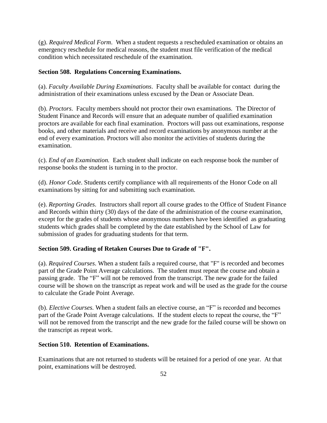(g). *Required Medical Form*. When a student requests a rescheduled examination or obtains an emergency reschedule for medical reasons, the student must file verification of the medical condition which necessitated reschedule of the examination.

### **Section 508. Regulations Concerning Examinations.**

(a). *Faculty Available During Examinations*. Faculty shall be available for contact during the administration of their examinations unless excused by the Dean or Associate Dean.

(b). *Proctors*. Faculty members should not proctor their own examinations. The Director of Student Finance and Records will ensure that an adequate number of qualified examination proctors are available for each final examination. Proctors will pass out examinations, response books, and other materials and receive and record examinations by anonymous number at the end of every examination. Proctors will also monitor the activities of students during the examination.

(c). *End of an Examination.* Each student shall indicate on each response book the number of response books the student is turning in to the proctor.

(d). *Honor Code*. Students certify compliance with all requirements of the Honor Code on all examinations by sitting for and submitting such examination.

(e). *Reporting Grades*. Instructors shall report all course grades to the Office of Student Finance and Records within thirty (30) days of the date of the administration of the course examination, except for the grades of students whose anonymous numbers have been identified as graduating students which grades shall be completed by the date established by the School of Law for submission of grades for graduating students for that term.

## **Section 509. Grading of Retaken Courses Due to Grade of "F".**

(a). *Required Courses*. When a student fails a required course, that "F" is recorded and becomes part of the Grade Point Average calculations. The student must repeat the course and obtain a passing grade. The "F" will not be removed from the transcript. The new grade for the failed course will be shown on the transcript as repeat work and will be used as the grade for the course to calculate the Grade Point Average.

(b). *Elective Courses.* When a student fails an elective course, an "F" is recorded and becomes part of the Grade Point Average calculations. If the student elects to repeat the course, the "F" will not be removed from the transcript and the new grade for the failed course will be shown on the transcript as repeat work.

### **Section 510. Retention of Examinations.**

Examinations that are not returned to students will be retained for a period of one year. At that point, examinations will be destroyed.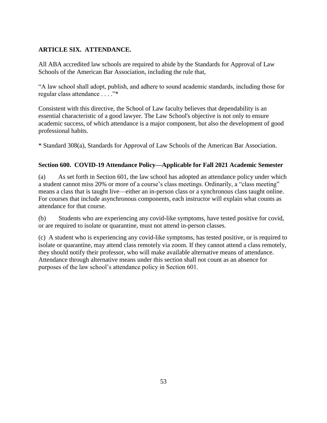# **ARTICLE SIX. ATTENDANCE.**

All ABA accredited law schools are required to abide by the Standards for Approval of Law Schools of the American Bar Association, including the rule that,

"A law school shall adopt, publish, and adhere to sound academic standards, including those for regular class attendance . . . ."\*

Consistent with this directive, the School of Law faculty believes that dependability is an essential characteristic of a good lawyer. The Law School's objective is not only to ensure academic success, of which attendance is a major component, but also the development of good professional habits.

\* Standard 308(a), Standards for Approval of Law Schools of the American Bar Association.

# **Section 600. COVID-19 Attendance Policy—Applicable for Fall 2021 Academic Semester**

(a) As set forth in Section 601, the law school has adopted an attendance policy under which a student cannot miss 20% or more of a course's class meetings. Ordinarily, a "class meeting" means a class that is taught live—either an in-person class or a synchronous class taught online. For courses that include asynchronous components, each instructor will explain what counts as attendance for that course.

(b) Students who are experiencing any covid-like symptoms, have tested positive for covid, or are required to isolate or quarantine, must not attend in-person classes.

(c) A student who is experiencing any covid-like symptoms, has tested positive, or is required to isolate or quarantine, may attend class remotely via zoom. If they cannot attend a class remotely, they should notify their professor, who will make available alternative means of attendance. Attendance through alternative means under this section shall not count as an absence for purposes of the law school's attendance policy in Section 601.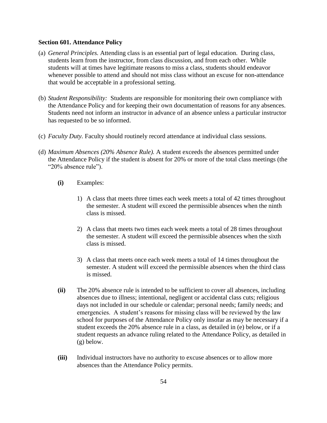#### **Section 601. Attendance Policy**

- (a) *General Principles.* Attending class is an essential part of legal education. During class, students learn from the instructor, from class discussion, and from each other. While students will at times have legitimate reasons to miss a class, students should endeavor whenever possible to attend and should not miss class without an excuse for non-attendance that would be acceptable in a professional setting.
- (b) *Student Responsibility:* Students are responsible for monitoring their own compliance with the Attendance Policy and for keeping their own documentation of reasons for any absences. Students need not inform an instructor in advance of an absence unless a particular instructor has requested to be so informed.
- (c) *Faculty Duty.* Faculty should routinely record attendance at individual class sessions.
- (d) *Maximum Absences (20% Absence Rule).* A student exceeds the absences permitted under the Attendance Policy if the student is absent for 20% or more of the total class meetings (the "20% absence rule").
	- **(i)** Examples:
		- 1) A class that meets three times each week meets a total of 42 times throughout the semester. A student will exceed the permissible absences when the ninth class is missed.
		- 2) A class that meets two times each week meets a total of 28 times throughout the semester. A student will exceed the permissible absences when the sixth class is missed.
		- 3) A class that meets once each week meets a total of 14 times throughout the semester. A student will exceed the permissible absences when the third class is missed.
	- **(ii)** The 20% absence rule is intended to be sufficient to cover all absences, including absences due to illness; intentional, negligent or accidental class cuts; religious days not included in our schedule or calendar; personal needs; family needs; and emergencies. A student's reasons for missing class will be reviewed by the law school for purposes of the Attendance Policy only insofar as may be necessary if a student exceeds the 20% absence rule in a class, as detailed in (e) below, or if a student requests an advance ruling related to the Attendance Policy, as detailed in (g) below.
	- **(iii)** Individual instructors have no authority to excuse absences or to allow more absences than the Attendance Policy permits.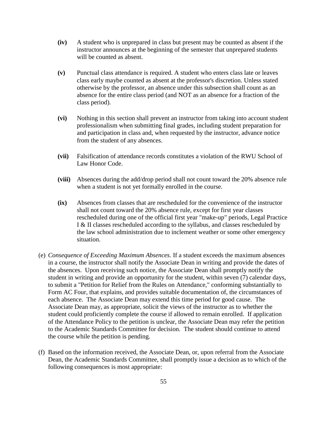- **(iv)** A student who is unprepared in class but present may be counted as absent if the instructor announces at the beginning of the semester that unprepared students will be counted as absent.
- **(v)** Punctual class attendance is required. A student who enters class late or leaves class early maybe counted as absent at the professor's discretion. Unless stated otherwise by the professor, an absence under this subsection shall count as an absence for the entire class period (and NOT as an absence for a fraction of the class period).
- **(vi)** Nothing in this section shall prevent an instructor from taking into account student professionalism when submitting final grades, including student preparation for and participation in class and, when requested by the instructor, advance notice from the student of any absences.
- **(vii)** Falsification of attendance records constitutes a violation of the RWU School of Law Honor Code.
- **(viii)** Absences during the add/drop period shall not count toward the 20% absence rule when a student is not yet formally enrolled in the course.
- **(ix)** Absences from classes that are rescheduled for the convenience of the instructor shall not count toward the 20% absence rule, except for first year classes rescheduled during one of the official first year "make-up" periods, Legal Practice I & II classes rescheduled according to the syllabus, and classes rescheduled by the law school administration due to inclement weather or some other emergency situation.
- (e) *Consequence of Exceeding Maximum Absences.* If a student exceeds the maximum absences in a course, the instructor shall notify the Associate Dean in writing and provide the dates of the absences. Upon receiving such notice, the Associate Dean shall promptly notify the student in writing and provide an opportunity for the student, within seven (7) calendar days, to submit a "Petition for Relief from the Rules on Attendance," conforming substantially to Form AC Four, that explains, and provides suitable documentation of, the circumstances of each absence. The Associate Dean may extend this time period for good cause. The Associate Dean may, as appropriate, solicit the views of the instructor as to whether the student could proficiently complete the course if allowed to remain enrolled. If application of the Attendance Policy to the petition is unclear, the Associate Dean may refer the petition to the Academic Standards Committee for decision. The student should continue to attend the course while the petition is pending.
- (f) Based on the information received, the Associate Dean, or, upon referral from the Associate Dean, the Academic Standards Committee, shall promptly issue a decision as to which of the following consequences is most appropriate: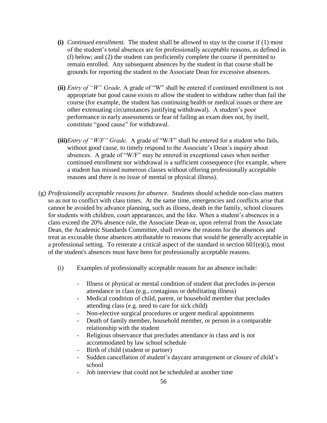- **(i)** *Continued enrollment.* The student shall be allowed to stay in the course if (1) most of the student's total absences are for professionally acceptable reasons, as defined in (f) below; and (2) the student can proficiently complete the course if permitted to remain enrolled. Any subsequent absences by the student in that course shall be grounds for reporting the student to the Associate Dean for excessive absences.
- **(ii)** *Entry of "W" Grade.* A grade of "W" shall be entered if continued enrollment is not appropriate but good cause exists to allow the student to withdraw rather than fail the course (for example, the student has continuing health or medical issues or there are other extenuating circumstances justifying withdrawal). A student's poor performance in early assessments or fear of failing an exam does not, by itself, constitute "good cause" for withdrawal.
- **(iii)***Entry of "W/F" Grade.* A grade of "W/F" shall be entered for a student who fails, without good cause, to timely respond to the Associate's Dean's inquiry about absences. A grade of "W/F" may be entered in exceptional cases when neither continued enrollment nor withdrawal is a sufficient consequence (for example, where a student has missed numerous classes without offering professionally acceptable reasons and there is no issue of mental or physical illness).
- (g) *Professionally acceptable reasons for absence.* Students should schedule non-class matters so as not to conflict with class times. At the same time, emergencies and conflicts arise that cannot be avoided by advance planning, such as illness, death in the family, school closures for students with children, court appearances, and the like. When a student's absences in a class exceed the 20% absence rule, the Associate Dean or, upon referral from the Associate Dean, the Academic Standards Committee, shall review the reasons for the absences and treat as excusable those absences attributable to reasons that would be generally acceptable in a professional setting. To reiterate a critical aspect of the standard in section  $601(e)(i)$ , most of the student's absences must have been for professionally acceptable reasons.
	- (i) Examples of professionally acceptable reasons for an absence include:
		- Illness or physical or mental condition of student that precludes in-person attendance in class (e.g., contagious or debilitating illness)
		- Medical condition of child, parent, or household member that precludes attending class (e.g. need to care for sick child)
		- Non-elective surgical procedures or urgent medical appointments
		- Death of family member, household member, or person in a comparable relationship with the student
		- Religious observance that precludes attendance in class and is not accommodated by law school schedule
		- Birth of child (student or partner)
		- Sudden cancellation of student's daycare arrangement or closure of child's school
		- Job interview that could not be scheduled at another time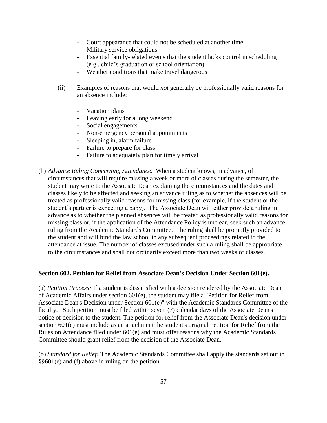- Court appearance that could not be scheduled at another time
- Military service obligations
- Essential family-related events that the student lacks control in scheduling (e.g., child's graduation or school orientation)
- Weather conditions that make travel dangerous
- (ii) Examples of reasons that would *not* generally be professionally valid reasons for an absence include:
	- Vacation plans
	- Leaving early for a long weekend
	- Social engagements
	- Non-emergency personal appointments
	- Sleeping in, alarm failure
	- Failure to prepare for class
	- Failure to adequately plan for timely arrival
- (h) *Advance Ruling Concerning Attendance.* When a student knows, in advance, of circumstances that will require missing a week or more of classes during the semester, the student may write to the Associate Dean explaining the circumstances and the dates and classes likely to be affected and seeking an advance ruling as to whether the absences will be treated as professionally valid reasons for missing class (for example, if the student or the student's partner is expecting a baby). The Associate Dean will either provide a ruling in advance as to whether the planned absences will be treated as professionally valid reasons for missing class or, if the application of the Attendance Policy is unclear, seek such an advance ruling from the Academic Standards Committee. The ruling shall be promptly provided to the student and will bind the law school in any subsequent proceedings related to the attendance at issue. The number of classes excused under such a ruling shall be appropriate to the circumstances and shall not ordinarily exceed more than two weeks of classes.

#### **Section 602. Petition for Relief from Associate Dean's Decision Under Section 601(e).**

(a) *Petition Process:* If a student is dissatisfied with a decision rendered by the Associate Dean of Academic Affairs under section 601(e), the student may file a "Petition for Relief from Associate Dean's Decision under Section 601(e)" with the Academic Standards Committee of the faculty. Such petition must be filed within seven (7) calendar days of the Associate Dean's notice of decision to the student. The petition for relief from the Associate Dean's decision under section 601(e) must include as an attachment the student's original Petition for Relief from the Rules on Attendance filed under 601(e) and must offer reasons why the Academic Standards Committee should grant relief from the decision of the Associate Dean.

(b) *Standard for Relief:* The Academic Standards Committee shall apply the standards set out in §§601(e) and (f) above in ruling on the petition.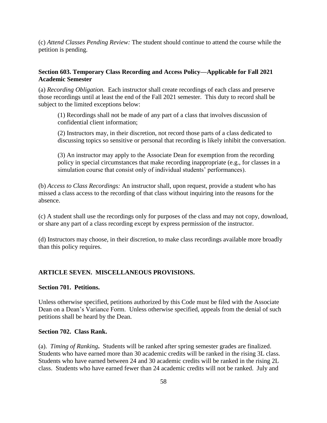(c) *Attend Classes Pending Review:* The student should continue to attend the course while the petition is pending.

# **Section 603. Temporary Class Recording and Access Policy—Applicable for Fall 2021 Academic Semester**

(a) *Recording Obligation.* Each instructor shall create recordings of each class and preserve those recordings until at least the end of the Fall 2021 semester. This duty to record shall be subject to the limited exceptions below:

(1) Recordings shall not be made of any part of a class that involves discussion of confidential client information;

(2) Instructors may, in their discretion, not record those parts of a class dedicated to discussing topics so sensitive or personal that recording is likely inhibit the conversation.

(3) An instructor may apply to the Associate Dean for exemption from the recording policy in special circumstances that make recording inappropriate (e.g., for classes in a simulation course that consist only of individual students' performances).

(b) *Access to Class Recordings:* An instructor shall, upon request, provide a student who has missed a class access to the recording of that class without inquiring into the reasons for the absence.

(c) A student shall use the recordings only for purposes of the class and may not copy, download, or share any part of a class recording except by express permission of the instructor.

(d) Instructors may choose, in their discretion, to make class recordings available more broadly than this policy requires.

# **ARTICLE SEVEN. MISCELLANEOUS PROVISIONS.**

### **Section 701. Petitions.**

Unless otherwise specified, petitions authorized by this Code must be filed with the Associate Dean on a Dean's Variance Form. Unless otherwise specified, appeals from the denial of such petitions shall be heard by the Dean.

# **Section 702. Class Rank.**

(a). *Timing of Ranking***.** Students will be ranked after spring semester grades are finalized. Students who have earned more than 30 academic credits will be ranked in the rising 3L class. Students who have earned between 24 and 30 academic credits will be ranked in the rising 2L class. Students who have earned fewer than 24 academic credits will not be ranked. July and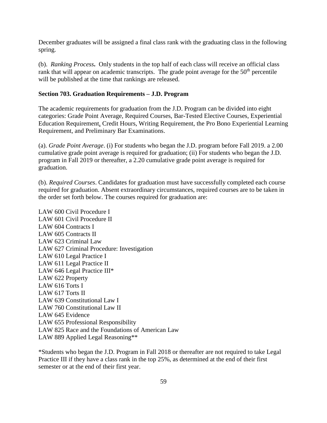December graduates will be assigned a final class rank with the graduating class in the following spring.

(b). *Ranking Process***.** Only students in the top half of each class will receive an official class rank that will appear on academic transcripts. The grade point average for the  $50<sup>th</sup>$  percentile will be published at the time that rankings are released.

### **Section 703. Graduation Requirements – J.D. Program**

The academic requirements for graduation from the J.D. Program can be divided into eight categories: Grade Point Average, Required Courses, Bar-Tested Elective Courses, Experiential Education Requirement, Credit Hours, Writing Requirement, the Pro Bono Experiential Learning Requirement, and Preliminary Bar Examinations.

(a). *Grade Point Average*. (i) For students who began the J.D. program before Fall 2019. a 2.00 cumulative grade point average is required for graduation; (ii) For students who began the J.D. program in Fall 2019 or thereafter, a 2.20 cumulative grade point average is required for graduation.

(b). *Required Courses*. Candidates for graduation must have successfully completed each course required for graduation. Absent extraordinary circumstances, required courses are to be taken in the order set forth below. The courses required for graduation are:

LAW 600 Civil Procedure I LAW 601 Civil Procedure II LAW 604 Contracts I LAW 605 Contracts II LAW 623 Criminal Law LAW 627 Criminal Procedure: Investigation LAW 610 Legal Practice I LAW 611 Legal Practice II LAW 646 Legal Practice III\* LAW 622 Property LAW 616 Torts I LAW 617 Torts II LAW 639 Constitutional Law I LAW 760 Constitutional Law II LAW 645 Evidence LAW 655 Professional Responsibility LAW 825 Race and the Foundations of American Law LAW 889 Applied Legal Reasoning\*\*

\*Students who began the J.D. Program in Fall 2018 or thereafter are not required to take Legal Practice III if they have a class rank in the top 25%, as determined at the end of their first semester or at the end of their first year.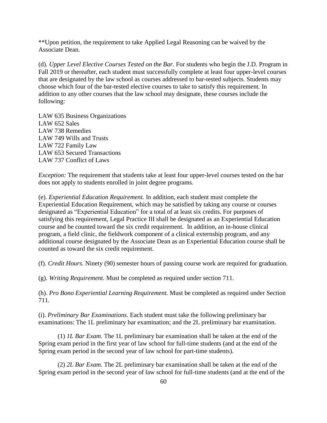\*\*Upon petition, the requirement to take Applied Legal Reasoning can be waived by the Associate Dean.

(d). *Upper Level Elective Courses Tested on the Bar.* For students who begin the J.D. Program in Fall 2019 or thereafter, each student must successfully complete at least four upper-level courses that are designated by the law school as courses addressed to bar-tested subjects. Students may choose which four of the bar-tested elective courses to take to satisfy this requirement. In addition to any other courses that the law school may designate, these courses include the following:

LAW 635 Business Organizations LAW 652 Sales LAW 738 Remedies LAW 749 Wills and Trusts LAW 722 Family Law LAW 653 Secured Transactions LAW 737 Conflict of Laws

*Exception:* The requirement that students take at least four upper-level courses tested on the bar does not apply to students enrolled in joint degree programs.

(e). *Experiential Education Requirement.* In addition, each student must complete the Experiential Education Requirement, which may be satisfied by taking any course or courses designated as "Experiential Education" for a total of at least six credits. For purposes of satisfying this requirement, Legal Practice III shall be designated as an Experiential Education course and be counted toward the six credit requirement. In addition, an in-house clinical program, a field clinic, the fieldwork component of a clinical externship program, and any additional course designated by the Associate Dean as an Experiential Education course shall be counted as toward the six credit requirement.

(f). *Credit Hours*. Ninety (90) semester hours of passing course work are required for graduation.

(g). *Writing Requirement.* Must be completed as required under section 711.

(h). *Pro Bono Experiential Learning Requirement.* Must be completed as required under Section 711.

(i). *Preliminary Bar Examinations.* Each student must take the following preliminary bar examinations: The 1L preliminary bar examination; and the 2L preliminary bar examination.

(1) *1L Bar Exam.* The 1L preliminary bar examination shall be taken at the end of the Spring exam period in the first year of law school for full-time students (and at the end of the Spring exam period in the second year of law school for part-time students).

(2) *2L Bar Exam.* The 2L preliminary bar examination shall be taken at the end of the Spring exam period in the second year of law school for full-time students (and at the end of the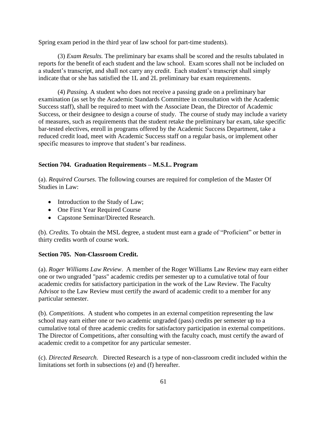Spring exam period in the third year of law school for part-time students).

(3) *Exam Results.* The preliminary bar exams shall be scored and the results tabulated in reports for the benefit of each student and the law school. Exam scores shall not be included on a student's transcript, and shall not carry any credit. Each student's transcript shall simply indicate that or she has satisfied the 1L and 2L preliminary bar exam requirements.

(4) *Passing.* A student who does not receive a passing grade on a preliminary bar examination (as set by the Academic Standards Committee in consultation with the Academic Success staff), shall be required to meet with the Associate Dean, the Director of Academic Success, or their designee to design a course of study. The course of study may include a variety of measures, such as requirements that the student retake the preliminary bar exam, take specific bar-tested electives, enroll in programs offered by the Academic Success Department, take a reduced credit load, meet with Academic Success staff on a regular basis, or implement other specific measures to improve that student's bar readiness.

## **Section 704. Graduation Requirements – M.S.L. Program**

(a). *Required Courses*. The following courses are required for completion of the Master Of Studies in Law:

- Introduction to the Study of Law;
- One First Year Required Course
- Capstone Seminar/Directed Research.

(b). *Credits*. To obtain the MSL degree, a student must earn a grade of "Proficient" or better in thirty credits worth of course work.

## **Section 705. Non-Classroom Credit.**

(a). *Roger Williams Law Review*. A member of the Roger Williams Law Review may earn either one or two ungraded "pass" academic credits per semester up to a cumulative total of four academic credits for satisfactory participation in the work of the Law Review. The Faculty Advisor to the Law Review must certify the award of academic credit to a member for any particular semester.

(b). *Competitions*. A student who competes in an external competition representing the law school may earn either one or two academic ungraded (pass) credits per semester up to a cumulative total of three academic credits for satisfactory participation in external competitions. The Director of Competitions, after consulting with the faculty coach, must certify the award of academic credit to a competitor for any particular semester.

(c). *Directed Research.* Directed Research is a type of non-classroom credit included within the limitations set forth in subsections (e) and (f) hereafter.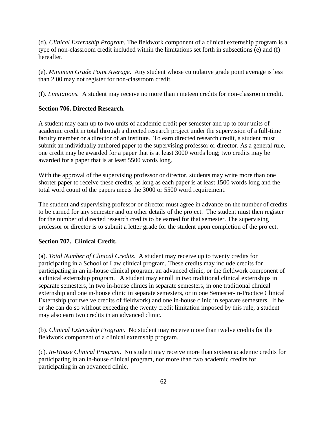(d). *Clinical Externship Program.* The fieldwork component of a clinical externship program is a type of non-classroom credit included within the limitations set forth in subsections (e) and (f) hereafter.

(e). *Minimum Grade Point Average*. Any student whose cumulative grade point average is less than 2.00 may not register for non-classroom credit.

(f). *Limitations.* A student may receive no more than nineteen credits for non-classroom credit.

### **Section 706. Directed Research.**

A student may earn up to two units of academic credit per semester and up to four units of academic credit in total through a directed research project under the supervision of a full-time faculty member or a director of an institute. To earn directed research credit, a student must submit an individually authored paper to the supervising professor or director. As a general rule, one credit may be awarded for a paper that is at least 3000 words long; two credits may be awarded for a paper that is at least 5500 words long.

With the approval of the supervising professor or director, students may write more than one shorter paper to receive these credits, as long as each paper is at least 1500 words long and the total word count of the papers meets the 3000 or 5500 word requirement.

The student and supervising professor or director must agree in advance on the number of credits to be earned for any semester and on other details of the project. The student must then register for the number of directed research credits to be earned for that semester. The supervising professor or director is to submit a letter grade for the student upon completion of the project.

### **Section 707. Clinical Credit.**

(a). *Total Number of Clinical Credits*. A student may receive up to twenty credits for participating in a School of Law clinical program. These credits may include credits for participating in an in-house clinical program, an advanced clinic, or the fieldwork component of a clinical externship program. A student may enroll in two traditional clinical externships in separate semesters, in two in-house clinics in separate semesters, in one traditional clinical externship and one in-house clinic in separate semesters, or in one Semester-in-Practice Clinical Externship (for twelve credits of fieldwork) and one in-house clinic in separate semesters. If he or she can do so without exceeding the twenty credit limitation imposed by this rule, a student may also earn two credits in an advanced clinic.

(b). *Clinical Externship Program*. No student may receive more than twelve credits for the fieldwork component of a clinical externship program.

(c). *In-House Clinical Program*. No student may receive more than sixteen academic credits for participating in an in-house clinical program, nor more than two academic credits for participating in an advanced clinic.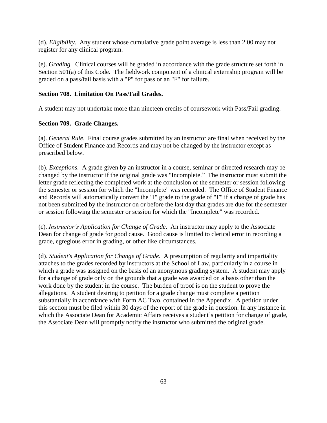(d). *Eligibility*. Any student whose cumulative grade point average is less than 2.00 may not register for any clinical program.

(e). *Grading.* Clinical courses will be graded in accordance with the grade structure set forth in Section 501(a) of this Code. The fieldwork component of a clinical externship program will be graded on a pass/fail basis with a "P" for pass or an "F" for failure.

## **Section 708. Limitation On Pass/Fail Grades.**

A student may not undertake more than nineteen credits of coursework with Pass/Fail grading.

### **Section 709. Grade Changes.**

(a). *General Rule*. Final course grades submitted by an instructor are final when received by the Office of Student Finance and Records and may not be changed by the instructor except as prescribed below.

(b). *Exceptions*. A grade given by an instructor in a course, seminar or directed research may be changed by the instructor if the original grade was "Incomplete." The instructor must submit the letter grade reflecting the completed work at the conclusion of the semester or session following the semester or session for which the "Incomplete" was recorded. The Office of Student Finance and Records will automatically convert the "I" grade to the grade of "F" if a change of grade has not been submitted by the instructor on or before the last day that grades are due for the semester or session following the semester or session for which the "Incomplete" was recorded.

(c). *Instructor's Application for Change of Grade*. An instructor may apply to the Associate Dean for change of grade for good cause. Good cause is limited to clerical error in recording a grade, egregious error in grading, or other like circumstances.

(d). *Student's Application for Change of Grade*. A presumption of regularity and impartiality attaches to the grades recorded by instructors at the School of Law, particularly in a course in which a grade was assigned on the basis of an anonymous grading system. A student may apply for a change of grade only on the grounds that a grade was awarded on a basis other than the work done by the student in the course. The burden of proof is on the student to prove the allegations. A student desiring to petition for a grade change must complete a petition substantially in accordance with Form AC Two, contained in the Appendix. A petition under this section must be filed within 30 days of the report of the grade in question. In any instance in which the Associate Dean for Academic Affairs receives a student's petition for change of grade, the Associate Dean will promptly notify the instructor who submitted the original grade.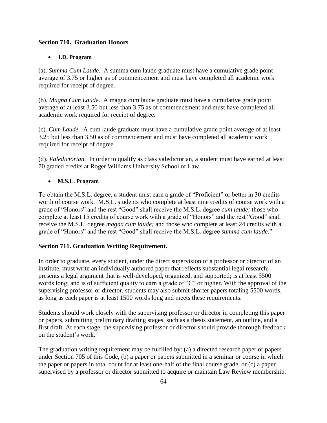### **Section 710. Graduation Honors**

### • **J.D. Program**

(a). *Summa Cum Laude*. A summa cum laude graduate must have a cumulative grade point average of 3.75 or higher as of commencement and must have completed all academic work required for receipt of degree.

(b). *Magna Cum Laude*. A magna cum laude graduate must have a cumulative grade point average of at least 3.50 but less than 3.75 as of commencement and must have completed all academic work required for receipt of degree.

(c). *Cum Laude*. A cum laude graduate must have a cumulative grade point average of at least 3.25 but less than 3.50 as of commencement and must have completed all academic work required for receipt of degree.

(d). *Valedictorian.*In order to qualify as class valedictorian, a student must have earned at least 70 graded credits at Roger Williams University School of Law.

### • **M.S.L. Program**

To obtain the M.S.L. degree, a student must earn a grade of "Proficient" or better in 30 credits worth of course work. M.S.L. students who complete at least nine credits of course work with a grade of "Honors" and the rest "Good" shall receive the M.S.L. degree *cum laude;* those who complete at least 15 credits of course work with a grade of "Honors" and the rest "Good" shall receive the M.S.L. degree *magna cum laude;* and those who complete at least 24 credits with a grade of "Honors" and the rest "Good" shall receive the M.S.L. degree *summa cum laude.*"

## **Section 711. Graduation Writing Requirement.**

In order to graduate, every student, under the direct supervision of a professor or director of an institute, must write an individually authored paper that reflects substantial legal research; presents a legal argument that is well-developed, organized, and supported; is at least 5500 words long; and is of sufficient quality to earn a grade of "C" or higher. With the approval of the supervising professor or director, students may also submit shorter papers totaling 5500 words, as long as each paper is at least 1500 words long and meets these requirements.

Students should work closely with the supervising professor or director in completing this paper or papers, submitting preliminary drafting stages, such as a thesis statement, an outline, and a first draft. At each stage, the supervising professor or director should provide thorough feedback on the student's work.

The graduation writing requirement may be fulfilled by: (a) a directed research paper or papers under Section 705 of this Code, (b) a paper or papers submitted in a seminar or course in which the paper or papers in total count for at least one-half of the final course grade, or (c) a paper supervised by a professor or director submitted to acquire or maintain Law Review membership.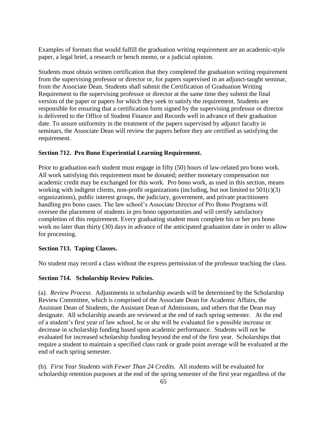Examples of formats that would fulfill the graduation writing requirement are an academic-style paper, a legal brief, a research or bench memo, or a judicial opinion.

Students must obtain written certification that they completed the graduation writing requirement from the supervising professor or director or, for papers supervised in an adjunct-taught seminar, from the Associate Dean. Students shall submit the Certification of Graduation Writing Requirement to the supervising professor or director at the same time they submit the final version of the paper or papers for which they seek to satisfy the requirement. Students are responsible for ensuring that a certification form signed by the supervising professor or director is delivered to the Office of Student Finance and Records well in advance of their graduation date. To assure uniformity in the treatment of the papers supervised by adjunct faculty in seminars, the Associate Dean will review the papers before they are certified as satisfying the requirement.

## **Section 712. Pro Bono Experiential Learning Requirement.**

Prior to graduation each student must engage in fifty (50) hours of law-related pro bono work. All work satisfying this requirement must be donated; neither monetary compensation nor academic credit may be exchanged for this work. Pro bono work, as used in this section, means working with indigent clients, non-profit organizations (including, but not limited to  $501(c)(3)$ ) organizations), public interest groups, the judiciary, government, and private practitioners handling pro bono cases. The law school's Associate Director of Pro Bono Programs will oversee the placement of students in pro bono opportunities and will certify satisfactory completion of this requirement. Every graduating student must complete his or her pro bono work no later than thirty (30) days in advance of the anticipated graduation date in order to allow for processing.

### **Section 713. Taping Classes.**

No student may record a class without the express permission of the professor teaching the class.

### **Section 714. Scholarship Review Policies.**

(a). *Review Process.* Adjustments in scholarship awards will be determined by the Scholarship Review Committee, which is comprised of the Associate Dean for Academic Affairs, the Assistant Dean of Students, the Assistant Dean of Admissions, and others that the Dean may designate. All scholarship awards are reviewed at the end of each spring semester. At the end of a student's first year of law school, he or she will be evaluated for a possible increase or decrease in scholarship funding based upon academic performance. Students will not be evaluated for increased scholarship funding beyond the end of the first year. Scholarships that require a student to maintain a specified class rank or grade point average will be evaluated at the end of each spring semester.

(b). *First Year Students with Fewer Than 24 Credits.*All students will be evaluated for scholarship retention purposes at the end of the spring semester of the first year regardless of the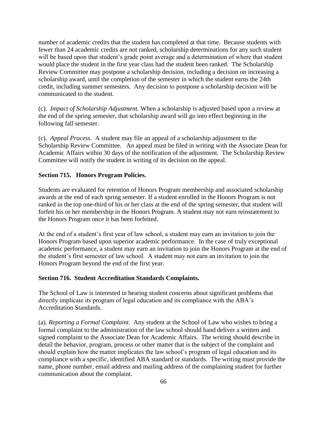number of academic credits that the student has completed at that time. Because students with fewer than 24 academic credits are not ranked, scholarship determinations for any such student will be based upon that student's grade point average and a determination of where that student would place the student in the first year class had the student been ranked. The Scholarship Review Committee may postpone a scholarship decision, including a decision on increasing a scholarship award, until the completion of the semester in which the student earns the 24th credit, including summer semesters. Any decision to postpone a scholarship decision will be communicated to the student.

(c).*Impact of Scholarship Adjustment.* When a scholarship is adjusted based upon a review at the end of the spring semester, that scholarship award will go into effect beginning in the following fall semester.

(c). *Appeal Process.* A student may file an appeal of a scholarship adjustment to the Scholarship Review Committee. An appeal must be filed in writing with the Associate Dean for Academic Affairs within 30 days of the notification of the adjustment. The Scholarship Review Committee will notify the student in writing of its decision on the appeal.

#### **Section 715. Honors Program Policies.**

Students are evaluated for retention of Honors Program membership and associated scholarship awards at the end of each spring semester. If a student enrolled in the Honors Program is not ranked in the top one-third of his or her class at the end of the spring semester, that student will forfeit his or her membership in the Honors Program. A student may not earn reinstatement to the Honors Program once it has been forfeited.

At the end of a student's first year of law school, a student may earn an invitation to join the Honors Program based upon superior academic performance. In the case of truly exceptional academic performance, a student may earn an invitation to join the Honors Program at the end of the student's first semester of law school. A student may not earn an invitation to join the Honors Program beyond the end of the first year.

#### **Section 716. Student Accreditation Standards Complaints.**

The School of Law is interested in hearing student concerns about significant problems that directly implicate its program of legal education and its compliance with the ABA's Accreditation Standards.

(a). *Reporting a Formal Complaint.*Any student at the School of Law who wishes to bring a formal complaint to the administration of the law school should hand deliver a written and signed complaint to the Associate Dean for Academic Affairs. The writing should describe in detail the behavior, program, process or other matter that is the subject of the complaint and should explain how the matter implicates the law school's program of legal education and its compliance with a specific, identified ABA standard or standards. The writing must provide the name, phone number, email address and mailing address of the complaining student for further communication about the complaint.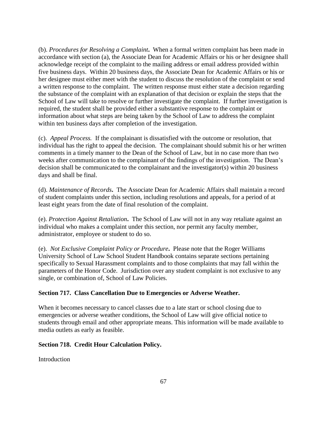(b). *Procedures for Resolving a Complaint***.** When a formal written complaint has been made in accordance with section (a), the Associate Dean for Academic Affairs or his or her designee shall acknowledge receipt of the complaint to the mailing address or email address provided within five business days. Within 20 business days, the Associate Dean for Academic Affairs or his or her designee must either meet with the student to discuss the resolution of the complaint or send a written response to the complaint. The written response must either state a decision regarding the substance of the complaint with an explanation of that decision or explain the steps that the School of Law will take to resolve or further investigate the complaint. If further investigation is required, the student shall be provided either a substantive response to the complaint or information about what steps are being taken by the School of Law to address the complaint within ten business days after completion of the investigation.

(c). *Appeal Process.* If the complainant is dissatisfied with the outcome or resolution, that individual has the right to appeal the decision. The complainant should submit his or her written comments in a timely manner to the Dean of the School of Law, but in no case more than two weeks after communication to the complainant of the findings of the investigation. The Dean's decision shall be communicated to the complainant and the investigator(s) within 20 business days and shall be final.

(d). *Maintenance of Records***.** The Associate Dean for Academic Affairs shall maintain a record of student complaints under this section, including resolutions and appeals, for a period of at least eight years from the date of final resolution of the complaint.

(e). *Protection Against Retaliation***.** The School of Law will not in any way retaliate against an individual who makes a complaint under this section, nor permit any faculty member, administrator, employee or student to do so.

(e). *Not Exclusive Complaint Policy or Procedure***.** Please note that the Roger Williams University School of Law School Student Handbook contains separate sections pertaining specifically to Sexual Harassment complaints and to those complaints that may fall within the parameters of the Honor Code. Jurisdiction over any student complaint is not exclusive to any single, or combination of, School of Law Policies.

## **Section 717. Class Cancellation Due to Emergencies or Adverse Weather.**

When it becomes necessary to cancel classes due to a late start or school closing due to emergencies or adverse weather conditions, the School of Law will give official notice to students through email and other appropriate means. This information will be made available to media outlets as early as feasible.

### **Section 718. Credit Hour Calculation Policy.**

Introduction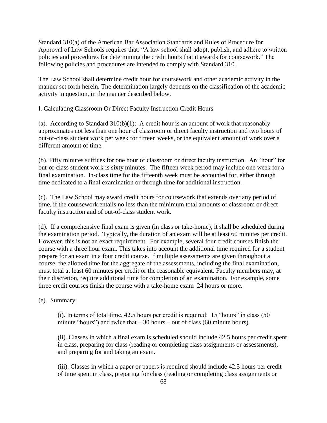Standard 310(a) of the American Bar Association Standards and Rules of Procedure for Approval of Law Schools requires that: "A law school shall adopt, publish, and adhere to written policies and procedures for determining the credit hours that it awards for coursework." The following policies and procedures are intended to comply with Standard 310.

The Law School shall determine credit hour for coursework and other academic activity in the manner set forth herein. The determination largely depends on the classification of the academic activity in question, in the manner described below.

I. Calculating Classroom Or Direct Faculty Instruction Credit Hours

(a). According to Standard  $310(b)(1)$ : A credit hour is an amount of work that reasonably approximates not less than one hour of classroom or direct faculty instruction and two hours of out-of-class student work per week for fifteen weeks, or the equivalent amount of work over a different amount of time.

(b). Fifty minutes suffices for one hour of classroom or direct faculty instruction. An "hour" for out-of-class student work is sixty minutes. The fifteen week period may include one week for a final examination. In-class time for the fifteenth week must be accounted for, either through time dedicated to a final examination or through time for additional instruction.

(c). The Law School may award credit hours for coursework that extends over any period of time, if the coursework entails no less than the minimum total amounts of classroom or direct faculty instruction and of out-of-class student work.

(d). If a comprehensive final exam is given (in class or take-home), it shall be scheduled during the examination period. Typically, the duration of an exam will be at least 60 minutes per credit. However, this is not an exact requirement. For example, several four credit courses finish the course with a three hour exam. This takes into account the additional time required for a student prepare for an exam in a four credit course. If multiple assessments are given throughout a course, the allotted time for the aggregate of the assessments, including the final examination, must total at least 60 minutes per credit or the reasonable equivalent. Faculty members may, at their discretion, require additional time for completion of an examination. For example, some three credit courses finish the course with a take-home exam 24 hours or more.

(e). Summary:

(i). In terms of total time, 42.5 hours per credit is required: 15 "hours" in class (50 minute "hours") and twice that  $-30$  hours  $-$  out of class (60 minute hours).

(ii). Classes in which a final exam is scheduled should include 42.5 hours per credit spent in class, preparing for class (reading or completing class assignments or assessments), and preparing for and taking an exam.

(iii). Classes in which a paper or papers is required should include 42.5 hours per credit of time spent in class, preparing for class (reading or completing class assignments or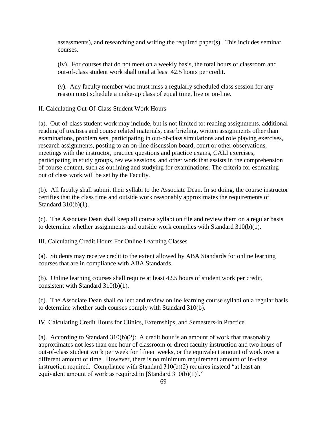assessments), and researching and writing the required paper(s). This includes seminar courses.

(iv). For courses that do not meet on a weekly basis, the total hours of classroom and out-of-class student work shall total at least 42.5 hours per credit.

(v). Any faculty member who must miss a regularly scheduled class session for any reason must schedule a make-up class of equal time, live or on-line.

II. Calculating Out-Of-Class Student Work Hours

(a). Out-of-class student work may include, but is not limited to: reading assignments, additional reading of treatises and course related materials, case briefing, written assignments other than examinations, problem sets, participating in out-of-class simulations and role playing exercises, research assignments, posting to an on-line discussion board, court or other observations, meetings with the instructor, practice questions and practice exams, CALI exercises, participating in study groups, review sessions, and other work that assists in the comprehension of course content, such as outlining and studying for examinations. The criteria for estimating out of class work will be set by the Faculty.

(b). All faculty shall submit their syllabi to the Associate Dean. In so doing, the course instructor certifies that the class time and outside work reasonably approximates the requirements of Standard 310(b)(1).

(c). The Associate Dean shall keep all course syllabi on file and review them on a regular basis to determine whether assignments and outside work complies with Standard 310(b)(1).

III. Calculating Credit Hours For Online Learning Classes

(a). Students may receive credit to the extent allowed by ABA Standards for online learning courses that are in compliance with ABA Standards.

(b). Online learning courses shall require at least 42.5 hours of student work per credit, consistent with Standard 310(b)(1).

(c). The Associate Dean shall collect and review online learning course syllabi on a regular basis to determine whether such courses comply with Standard 310(b).

IV. Calculating Credit Hours for Clinics, Externships, and Semesters-in Practice

(a). According to Standard  $310(b)(2)$ : A credit hour is an amount of work that reasonably approximates not less than one hour of classroom or direct faculty instruction and two hours of out-of-class student work per week for fifteen weeks, or the equivalent amount of work over a different amount of time. However, there is no minimum requirement amount of in-class instruction required. Compliance with Standard 310(b)(2) requires instead "at least an equivalent amount of work as required in [Standard  $310(b)(1)$ ]."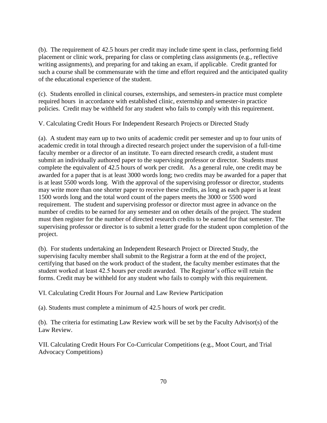(b). The requirement of 42.5 hours per credit may include time spent in class, performing field placement or clinic work, preparing for class or completing class assignments (e.g., reflective writing assignments), and preparing for and taking an exam, if applicable. Credit granted for such a course shall be commensurate with the time and effort required and the anticipated quality of the educational experience of the student.

(c). Students enrolled in clinical courses, externships, and semesters-in practice must complete required hours in accordance with established clinic, externship and semester-in practice policies. Credit may be withheld for any student who fails to comply with this requirement.

V. Calculating Credit Hours For Independent Research Projects or Directed Study

(a). A student may earn up to two units of academic credit per semester and up to four units of academic credit in total through a directed research project under the supervision of a full-time faculty member or a director of an institute. To earn directed research credit, a student must submit an individually authored paper to the supervising professor or director. Students must complete the equivalent of 42.5 hours of work per credit. As a general rule, one credit may be awarded for a paper that is at least 3000 words long; two credits may be awarded for a paper that is at least 5500 words long. With the approval of the supervising professor or director, students may write more than one shorter paper to receive these credits, as long as each paper is at least 1500 words long and the total word count of the papers meets the 3000 or 5500 word requirement. The student and supervising professor or director must agree in advance on the number of credits to be earned for any semester and on other details of the project. The student must then register for the number of directed research credits to be earned for that semester. The supervising professor or director is to submit a letter grade for the student upon completion of the project.

(b). For students undertaking an Independent Research Project or Directed Study, the supervising faculty member shall submit to the Registrar a form at the end of the project, certifying that based on the work product of the student, the faculty member estimates that the student worked at least 42.5 hours per credit awarded. The Registrar's office will retain the forms. Credit may be withheld for any student who fails to comply with this requirement.

VI. Calculating Credit Hours For Journal and Law Review Participation

(a). Students must complete a minimum of 42.5 hours of work per credit.

(b). The criteria for estimating Law Review work will be set by the Faculty Advisor(s) of the Law Review.

VII. Calculating Credit Hours For Co-Curricular Competitions (e.g., Moot Court, and Trial Advocacy Competitions)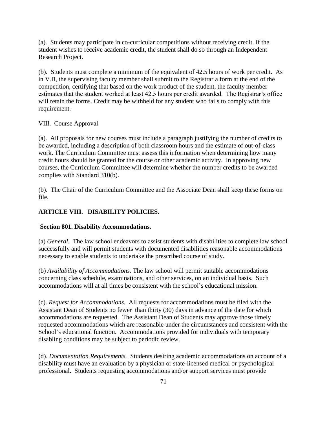(a). Students may participate in co-curricular competitions without receiving credit. If the student wishes to receive academic credit, the student shall do so through an Independent Research Project.

(b). Students must complete a minimum of the equivalent of 42.5 hours of work per credit. As in V.B, the supervising faculty member shall submit to the Registrar a form at the end of the competition, certifying that based on the work product of the student, the faculty member estimates that the student worked at least 42.5 hours per credit awarded. The Registrar's office will retain the forms. Credit may be withheld for any student who fails to comply with this requirement.

## VIII. Course Approval

(a). All proposals for new courses must include a paragraph justifying the number of credits to be awarded, including a description of both classroom hours and the estimate of out-of-class work. The Curriculum Committee must assess this information when determining how many credit hours should be granted for the course or other academic activity. In approving new courses, the Curriculum Committee will determine whether the number credits to be awarded complies with Standard 310(b).

(b). The Chair of the Curriculum Committee and the Associate Dean shall keep these forms on file.

## **ARTICLE VIII. DISABILITY POLICIES.**

#### **Section 801. Disability Accommodations.**

(a) *General.* The law school endeavors to assist students with disabilities to complete law school successfully and will permit students with documented disabilities reasonable accommodations necessary to enable students to undertake the prescribed course of study.

(b) *Availability of Accommodations.* The law school will permit suitable accommodations concerning class schedule, examinations, and other services, on an individual basis. Such accommodations will at all times be consistent with the school's educational mission.

(c). *Request for Accommodations.* All requests for accommodations must be filed with the Assistant Dean of Students no fewer than thirty (30) days in advance of the date for which accommodations are requested. The Assistant Dean of Students may approve those timely requested accommodations which are reasonable under the circumstances and consistent with the School's educational function. Accommodations provided for individuals with temporary disabling conditions may be subject to periodic review.

(d). *Documentation Requirements.* Students desiring academic accommodations on account of a disability must have an evaluation by a physician or state-licensed medical or psychological professional. Students requesting accommodations and/or support services must provide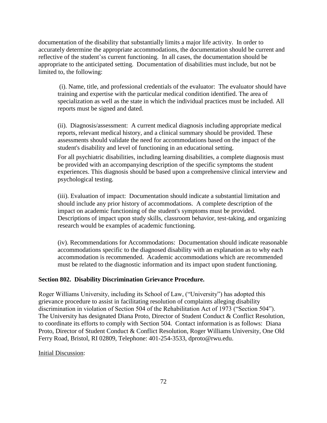documentation of the disability that substantially limits a major life activity. In order to accurately determine the appropriate accommodations, the documentation should be current and reflective of the student'ss current functioning. In all cases, the documentation should be appropriate to the anticipated setting. Documentation of disabilities must include, but not be limited to, the following:

(i). Name, title, and professional credentials of the evaluator: The evaluator should have training and expertise with the particular medical condition identified. The area of specialization as well as the state in which the individual practices must be included. All reports must be signed and dated.

(ii). Diagnosis/assessment: A current medical diagnosis including appropriate medical reports, relevant medical history, and a clinical summary should be provided. These assessments should validate the need for accommodations based on the impact of the student's disability and level of functioning in an educational setting.

For all psychiatric disabilities, including learning disabilities, a complete diagnosis must be provided with an accompanying description of the specific symptoms the student experiences. This diagnosis should be based upon a comprehensive clinical interview and psychological testing.

(iii). Evaluation of impact: Documentation should indicate a substantial limitation and should include any prior history of accommodations. A complete description of the impact on academic functioning of the student's symptoms must be provided. Descriptions of impact upon study skills, classroom behavior, test-taking, and organizing research would be examples of academic functioning.

(iv). Recommendations for Accommodations: Documentation should indicate reasonable accommodations specific to the diagnosed disability with an explanation as to why each accommodation is recommended. Academic accommodations which are recommended must be related to the diagnostic information and its impact upon student functioning.

#### **Section 802. Disability Discrimination Grievance Procedure.**

Roger Williams University, including its School of Law, ("University") has adopted this grievance procedure to assist in facilitating resolution of complaints alleging disability discrimination in violation of Section 504 of the Rehabilitation Act of 1973 ("Section 504"). The University has designated Diana Proto, Director of Student Conduct & Conflict Resolution, to coordinate its efforts to comply with Section 504. Contact information is as follows: Diana Proto, Director of Student Conduct & Conflict Resolution, Roger Williams University, One Old Ferry Road, Bristol, RI 02809, Telephone: 401-254-3533, dproto@rwu.edu.

#### Initial Discussion: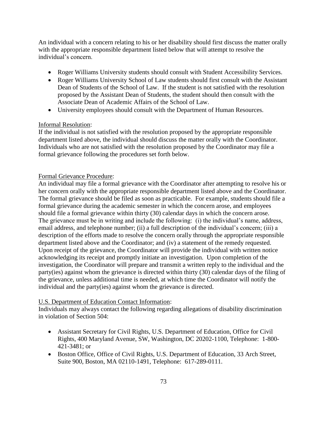An individual with a concern relating to his or her disability should first discuss the matter orally with the appropriate responsible department listed below that will attempt to resolve the individual's concern.

- Roger Williams University students should consult with Student Accessibility Services.
- Roger Williams University School of Law students should first consult with the Assistant Dean of Students of the School of Law. If the student is not satisfied with the resolution proposed by the Assistant Dean of Students, the student should then consult with the Associate Dean of Academic Affairs of the School of Law.
- University employees should consult with the Department of Human Resources.

### Informal Resolution:

If the individual is not satisfied with the resolution proposed by the appropriate responsible department listed above, the individual should discuss the matter orally with the Coordinator. Individuals who are not satisfied with the resolution proposed by the Coordinator may file a formal grievance following the procedures set forth below.

## Formal Grievance Procedure:

An individual may file a formal grievance with the Coordinator after attempting to resolve his or her concern orally with the appropriate responsible department listed above and the Coordinator. The formal grievance should be filed as soon as practicable. For example, students should file a formal grievance during the academic semester in which the concern arose, and employees should file a formal grievance within thirty (30) calendar days in which the concern arose. The grievance must be in writing and include the following: (i) the individual's name, address, email address, and telephone number; (ii) a full description of the individual's concern; (iii) a description of the efforts made to resolve the concern orally through the appropriate responsible department listed above and the Coordinator; and (iv) a statement of the remedy requested. Upon receipt of the grievance, the Coordinator will provide the individual with written notice acknowledging its receipt and promptly initiate an investigation. Upon completion of the investigation, the Coordinator will prepare and transmit a written reply to the individual and the party(ies) against whom the grievance is directed within thirty (30) calendar days of the filing of the grievance, unless additional time is needed, at which time the Coordinator will notify the individual and the party(ies) against whom the grievance is directed.

## U.S. Department of Education Contact Information:

Individuals may always contact the following regarding allegations of disability discrimination in violation of Section 504:

- Assistant Secretary for Civil Rights, U.S. Department of Education, Office for Civil Rights, 400 Maryland Avenue, SW, Washington, DC 20202-1100, Telephone: 1-800- 421-3481; or
- Boston Office, Office of Civil Rights, U.S. Department of Education, 33 Arch Street, Suite 900, Boston, MA 02110-1491, Telephone: 617-289-0111.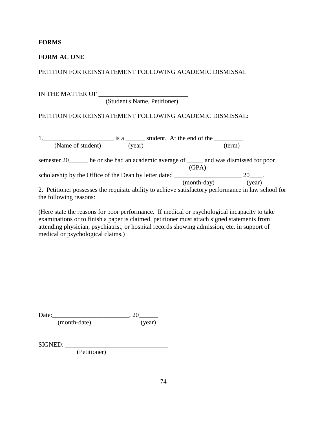## **FORMS**

# **FORM AC ONE**

# PETITION FOR REINSTATEMENT FOLLOWING ACADEMIC DISMISSAL

| IN THE MATTER OF                                                                                                              |        |
|-------------------------------------------------------------------------------------------------------------------------------|--------|
| (Student's Name, Petitioner)                                                                                                  |        |
| PETITION FOR REINSTATEMENT FOLLOWING ACADEMIC DISMISSAL:                                                                      |        |
|                                                                                                                               |        |
| (Name of student) (year)                                                                                                      | (term) |
| semester 20______ he or she had an academic average of ______ and was dismissed for poor                                      | (GPA)  |
| scholarship by the Office of the Dean by letter dated $\frac{20}{(month-day)}$ (year)                                         |        |
|                                                                                                                               |        |
| 2. Petitioner possesses the requisite ability to achieve satisfactory performance in law school for<br>the following reasons: |        |

(Here state the reasons for poor performance. If medical or psychological incapacity to take examinations or to finish a paper is claimed, petitioner must attach signed statements from attending physician, psychiatrist, or hospital records showing admission, etc. in support of medical or psychological claims.)

Date:\_\_\_\_\_\_\_\_\_\_\_\_\_\_\_\_\_\_\_\_\_\_\_\_, 20\_\_\_\_\_\_ (month-date) (year)

SIGNED:

(Petitioner)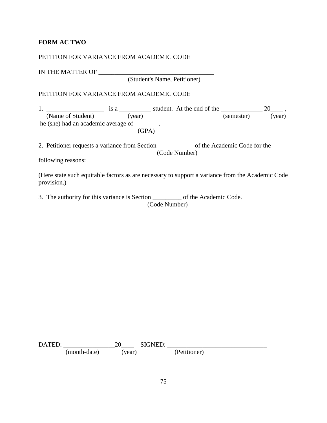# **FORM AC TWO**

PETITION FOR VARIANCE FROM ACADEMIC CODE

IN THE MATTER OF \_\_\_\_\_\_\_\_\_\_\_\_\_\_\_\_\_\_\_\_\_\_\_\_\_\_\_\_\_\_\_\_\_\_\_\_

(Student's Name, Petitioner)

PETITION FOR VARIANCE FROM ACADEMIC CODE

1. \_\_\_\_\_\_\_\_\_\_\_\_\_\_\_\_\_\_ is a \_\_\_\_\_\_\_\_\_\_ student. At the end of the \_\_\_\_\_\_\_\_\_\_\_\_\_ 20\_\_\_\_ , (Name of Student) (year) (semester) (year) he (she) had an academic average of \_\_\_\_\_\_\_ . (GPA)

2. Petitioner requests a variance from Section \_\_\_\_\_\_\_\_\_\_\_ of the Academic Code for the (Code Number)

following reasons:

(Here state such equitable factors as are necessary to support a variance from the Academic Code provision.)

3. The authority for this variance is Section \_\_\_\_\_\_\_\_\_ of the Academic Code. (Code Number)

DATED: \_\_\_\_\_\_\_\_\_\_\_\_\_\_\_\_20\_\_\_\_ SIGNED: \_\_\_\_\_\_\_\_\_\_\_\_\_\_\_\_\_\_\_\_\_\_\_\_\_\_\_\_\_\_\_ (month-date) (year) (Petitioner)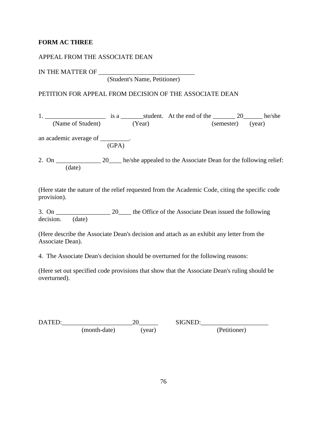# **FORM AC THREE**

## APPEAL FROM THE ASSOCIATE DEAN

IN THE MATTER OF \_\_\_\_\_\_\_\_\_\_\_\_\_\_\_\_\_\_\_\_\_\_\_\_\_\_\_\_\_\_

(Student's Name, Petitioner)

## PETITION FOR APPEAL FROM DECISION OF THE ASSOCIATE DEAN

|                        | is a  |        | student. At the end of the |            | he/she |
|------------------------|-------|--------|----------------------------|------------|--------|
| (Name of Student)      |       | (Year) |                            | (semester) | (vear) |
|                        |       |        |                            |            |        |
| an academic average of |       |        |                            |            |        |
|                        | (GPA) |        |                            |            |        |

2. On \_\_\_\_\_\_\_\_\_\_\_\_\_\_ 20\_\_\_\_ he/she appealed to the Associate Dean for the following relief: (date)

(Here state the nature of the relief requested from the Academic Code, citing the specific code provision).

3. On \_\_\_\_\_\_\_\_\_\_\_\_\_\_\_\_\_ 20\_\_\_\_ the Office of the Associate Dean issued the following decision. (date)

(Here describe the Associate Dean's decision and attach as an exhibit any letter from the Associate Dean).

4. The Associate Dean's decision should be overturned for the following reasons:

(Here set out specified code provisions that show that the Associate Dean's ruling should be overturned).

DATED:\_\_\_\_\_\_\_\_\_\_\_\_\_\_\_\_\_\_\_\_\_\_20\_\_\_\_\_\_ SIGNED:\_\_\_\_\_\_\_\_\_\_\_\_\_\_\_\_\_\_\_\_\_ (month-date) (year) (Petitioner)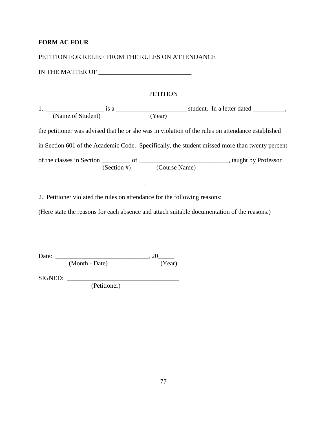# **FORM AC FOUR**

# PETITION FOR RELIEF FROM THE RULES ON ATTENDANCE

IN THE MATTER OF \_\_\_\_\_\_\_\_\_\_\_\_\_\_\_\_\_\_\_\_\_\_\_\_\_\_\_\_\_

## **PETITION**

1. \_\_\_\_\_\_\_\_\_\_\_\_\_\_\_\_\_\_ is a \_\_\_\_\_\_\_\_\_\_\_\_\_\_\_\_\_\_\_\_\_\_ student. In a letter dated \_\_\_\_\_\_\_\_\_\_, (Name of Student) (Year) the petitioner was advised that he or she was in violation of the rules on attendance established in Section 601 of the Academic Code. Specifically, the student missed more than twenty percent of the classes in Section \_\_\_\_\_\_\_\_\_ of \_\_\_\_\_\_\_\_\_\_\_\_\_\_\_\_\_\_\_\_\_\_\_\_\_\_\_\_, taught by Professor (Section #) (Course Name)

2. Petitioner violated the rules on attendance for the following reasons:

(Here state the reasons for each absence and attach suitable documentation of the reasons.)

Date: \_\_\_\_\_\_\_\_\_\_\_\_\_\_\_\_\_\_\_\_\_\_\_\_\_\_\_\_\_, 20\_\_\_\_\_ (Month - Date) (Year)

 $\frac{1}{2}$ 

 $SIGNED:$ 

(Petitioner)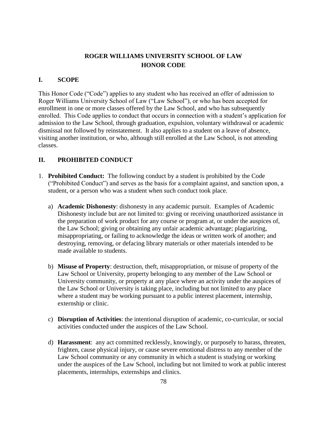# **ROGER WILLIAMS UNIVERSITY SCHOOL OF LAW HONOR CODE**

# **I. SCOPE**

This Honor Code ("Code") applies to any student who has received an offer of admission to Roger Williams University School of Law ("Law School"), or who has been accepted for enrollment in one or more classes offered by the Law School, and who has subsequently enrolled. This Code applies to conduct that occurs in connection with a student's application for admission to the Law School, through graduation, expulsion, voluntary withdrawal or academic dismissal not followed by reinstatement. It also applies to a student on a leave of absence, visiting another institution, or who, although still enrolled at the Law School, is not attending classes.

# **II. PROHIBITED CONDUCT**

- 1. **Prohibited Conduct:** The following conduct by a student is prohibited by the Code ("Prohibited Conduct") and serves as the basis for a complaint against, and sanction upon, a student, or a person who was a student when such conduct took place.
	- a) **Academic Dishonesty**: dishonesty in any academic pursuit. Examples of Academic Dishonesty include but are not limited to: giving or receiving unauthorized assistance in the preparation of work product for any course or program at, or under the auspices of, the Law School; giving or obtaining any unfair academic advantage; plagiarizing, misappropriating, or failing to acknowledge the ideas or written work of another; and destroying, removing, or defacing library materials or other materials intended to be made available to students.
	- b) **Misuse of Property**: destruction, theft, misappropriation, or misuse of property of the Law School or University, property belonging to any member of the Law School or University community, or property at any place where an activity under the auspices of the Law School or University is taking place, including but not limited to any place where a student may be working pursuant to a public interest placement, internship, externship or clinic.
	- c) **Disruption of Activities**: the intentional disruption of academic, co-curricular, or social activities conducted under the auspices of the Law School.
	- d) **Harassment**: any act committed recklessly, knowingly, or purposely to harass, threaten, frighten, cause physical injury, or cause severe emotional distress to any member of the Law School community or any community in which a student is studying or working under the auspices of the Law School, including but not limited to work at public interest placements, internships, externships and clinics.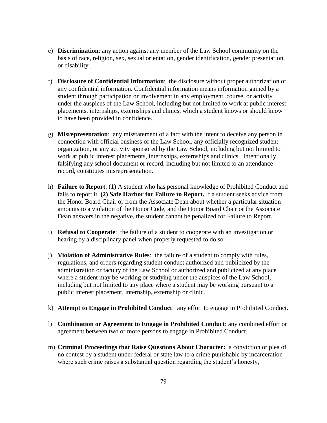- e) **Discrimination**: any action against any member of the Law School community on the basis of race, religion, sex, sexual orientation, gender identification, gender presentation, or disability.
- f) **Disclosure of Confidential Information**: the disclosure without proper authorization of any confidential information. Confidential information means information gained by a student through participation or involvement in any employment, course, or activity under the auspices of the Law School, including but not limited to work at public interest placements, internships, externships and clinics, which a student knows or should know to have been provided in confidence.
- g) **Misrepresentation**: any misstatement of a fact with the intent to deceive any person in connection with official business of the Law School, any officially recognized student organization, or any activity sponsored by the Law School, including but not limited to work at public interest placements, internships, externships and clinics. Intentionally falsifying any school document or record, including but not limited to an attendance record, constitutes misrepresentation.
- h) **Failure to Report**: (1) A student who has personal knowledge of Prohibited Conduct and fails to report it. **(2) Safe Harbor for Failure to Report.** If a student seeks advice from the Honor Board Chair or from the Associate Dean about whether a particular situation amounts to a violation of the Honor Code, and the Honor Board Chair or the Associate Dean answers in the negative, the student cannot be penalized for Failure to Report.
- i) **Refusal to Cooperate**: the failure of a student to cooperate with an investigation or hearing by a disciplinary panel when properly requested to do so.
- j) **Violation of Administrative Rules**: the failure of a student to comply with rules, regulations, and orders regarding student conduct authorized and publicized by the administration or faculty of the Law School or authorized and publicized at any place where a student may be working or studying under the auspices of the Law School, including but not limited to any place where a student may be working pursuant to a public interest placement, internship, externship or clinic.
- k) **Attempt to Engage in Prohibited Conduct**: any effort to engage in Prohibited Conduct.
- l) **Combination or Agreement to Engage in Prohibited Conduct**: any combined effort or agreement between two or more persons to engage in Prohibited Conduct.
- m) **Criminal Proceedings that Raise Questions About Character:** a conviction or plea of no contest by a student under federal or state law to a crime punishable by incarceration where such crime raises a substantial question regarding the student's honesty,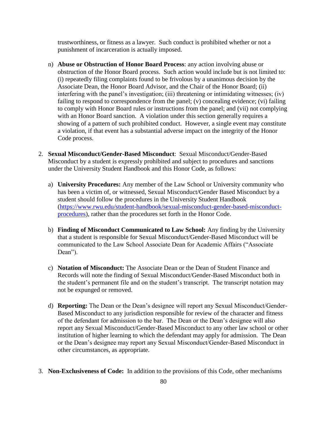trustworthiness, or fitness as a lawyer. Such conduct is prohibited whether or not a punishment of incarceration is actually imposed.

- n) **Abuse or Obstruction of Honor Board Process**: any action involving abuse or obstruction of the Honor Board process. Such action would include but is not limited to: (i) repeatedly filing complaints found to be frivolous by a unanimous decision by the Associate Dean, the Honor Board Advisor, and the Chair of the Honor Board; (ii) interfering with the panel's investigation; (iii) threatening or intimidating witnesses; (iv) failing to respond to correspondence from the panel; (v) concealing evidence; (vi) failing to comply with Honor Board rules or instructions from the panel; and (vii) not complying with an Honor Board sanction. A violation under this section generally requires a showing of a pattern of such prohibited conduct. However, a single event may constitute a violation, if that event has a substantial adverse impact on the integrity of the Honor Code process.
- 2. **Sexual Misconduct/Gender-Based Misconduct**: Sexual Misconduct/Gender-Based Misconduct by a student is expressly prohibited and subject to procedures and sanctions under the University Student Handbook and this Honor Code, as follows:
	- a) **University Procedures:** Any member of the Law School or University community who has been a victim of, or witnessed, Sexual Misconduct/Gender Based Misconduct by a student should follow the procedures in the University Student Handbook [\(https://www.rwu.edu/student-handbook/sexual-misconduct-gender-based-misconduct](https://www.rwu.edu/student-handbook/sexual-misconduct-gender-based-misconduct-procedures)[procedures\)](https://www.rwu.edu/student-handbook/sexual-misconduct-gender-based-misconduct-procedures), rather than the procedures set forth in the Honor Code.
	- b) **Finding of Misconduct Communicated to Law School:** Any finding by the University that a student is responsible for Sexual Misconduct/Gender-Based Misconduct will be communicated to the Law School Associate Dean for Academic Affairs ("Associate Dean").
	- c) **Notation of Misconduct:** The Associate Dean or the Dean of Student Finance and Records will note the finding of Sexual Misconduct/Gender-Based Misconduct both in the student's permanent file and on the student's transcript. The transcript notation may not be expunged or removed.
	- d) **Reporting:** The Dean or the Dean's designee will report any Sexual Misconduct/Gender-Based Misconduct to any jurisdiction responsible for review of the character and fitness of the defendant for admission to the bar. The Dean or the Dean's designee will also report any Sexual Misconduct/Gender-Based Misconduct to any other law school or other institution of higher learning to which the defendant may apply for admission. The Dean or the Dean's designee may report any Sexual Misconduct/Gender-Based Misconduct in other circumstances, as appropriate.
- 3. **Non-Exclusiveness of Code:** In addition to the provisions of this Code, other mechanisms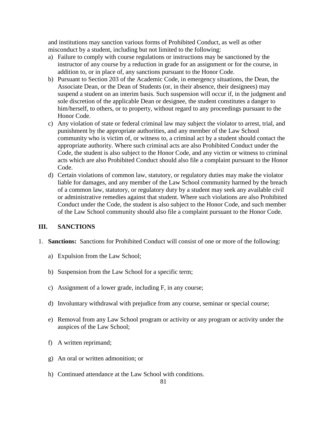and institutions may sanction various forms of Prohibited Conduct, as well as other misconduct by a student, including but not limited to the following:

- a) Failure to comply with course regulations or instructions may be sanctioned by the instructor of any course by a reduction in grade for an assignment or for the course, in addition to, or in place of, any sanctions pursuant to the Honor Code.
- b) Pursuant to Section 203 of the Academic Code, in emergency situations, the Dean, the Associate Dean, or the Dean of Students (or, in their absence, their designees) may suspend a student on an interim basis. Such suspension will occur if, in the judgment and sole discretion of the applicable Dean or designee, the student constitutes a danger to him/herself, to others, or to property, without regard to any proceedings pursuant to the Honor Code.
- c) Any violation of state or federal criminal law may subject the violator to arrest, trial, and punishment by the appropriate authorities, and any member of the Law School community who is victim of, or witness to, a criminal act by a student should contact the appropriate authority. Where such criminal acts are also Prohibited Conduct under the Code, the student is also subject to the Honor Code, and any victim or witness to criminal acts which are also Prohibited Conduct should also file a complaint pursuant to the Honor Code.
- d) Certain violations of common law, statutory, or regulatory duties may make the violator liable for damages, and any member of the Law School community harmed by the breach of a common law, statutory, or regulatory duty by a student may seek any available civil or administrative remedies against that student. Where such violations are also Prohibited Conduct under the Code, the student is also subject to the Honor Code, and such member of the Law School community should also file a complaint pursuant to the Honor Code.

### **III. SANCTIONS**

- 1. **Sanctions:** Sanctions for Prohibited Conduct will consist of one or more of the following:
	- a) Expulsion from the Law School;
	- b) Suspension from the Law School for a specific term;
	- c) Assignment of a lower grade, including F, in any course;
	- d) Involuntary withdrawal with prejudice from any course, seminar or special course;
	- e) Removal from any Law School program or activity or any program or activity under the auspices of the Law School;
	- f) A written reprimand;
	- g) An oral or written admonition; or
	- h) Continued attendance at the Law School with conditions.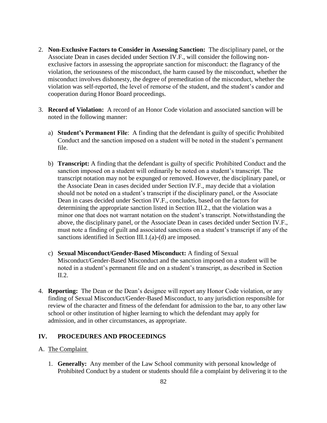- 2. **Non-Exclusive Factors to Consider in Assessing Sanction:** The disciplinary panel, or the Associate Dean in cases decided under Section IV.F., will consider the following nonexclusive factors in assessing the appropriate sanction for misconduct: the flagrancy of the violation, the seriousness of the misconduct, the harm caused by the misconduct, whether the misconduct involves dishonesty, the degree of premeditation of the misconduct, whether the violation was self-reported, the level of remorse of the student, and the student's candor and cooperation during Honor Board proceedings.
- 3. **Record of Violation:** A record of an Honor Code violation and associated sanction will be noted in the following manner:
	- a) **Student's Permanent File**: A finding that the defendant is guilty of specific Prohibited Conduct and the sanction imposed on a student will be noted in the student's permanent file.
	- b) **Transcript:** A finding that the defendant is guilty of specific Prohibited Conduct and the sanction imposed on a student will ordinarily be noted on a student's transcript. The transcript notation may not be expunged or removed. However, the disciplinary panel, or the Associate Dean in cases decided under Section IV.F., may decide that a violation should not be noted on a student's transcript if the disciplinary panel, or the Associate Dean in cases decided under Section IV.F., concludes, based on the factors for determining the appropriate sanction listed in Section III.2., that the violation was a minor one that does not warrant notation on the student's transcript. Notwithstanding the above, the disciplinary panel, or the Associate Dean in cases decided under Section IV.F., must note a finding of guilt and associated sanctions on a student's transcript if any of the sanctions identified in Section III.1.(a)-(d) are imposed.
	- c) **Sexual Misconduct/Gender-Based Misconduct:** A finding of Sexual Misconduct/Gender-Based Misconduct and the sanction imposed on a student will be noted in a student's permanent file and on a student's transcript, as described in Section  $II.2.$
- 4. **Reporting:** The Dean or the Dean's designee will report any Honor Code violation, or any finding of Sexual Misconduct/Gender-Based Misconduct, to any jurisdiction responsible for review of the character and fitness of the defendant for admission to the bar, to any other law school or other institution of higher learning to which the defendant may apply for admission, and in other circumstances, as appropriate.

## **IV. PROCEDURES AND PROCEEDINGS**

- A. The Complaint
	- 1. **Generally:** Any member of the Law School community with personal knowledge of Prohibited Conduct by a student or students should file a complaint by delivering it to the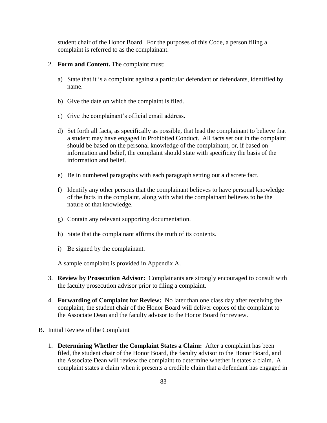student chair of the Honor Board. For the purposes of this Code, a person filing a complaint is referred to as the complainant.

- 2. **Form and Content.** The complaint must:
	- a) State that it is a complaint against a particular defendant or defendants, identified by name.
	- b) Give the date on which the complaint is filed.
	- c) Give the complainant's official email address.
	- d) Set forth all facts, as specifically as possible, that lead the complainant to believe that a student may have engaged in Prohibited Conduct. All facts set out in the complaint should be based on the personal knowledge of the complainant, or, if based on information and belief, the complaint should state with specificity the basis of the information and belief.
	- e) Be in numbered paragraphs with each paragraph setting out a discrete fact.
	- f) Identify any other persons that the complainant believes to have personal knowledge of the facts in the complaint, along with what the complainant believes to be the nature of that knowledge.
	- g) Contain any relevant supporting documentation.
	- h) State that the complainant affirms the truth of its contents.
	- i) Be signed by the complainant.

A sample complaint is provided in Appendix A.

- 3. **Review by Prosecution Advisor:** Complainants are strongly encouraged to consult with the faculty prosecution advisor prior to filing a complaint.
- 4. **Forwarding of Complaint for Review:** No later than one class day after receiving the complaint, the student chair of the Honor Board will deliver copies of the complaint to the Associate Dean and the faculty advisor to the Honor Board for review.

#### B. Initial Review of the Complaint

1. **Determining Whether the Complaint States a Claim:** After a complaint has been filed, the student chair of the Honor Board, the faculty advisor to the Honor Board, and the Associate Dean will review the complaint to determine whether it states a claim. A complaint states a claim when it presents a credible claim that a defendant has engaged in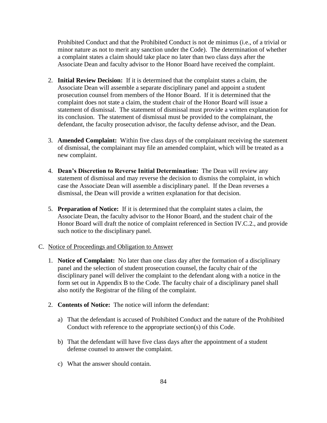Prohibited Conduct and that the Prohibited Conduct is not de minimus (i.e., of a trivial or minor nature as not to merit any sanction under the Code). The determination of whether a complaint states a claim should take place no later than two class days after the Associate Dean and faculty advisor to the Honor Board have received the complaint.

- 2. **Initial Review Decision:** If it is determined that the complaint states a claim, the Associate Dean will assemble a separate disciplinary panel and appoint a student prosecution counsel from members of the Honor Board. If it is determined that the complaint does not state a claim, the student chair of the Honor Board will issue a statement of dismissal. The statement of dismissal must provide a written explanation for its conclusion. The statement of dismissal must be provided to the complainant, the defendant, the faculty prosecution advisor, the faculty defense advisor, and the Dean.
- 3. **Amended Complaint:** Within five class days of the complainant receiving the statement of dismissal, the complainant may file an amended complaint, which will be treated as a new complaint.
- 4. **Dean's Discretion to Reverse Initial Determination:** The Dean will review any statement of dismissal and may reverse the decision to dismiss the complaint, in which case the Associate Dean will assemble a disciplinary panel. If the Dean reverses a dismissal, the Dean will provide a written explanation for that decision.
- 5. **Preparation of Notice:** If it is determined that the complaint states a claim, the Associate Dean, the faculty advisor to the Honor Board, and the student chair of the Honor Board will draft the notice of complaint referenced in Section IV.C.2., and provide such notice to the disciplinary panel.

### C. Notice of Proceedings and Obligation to Answer

- 1. **Notice of Complaint:** No later than one class day after the formation of a disciplinary panel and the selection of student prosecution counsel, the faculty chair of the disciplinary panel will deliver the complaint to the defendant along with a notice in the form set out in Appendix B to the Code. The faculty chair of a disciplinary panel shall also notify the Registrar of the filing of the complaint.
- 2. **Contents of Notice:** The notice will inform the defendant:
	- a) That the defendant is accused of Prohibited Conduct and the nature of the Prohibited Conduct with reference to the appropriate section(s) of this Code.
	- b) That the defendant will have five class days after the appointment of a student defense counsel to answer the complaint.
	- c) What the answer should contain.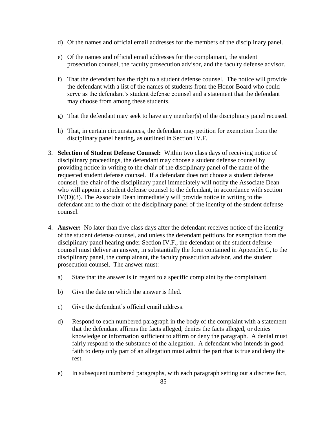- d) Of the names and official email addresses for the members of the disciplinary panel.
- e) Of the names and official email addresses for the complainant, the student prosecution counsel, the faculty prosecution advisor, and the faculty defense advisor.
- f) That the defendant has the right to a student defense counsel. The notice will provide the defendant with a list of the names of students from the Honor Board who could serve as the defendant's student defense counsel and a statement that the defendant may choose from among these students.
- g) That the defendant may seek to have any member(s) of the disciplinary panel recused.
- h) That, in certain circumstances, the defendant may petition for exemption from the disciplinary panel hearing, as outlined in Section IV.F.
- 3. **Selection of Student Defense Counsel:** Within two class days of receiving notice of disciplinary proceedings, the defendant may choose a student defense counsel by providing notice in writing to the chair of the disciplinary panel of the name of the requested student defense counsel. If a defendant does not choose a student defense counsel, the chair of the disciplinary panel immediately will notify the Associate Dean who will appoint a student defense counsel to the defendant, in accordance with section IV(D)(3). The Associate Dean immediately will provide notice in writing to the defendant and to the chair of the disciplinary panel of the identity of the student defense counsel.
- 4. **Answer:** No later than five class days after the defendant receives notice of the identity of the student defense counsel, and unless the defendant petitions for exemption from the disciplinary panel hearing under Section IV.F., the defendant or the student defense counsel must deliver an answer, in substantially the form contained in Appendix C, to the disciplinary panel, the complainant, the faculty prosecution advisor, and the student prosecution counsel. The answer must:
	- a) State that the answer is in regard to a specific complaint by the complainant.
	- b) Give the date on which the answer is filed.
	- c) Give the defendant's official email address.
	- d) Respond to each numbered paragraph in the body of the complaint with a statement that the defendant affirms the facts alleged, denies the facts alleged, or denies knowledge or information sufficient to affirm or deny the paragraph. A denial must fairly respond to the substance of the allegation. A defendant who intends in good faith to deny only part of an allegation must admit the part that is true and deny the rest.
	- e) In subsequent numbered paragraphs, with each paragraph setting out a discrete fact,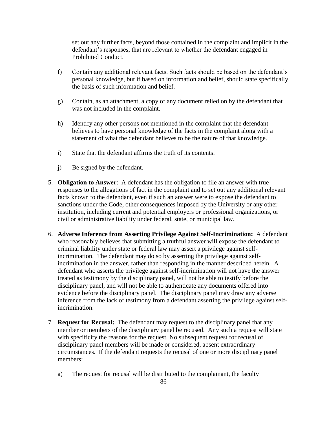set out any further facts, beyond those contained in the complaint and implicit in the defendant's responses, that are relevant to whether the defendant engaged in Prohibited Conduct.

- f) Contain any additional relevant facts. Such facts should be based on the defendant's personal knowledge, but if based on information and belief, should state specifically the basis of such information and belief.
- g) Contain, as an attachment, a copy of any document relied on by the defendant that was not included in the complaint.
- h) Identify any other persons not mentioned in the complaint that the defendant believes to have personal knowledge of the facts in the complaint along with a statement of what the defendant believes to be the nature of that knowledge.
- i) State that the defendant affirms the truth of its contents.
- j) Be signed by the defendant.
- 5. **Obligation to Answer**: A defendant has the obligation to file an answer with true responses to the allegations of fact in the complaint and to set out any additional relevant facts known to the defendant, even if such an answer were to expose the defendant to sanctions under the Code, other consequences imposed by the University or any other institution, including current and potential employers or professional organizations, or civil or administrative liability under federal, state, or municipal law.
- 6. **Adverse Inference from Asserting Privilege Against Self-Incrimination:** A defendant who reasonably believes that submitting a truthful answer will expose the defendant to criminal liability under state or federal law may assert a privilege against selfincrimination. The defendant may do so by asserting the privilege against selfincrimination in the answer, rather than responding in the manner described herein. A defendant who asserts the privilege against self-incrimination will not have the answer treated as testimony by the disciplinary panel, will not be able to testify before the disciplinary panel, and will not be able to authenticate any documents offered into evidence before the disciplinary panel. The disciplinary panel may draw any adverse inference from the lack of testimony from a defendant asserting the privilege against selfincrimination.
- 7. **Request for Recusal:** The defendant may request to the disciplinary panel that any member or members of the disciplinary panel be recused. Any such a request will state with specificity the reasons for the request. No subsequent request for recusal of disciplinary panel members will be made or considered, absent extraordinary circumstances. If the defendant requests the recusal of one or more disciplinary panel members:
	- a) The request for recusal will be distributed to the complainant, the faculty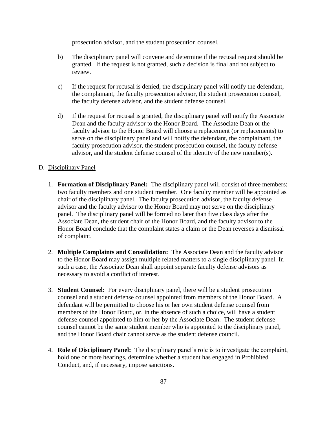prosecution advisor, and the student prosecution counsel.

- b) The disciplinary panel will convene and determine if the recusal request should be granted. If the request is not granted, such a decision is final and not subject to review.
- c) If the request for recusal is denied, the disciplinary panel will notify the defendant, the complainant, the faculty prosecution advisor, the student prosecution counsel, the faculty defense advisor, and the student defense counsel.
- d) If the request for recusal is granted, the disciplinary panel will notify the Associate Dean and the faculty advisor to the Honor Board. The Associate Dean or the faculty advisor to the Honor Board will choose a replacement (or replacements) to serve on the disciplinary panel and will notify the defendant, the complainant, the faculty prosecution advisor, the student prosecution counsel, the faculty defense advisor, and the student defense counsel of the identity of the new member(s).

### D. Disciplinary Panel

- 1. **Formation of Disciplinary Panel:** The disciplinary panel will consist of three members: two faculty members and one student member. One faculty member will be appointed as chair of the disciplinary panel. The faculty prosecution advisor, the faculty defense advisor and the faculty advisor to the Honor Board may not serve on the disciplinary panel. The disciplinary panel will be formed no later than five class days after the Associate Dean, the student chair of the Honor Board, and the faculty advisor to the Honor Board conclude that the complaint states a claim or the Dean reverses a dismissal of complaint.
- 2. **Multiple Complaints and Consolidation:** The Associate Dean and the faculty advisor to the Honor Board may assign multiple related matters to a single disciplinary panel. In such a case, the Associate Dean shall appoint separate faculty defense advisors as necessary to avoid a conflict of interest.
- 3. **Student Counsel:** For every disciplinary panel, there will be a student prosecution counsel and a student defense counsel appointed from members of the Honor Board. A defendant will be permitted to choose his or her own student defense counsel from members of the Honor Board, or, in the absence of such a choice, will have a student defense counsel appointed to him or her by the Associate Dean. The student defense counsel cannot be the same student member who is appointed to the disciplinary panel, and the Honor Board chair cannot serve as the student defense council.
- 4. **Role of Disciplinary Panel:** The disciplinary panel's role is to investigate the complaint, hold one or more hearings, determine whether a student has engaged in Prohibited Conduct, and, if necessary, impose sanctions.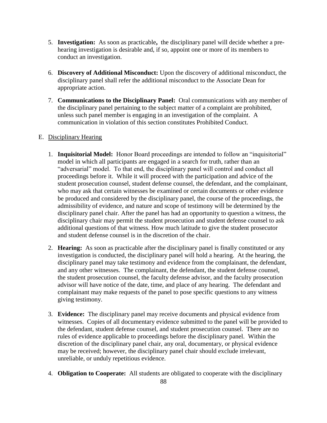- 5. **Investigation:** As soon as practicable**,** the disciplinary panel will decide whether a prehearing investigation is desirable and, if so, appoint one or more of its members to conduct an investigation.
- 6. **Discovery of Additional Misconduct:** Upon the discovery of additional misconduct, the disciplinary panel shall refer the additional misconduct to the Associate Dean for appropriate action.
- 7. **Communications to the Disciplinary Panel:** Oral communications with any member of the disciplinary panel pertaining to the subject matter of a complaint are prohibited, unless such panel member is engaging in an investigation of the complaint. A communication in violation of this section constitutes Prohibited Conduct.

### E. Disciplinary Hearing

- 1. **Inquisitorial Model:** Honor Board proceedings are intended to follow an "inquisitorial" model in which all participants are engaged in a search for truth, rather than an "adversarial" model. To that end, the disciplinary panel will control and conduct all proceedings before it. While it will proceed with the participation and advice of the student prosecution counsel, student defense counsel, the defendant, and the complainant, who may ask that certain witnesses be examined or certain documents or other evidence be produced and considered by the disciplinary panel, the course of the proceedings, the admissibility of evidence, and nature and scope of testimony will be determined by the disciplinary panel chair. After the panel has had an opportunity to question a witness, the disciplinary chair may permit the student prosecution and student defense counsel to ask additional questions of that witness. How much latitude to give the student prosecutor and student defense counsel is in the discretion of the chair.
- 2. **Hearing:** As soon as practicable after the disciplinary panel is finally constituted or any investigation is conducted, the disciplinary panel will hold a hearing. At the hearing, the disciplinary panel may take testimony and evidence from the complainant, the defendant, and any other witnesses. The complainant, the defendant, the student defense counsel, the student prosecution counsel, the faculty defense advisor, and the faculty prosecution advisor will have notice of the date, time, and place of any hearing. The defendant and complainant may make requests of the panel to pose specific questions to any witness giving testimony.
- 3. **Evidence:** The disciplinary panel may receive documents and physical evidence from witnesses. Copies of all documentary evidence submitted to the panel will be provided to the defendant, student defense counsel, and student prosecution counsel. There are no rules of evidence applicable to proceedings before the disciplinary panel. Within the discretion of the disciplinary panel chair, any oral, documentary, or physical evidence may be received; however, the disciplinary panel chair should exclude irrelevant, unreliable, or unduly repetitious evidence.
- 4. **Obligation to Cooperate:** All students are obligated to cooperate with the disciplinary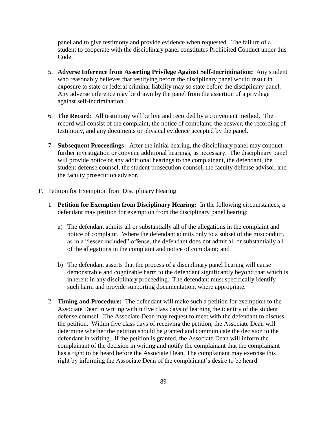panel and to give testimony and provide evidence when requested. The failure of a student to cooperate with the disciplinary panel constitutes Prohibited Conduct under this Code.

- 5. **Adverse Inference from Asserting Privilege Against Self-Incrimination:** Any student who reasonably believes that testifying before the disciplinary panel would result in exposure to state or federal criminal liability may so state before the disciplinary panel. Any adverse inference may be drawn by the panel from the assertion of a privilege against self-incrimination.
- 6. **The Record:** All testimony will be live and recorded by a convenient method. The record will consist of the complaint, the notice of complaint, the answer, the recording of testimony, and any documents or physical evidence accepted by the panel.
- 7. **Subsequent Proceedings:** After the initial hearing, the disciplinary panel may conduct further investigation or convene additional hearings, as necessary. The disciplinary panel will provide notice of any additional hearings to the complainant, the defendant, the student defense counsel, the student prosecution counsel, the faculty defense advisor, and the faculty prosecution advisor.
- F. Petition for Exemption from Disciplinary Hearing
	- 1. **Petition for Exemption from Disciplinary Hearing:** In the following circumstances, a defendant may petition for exemption from the disciplinary panel hearing:
		- a) The defendant admits all or substantially all of the allegations in the complaint and notice of complaint. Where the defendant admits only to a subset of the misconduct, as in a "lesser included" offense, the defendant does not admit all or substantially all of the allegations in the complaint and notice of complaint; and
		- b) The defendant asserts that the process of a disciplinary panel hearing will cause demonstrable and cognizable harm to the defendant significantly beyond that which is inherent in any disciplinary proceeding. The defendant must specifically identify such harm and provide supporting documentation, where appropriate.
	- 2. **Timing and Procedure:** The defendant will make such a petition for exemption to the Associate Dean in writing within five class days of learning the identity of the student defense counsel. The Associate Dean may request to meet with the defendant to discuss the petition. Within five class days of receiving the petition, the Associate Dean will determine whether the petition should be granted and communicate the decision to the defendant in writing. If the petition is granted, the Associate Dean will inform the complainant of the decision in writing and notify the complainant that the complainant has a right to be heard before the Associate Dean. The complainant may exercise this right by informing the Associate Dean of the complainant's desire to be heard.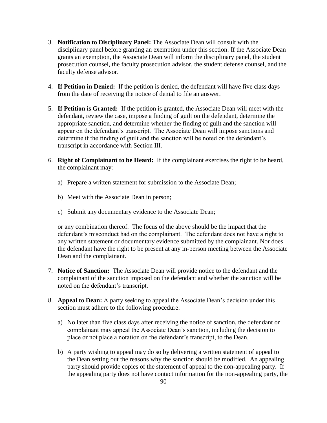- 3. **Notification to Disciplinary Panel:** The Associate Dean will consult with the disciplinary panel before granting an exemption under this section. If the Associate Dean grants an exemption, the Associate Dean will inform the disciplinary panel, the student prosecution counsel, the faculty prosecution advisor, the student defense counsel, and the faculty defense advisor.
- 4. **If Petition in Denied:** If the petition is denied, the defendant will have five class days from the date of receiving the notice of denial to file an answer.
- 5. **If Petition is Granted:** If the petition is granted, the Associate Dean will meet with the defendant, review the case, impose a finding of guilt on the defendant, determine the appropriate sanction, and determine whether the finding of guilt and the sanction will appear on the defendant's transcript. The Associate Dean will impose sanctions and determine if the finding of guilt and the sanction will be noted on the defendant's transcript in accordance with Section III.
- 6. **Right of Complainant to be Heard:** If the complainant exercises the right to be heard, the complainant may:
	- a) Prepare a written statement for submission to the Associate Dean;
	- b) Meet with the Associate Dean in person;
	- c) Submit any documentary evidence to the Associate Dean;

or any combination thereof. The focus of the above should be the impact that the defendant's misconduct had on the complainant. The defendant does not have a right to any written statement or documentary evidence submitted by the complainant. Nor does the defendant have the right to be present at any in-person meeting between the Associate Dean and the complainant.

- 7. **Notice of Sanction:** The Associate Dean will provide notice to the defendant and the complainant of the sanction imposed on the defendant and whether the sanction will be noted on the defendant's transcript.
- 8. **Appeal to Dean:** A party seeking to appeal the Associate Dean's decision under this section must adhere to the following procedure:
	- a) No later than five class days after receiving the notice of sanction, the defendant or complainant may appeal the Associate Dean's sanction, including the decision to place or not place a notation on the defendant's transcript, to the Dean.
	- b) A party wishing to appeal may do so by delivering a written statement of appeal to the Dean setting out the reasons why the sanction should be modified. An appealing party should provide copies of the statement of appeal to the non-appealing party. If the appealing party does not have contact information for the non-appealing party, the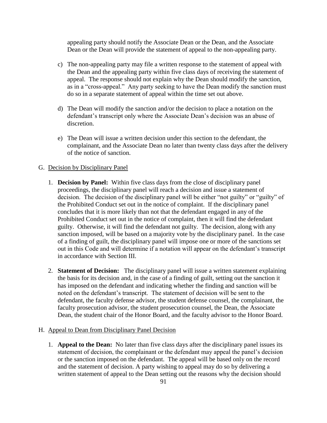appealing party should notify the Associate Dean or the Dean, and the Associate Dean or the Dean will provide the statement of appeal to the non-appealing party.

- c) The non-appealing party may file a written response to the statement of appeal with the Dean and the appealing party within five class days of receiving the statement of appeal. The response should not explain why the Dean should modify the sanction, as in a "cross-appeal." Any party seeking to have the Dean modify the sanction must do so in a separate statement of appeal within the time set out above.
- d) The Dean will modify the sanction and/or the decision to place a notation on the defendant's transcript only where the Associate Dean's decision was an abuse of discretion.
- e) The Dean will issue a written decision under this section to the defendant, the complainant, and the Associate Dean no later than twenty class days after the delivery of the notice of sanction.

#### G. Decision by Disciplinary Panel

- 1. **Decision by Panel:** Within five class days from the close of disciplinary panel proceedings, the disciplinary panel will reach a decision and issue a statement of decision. The decision of the disciplinary panel will be either "not guilty" or "guilty" of the Prohibited Conduct set out in the notice of complaint. If the disciplinary panel concludes that it is more likely than not that the defendant engaged in any of the Prohibited Conduct set out in the notice of complaint, then it will find the defendant guilty. Otherwise, it will find the defendant not guilty. The decision, along with any sanction imposed, will be based on a majority vote by the disciplinary panel. In the case of a finding of guilt, the disciplinary panel will impose one or more of the sanctions set out in this Code and will determine if a notation will appear on the defendant's transcript in accordance with Section III.
- 2. **Statement of Decision:** The disciplinary panel will issue a written statement explaining the basis for its decision and, in the case of a finding of guilt, setting out the sanction it has imposed on the defendant and indicating whether the finding and sanction will be noted on the defendant's transcript. The statement of decision will be sent to the defendant, the faculty defense advisor, the student defense counsel, the complainant, the faculty prosecution advisor, the student prosecution counsel, the Dean, the Associate Dean, the student chair of the Honor Board, and the faculty advisor to the Honor Board.

#### H. Appeal to Dean from Disciplinary Panel Decision

1. **Appeal to the Dean:** No later than five class days after the disciplinary panel issues its statement of decision, the complainant or the defendant may appeal the panel's decision or the sanction imposed on the defendant. The appeal will be based only on the record and the statement of decision. A party wishing to appeal may do so by delivering a written statement of appeal to the Dean setting out the reasons why the decision should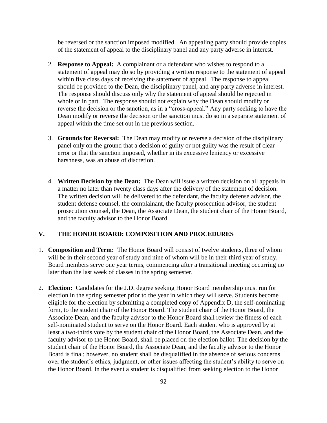be reversed or the sanction imposed modified. An appealing party should provide copies of the statement of appeal to the disciplinary panel and any party adverse in interest.

- 2. **Response to Appeal:** A complainant or a defendant who wishes to respond to a statement of appeal may do so by providing a written response to the statement of appeal within five class days of receiving the statement of appeal. The response to appeal should be provided to the Dean, the disciplinary panel, and any party adverse in interest. The response should discuss only why the statement of appeal should be rejected in whole or in part. The response should not explain why the Dean should modify or reverse the decision or the sanction, as in a "cross-appeal." Any party seeking to have the Dean modify or reverse the decision or the sanction must do so in a separate statement of appeal within the time set out in the previous section.
- 3. **Grounds for Reversal:** The Dean may modify or reverse a decision of the disciplinary panel only on the ground that a decision of guilty or not guilty was the result of clear error or that the sanction imposed, whether in its excessive leniency or excessive harshness, was an abuse of discretion.
- 4. **Written Decision by the Dean:** The Dean will issue a written decision on all appeals in a matter no later than twenty class days after the delivery of the statement of decision. The written decision will be delivered to the defendant, the faculty defense advisor, the student defense counsel, the complainant, the faculty prosecution advisor, the student prosecution counsel, the Dean, the Associate Dean, the student chair of the Honor Board, and the faculty advisor to the Honor Board.

### **V. THE HONOR BOARD: COMPOSITION AND PROCEDURES**

- 1. **Composition and Term:** The Honor Board will consist of twelve students, three of whom will be in their second year of study and nine of whom will be in their third year of study. Board members serve one year terms, commencing after a transitional meeting occurring no later than the last week of classes in the spring semester.
- 2. **Election:** Candidates for the J.D. degree seeking Honor Board membership must run for election in the spring semester prior to the year in which they will serve. Students become eligible for the election by submitting a completed copy of Appendix D, the self-nominating form, to the student chair of the Honor Board. The student chair of the Honor Board, the Associate Dean, and the faculty advisor to the Honor Board shall review the fitness of each self-nominated student to serve on the Honor Board. Each student who is approved by at least a two-thirds vote by the student chair of the Honor Board, the Associate Dean, and the faculty advisor to the Honor Board, shall be placed on the election ballot. The decision by the student chair of the Honor Board, the Associate Dean, and the faculty advisor to the Honor Board is final; however, no student shall be disqualified in the absence of serious concerns over the student's ethics, judgment, or other issues affecting the student's ability to serve on the Honor Board. In the event a student is disqualified from seeking election to the Honor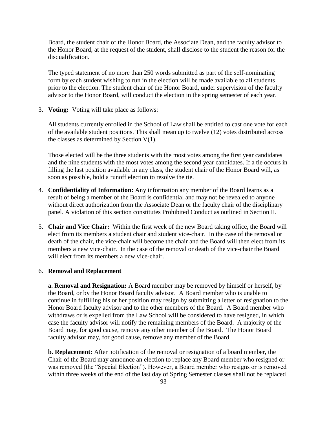Board, the student chair of the Honor Board, the Associate Dean, and the faculty advisor to the Honor Board, at the request of the student, shall disclose to the student the reason for the disqualification.

The typed statement of no more than 250 words submitted as part of the self-nominating form by each student wishing to run in the election will be made available to all students prior to the election. The student chair of the Honor Board, under supervision of the faculty advisor to the Honor Board, will conduct the election in the spring semester of each year.

3. **Voting:** Voting will take place as follows:

All students currently enrolled in the School of Law shall be entitled to cast one vote for each of the available student positions. This shall mean up to twelve (12) votes distributed across the classes as determined by Section  $V(1)$ .

Those elected will be the three students with the most votes among the first year candidates and the nine students with the most votes among the second year candidates. If a tie occurs in filling the last position available in any class, the student chair of the Honor Board will, as soon as possible, hold a runoff election to resolve the tie.

- 4. **Confidentiality of Information:** Any information any member of the Board learns as a result of being a member of the Board is confidential and may not be revealed to anyone without direct authorization from the Associate Dean or the faculty chair of the disciplinary panel. A violation of this section constitutes Prohibited Conduct as outlined in Section II.
- 5. **Chair and Vice Chair:** Within the first week of the new Board taking office, the Board will elect from its members a student chair and student vice-chair. In the case of the removal or death of the chair, the vice-chair will become the chair and the Board will then elect from its members a new vice-chair. In the case of the removal or death of the vice-chair the Board will elect from its members a new vice-chair.

### 6. **Removal and Replacement**

**a. Removal and Resignation:** A Board member may be removed by himself or herself, by the Board, or by the Honor Board faculty advisor. A Board member who is unable to continue in fulfilling his or her position may resign by submitting a letter of resignation to the Honor Board faculty advisor and to the other members of the Board. A Board member who withdraws or is expelled from the Law School will be considered to have resigned, in which case the faculty advisor will notify the remaining members of the Board. A majority of the Board may, for good cause, remove any other member of the Board. The Honor Board faculty advisor may, for good cause, remove any member of the Board.

**b. Replacement:** After notification of the removal or resignation of a board member, the Chair of the Board may announce an election to replace any Board member who resigned or was removed (the "Special Election"). However, a Board member who resigns or is removed within three weeks of the end of the last day of Spring Semester classes shall not be replaced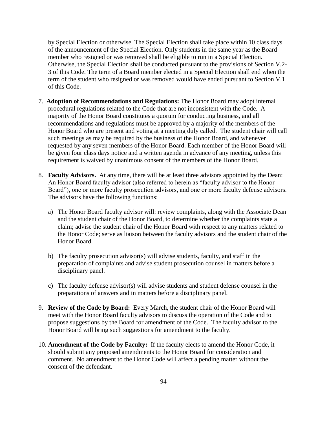by Special Election or otherwise. The Special Election shall take place within 10 class days of the announcement of the Special Election. Only students in the same year as the Board member who resigned or was removed shall be eligible to run in a Special Election. Otherwise, the Special Election shall be conducted pursuant to the provisions of Section V.2- 3 of this Code. The term of a Board member elected in a Special Election shall end when the term of the student who resigned or was removed would have ended pursuant to Section V.1 of this Code.

- 7. **Adoption of Recommendations and Regulations:** The Honor Board may adopt internal procedural regulations related to the Code that are not inconsistent with the Code. A majority of the Honor Board constitutes a quorum for conducting business, and all recommendations and regulations must be approved by a majority of the members of the Honor Board who are present and voting at a meeting duly called. The student chair will call such meetings as may be required by the business of the Honor Board, and whenever requested by any seven members of the Honor Board. Each member of the Honor Board will be given four class days notice and a written agenda in advance of any meeting, unless this requirement is waived by unanimous consent of the members of the Honor Board.
- 8. **Faculty Advisors.** At any time, there will be at least three advisors appointed by the Dean: An Honor Board faculty advisor (also referred to herein as "faculty advisor to the Honor Board"), one or more faculty prosecution advisors, and one or more faculty defense advisors. The advisors have the following functions:
	- a) The Honor Board faculty advisor will: review complaints, along with the Associate Dean and the student chair of the Honor Board, to determine whether the complaints state a claim; advise the student chair of the Honor Board with respect to any matters related to the Honor Code; serve as liaison between the faculty advisors and the student chair of the Honor Board.
	- b) The faculty prosecution advisor(s) will advise students, faculty, and staff in the preparation of complaints and advise student prosecution counsel in matters before a disciplinary panel.
	- c) The faculty defense advisor(s) will advise students and student defense counsel in the preparations of answers and in matters before a disciplinary panel.
- 9. **Review of the Code by Board:** Every March, the student chair of the Honor Board will meet with the Honor Board faculty advisors to discuss the operation of the Code and to propose suggestions by the Board for amendment of the Code. The faculty advisor to the Honor Board will bring such suggestions for amendment to the faculty.
- 10. **Amendment of the Code by Faculty:** If the faculty elects to amend the Honor Code, it should submit any proposed amendments to the Honor Board for consideration and comment. No amendment to the Honor Code will affect a pending matter without the consent of the defendant.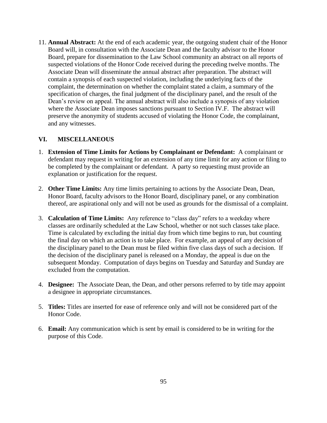11. **Annual Abstract:** At the end of each academic year, the outgoing student chair of the Honor Board will, in consultation with the Associate Dean and the faculty advisor to the Honor Board, prepare for dissemination to the Law School community an abstract on all reports of suspected violations of the Honor Code received during the preceding twelve months. The Associate Dean will disseminate the annual abstract after preparation. The abstract will contain a synopsis of each suspected violation, including the underlying facts of the complaint, the determination on whether the complaint stated a claim, a summary of the specification of charges, the final judgment of the disciplinary panel, and the result of the Dean's review on appeal. The annual abstract will also include a synopsis of any violation where the Associate Dean imposes sanctions pursuant to Section IV.F. The abstract will preserve the anonymity of students accused of violating the Honor Code, the complainant, and any witnesses.

## **VI. MISCELLANEOUS**

- 1. **Extension of Time Limits for Actions by Complainant or Defendant:** A complainant or defendant may request in writing for an extension of any time limit for any action or filing to be completed by the complainant or defendant. A party so requesting must provide an explanation or justification for the request.
- 2. **Other Time Limits:** Any time limits pertaining to actions by the Associate Dean, Dean, Honor Board, faculty advisors to the Honor Board, disciplinary panel, or any combination thereof, are aspirational only and will not be used as grounds for the dismissal of a complaint.
- 3. **Calculation of Time Limits:** Any reference to "class day" refers to a weekday where classes are ordinarily scheduled at the Law School, whether or not such classes take place. Time is calculated by excluding the initial day from which time begins to run, but counting the final day on which an action is to take place. For example, an appeal of any decision of the disciplinary panel to the Dean must be filed within five class days of such a decision. If the decision of the disciplinary panel is released on a Monday, the appeal is due on the subsequent Monday. Computation of days begins on Tuesday and Saturday and Sunday are excluded from the computation.
- 4. **Designee:** The Associate Dean, the Dean, and other persons referred to by title may appoint a designee in appropriate circumstances.
- 5. **Titles:** Titles are inserted for ease of reference only and will not be considered part of the Honor Code.
- 6. **Email:** Any communication which is sent by email is considered to be in writing for the purpose of this Code.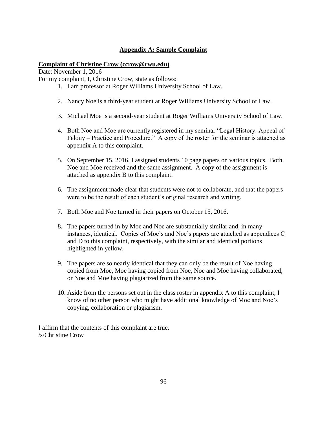# **Appendix A: Sample Complaint**

## **Complaint of Christine Crow (ccrow@rwu.edu)**

Date: November 1, 2016

For my complaint, I, Christine Crow, state as follows:

- 1. I am professor at Roger Williams University School of Law.
- 2. Nancy Noe is a third-year student at Roger Williams University School of Law.
- 3. Michael Moe is a second-year student at Roger Williams University School of Law.
- 4. Both Noe and Moe are currently registered in my seminar "Legal History: Appeal of Felony – Practice and Procedure." A copy of the roster for the seminar is attached as appendix A to this complaint.
- 5. On September 15, 2016, I assigned students 10 page papers on various topics. Both Noe and Moe received and the same assignment. A copy of the assignment is attached as appendix B to this complaint.
- 6. The assignment made clear that students were not to collaborate, and that the papers were to be the result of each student's original research and writing.
- 7. Both Moe and Noe turned in their papers on October 15, 2016.
- 8. The papers turned in by Moe and Noe are substantially similar and, in many instances, identical. Copies of Moe's and Noe's papers are attached as appendices C and D to this complaint, respectively, with the similar and identical portions highlighted in yellow.
- 9. The papers are so nearly identical that they can only be the result of Noe having copied from Moe, Moe having copied from Noe, Noe and Moe having collaborated, or Noe and Moe having plagiarized from the same source.
- 10. Aside from the persons set out in the class roster in appendix A to this complaint, I know of no other person who might have additional knowledge of Moe and Noe's copying, collaboration or plagiarism.

I affirm that the contents of this complaint are true. /s/Christine Crow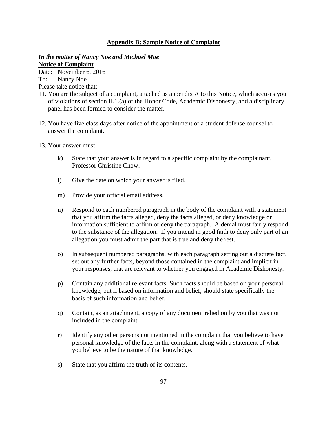## **Appendix B: Sample Notice of Complaint**

# *In the matter of Nancy Noe and Michael Moe* **Notice of Complaint**

Date: November 6, 2016

To: Nancy Noe

- Please take notice that:
- 11. You are the subject of a complaint, attached as appendix A to this Notice, which accuses you of violations of section II.1.(a) of the Honor Code, Academic Dishonesty, and a disciplinary panel has been formed to consider the matter.
- 12. You have five class days after notice of the appointment of a student defense counsel to answer the complaint.
- 13. Your answer must:
	- k) State that your answer is in regard to a specific complaint by the complainant, Professor Christine Chow.
	- l) Give the date on which your answer is filed.
	- m) Provide your official email address.
	- n) Respond to each numbered paragraph in the body of the complaint with a statement that you affirm the facts alleged, deny the facts alleged, or deny knowledge or information sufficient to affirm or deny the paragraph. A denial must fairly respond to the substance of the allegation. If you intend in good faith to deny only part of an allegation you must admit the part that is true and deny the rest.
	- o) In subsequent numbered paragraphs, with each paragraph setting out a discrete fact, set out any further facts, beyond those contained in the complaint and implicit in your responses, that are relevant to whether you engaged in Academic Dishonesty.
	- p) Contain any additional relevant facts. Such facts should be based on your personal knowledge, but if based on information and belief, should state specifically the basis of such information and belief.
	- q) Contain, as an attachment, a copy of any document relied on by you that was not included in the complaint.
	- r) Identify any other persons not mentioned in the complaint that you believe to have personal knowledge of the facts in the complaint, along with a statement of what you believe to be the nature of that knowledge.
	- s) State that you affirm the truth of its contents.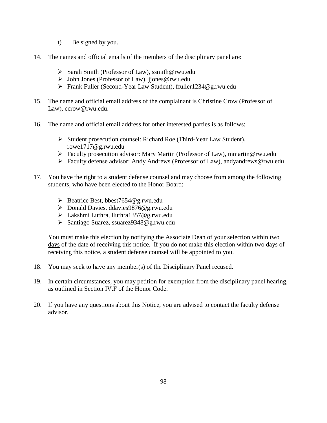- t) Be signed by you.
- 14. The names and official emails of the members of the disciplinary panel are:
	- ➢ Sarah Smith (Professor of Law), ssmith@rwu.edu
	- ➢ John Jones (Professor of Law), jjones@rwu.edu
	- ➢ Frank Fuller (Second-Year Law Student), ffuller1234@g.rwu.edu
- 15. The name and official email address of the complainant is Christine Crow (Professor of Law), ccrow@rwu.edu.
- 16. The name and official email address for other interested parties is as follows:
	- ➢ Student prosecution counsel: Richard Roe (Third-Year Law Student), rowe1717@g.rwu.edu
	- ➢ Faculty prosecution advisor: Mary Martin (Professor of Law), mmartin@rwu.edu
	- ➢ Faculty defense advisor: Andy Andrews (Professor of Law), andyandrews@rwu.edu
- 17. You have the right to a student defense counsel and may choose from among the following students, who have been elected to the Honor Board:
	- ➢ Beatrice Best, bbest7654@g.rwu.edu
	- ➢ Donald Davies, ddavies9876@g.rwu.edu
	- ➢ Lakshmi Luthra, lluthra1357@g.rwu.edu
	- ➢ Santiago Suarez, ssuarez9348@g.rwu.edu

You must make this election by notifying the Associate Dean of your selection within two days of the date of receiving this notice. If you do not make this election within two days of receiving this notice, a student defense counsel will be appointed to you.

- 18. You may seek to have any member(s) of the Disciplinary Panel recused.
- 19. In certain circumstances, you may petition for exemption from the disciplinary panel hearing, as outlined in Section IV.F of the Honor Code.
- 20. If you have any questions about this Notice, you are advised to contact the faculty defense advisor.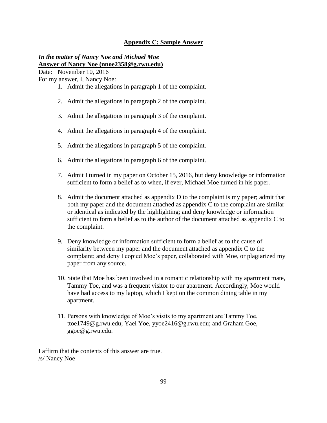## **Appendix C: Sample Answer**

# *In the matter of Nancy Noe and Michael Moe* **Answer of Nancy Noe (nnoe2358@g.rwu.edu)**

Date: November 10, 2016

For my answer, I, Nancy Noe:

- 1. Admit the allegations in paragraph 1 of the complaint.
- 2. Admit the allegations in paragraph 2 of the complaint.
- 3. Admit the allegations in paragraph 3 of the complaint.
- 4. Admit the allegations in paragraph 4 of the complaint.
- 5. Admit the allegations in paragraph 5 of the complaint.
- 6. Admit the allegations in paragraph 6 of the complaint.
- 7. Admit I turned in my paper on October 15, 2016, but deny knowledge or information sufficient to form a belief as to when, if ever, Michael Moe turned in his paper.
- 8. Admit the document attached as appendix D to the complaint is my paper; admit that both my paper and the document attached as appendix C to the complaint are similar or identical as indicated by the highlighting; and deny knowledge or information sufficient to form a belief as to the author of the document attached as appendix C to the complaint.
- 9. Deny knowledge or information sufficient to form a belief as to the cause of similarity between my paper and the document attached as appendix C to the complaint; and deny I copied Moe's paper, collaborated with Moe, or plagiarized my paper from any source.
- 10. State that Moe has been involved in a romantic relationship with my apartment mate, Tammy Toe, and was a frequent visitor to our apartment. Accordingly, Moe would have had access to my laptop, which I kept on the common dining table in my apartment.
- 11. Persons with knowledge of Moe's visits to my apartment are Tammy Toe, ttoe1749@g.rwu.edu; Yael Yoe, yyoe2416@g.rwu.edu; and Graham Goe, ggoe@g.rwu.edu.

I affirm that the contents of this answer are true. /s/ Nancy Noe